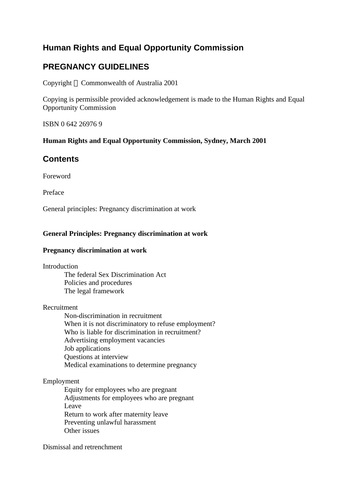# **Human Rights and Equal Opportunity Commission**

# **PREGNANCY GUIDELINES**

Copyright © Commonwealth of Australia 2001

Copying is permissible provided acknowledgement is made to the Human Rights and Equal Opportunity Commission

ISBN 0 642 26976 9

# **Human Rights and Equal Opportunity Commission, Sydney, March 2001**

# **Contents**

Foreword

Preface

General principles: Pregnancy discrimination at work

# **General Principles: Pregnancy discrimination at work**

### **Pregnancy discrimination at work**

Introduction

The federal Sex Discrimination Act Policies and procedures The legal framework

# Recruitment

Non-discrimination in recruitment When it is not discriminatory to refuse employment? Who is liable for discrimination in recruitment? Advertising employment vacancies Job applications Questions at interview Medical examinations to determine pregnancy

# Employment

Equity for employees who are pregnant Adjustments for employees who are pregnant Leave Return to work after maternity leave Preventing unlawful harassment Other issues

Dismissal and retrenchment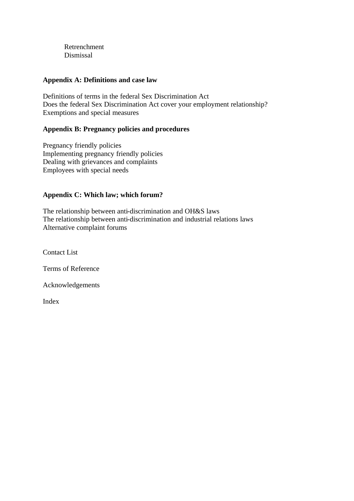Retrenchment Dismissal

### **Appendix A: Definitions and case law**

Definitions of terms in the federal Sex Discrimination Act Does the federal Sex Discrimination Act cover your employment relationship? Exemptions and special measures

# **Appendix B: Pregnancy policies and procedures**

Pregnancy friendly policies Implementing pregnancy friendly policies Dealing with grievances and complaints Employees with special needs

# **Appendix C: Which law; which forum?**

The relationship between anti-discrimination and OH&S laws The relationship between anti-discrimination and industrial relations laws Alternative complaint forums

Contact List

Terms of Reference

Acknowledgements

Index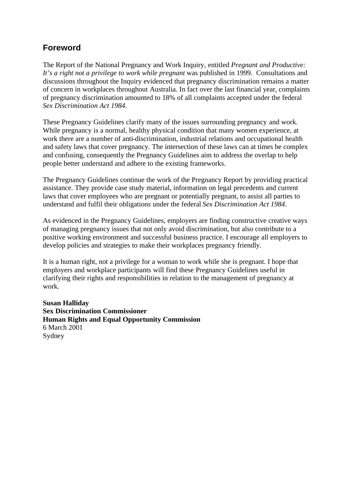# **Foreword**

The Report of the National Pregnancy and Work Inquiry, entitled *Pregnant and Productive:*  It's a right not a privilege to work while pregnant was published in 1999. Consultations and discussions throughout the Inquiry evidenced that pregnancy discrimination remains a matter of concern in workplaces throughout Australia. In fact over the last financial year, complaints of pregnancy discrimination amounted to 18% of all complaints accepted under the federal *Sex Discrimination Act 1984*.

These Pregnancy Guidelines clarify many of the issues surrounding pregnancy and work. While pregnancy is a normal, healthy physical condition that many women experience, at work there are a number of anti-discrimination, industrial relations and occupational health and safety laws that cover pregnancy. The intersection of these laws can at times be complex and confusing, consequently the Pregnancy Guidelines aim to address the overlap to help people better understand and adhere to the existing frameworks.

The Pregnancy Guidelines continue the work of the Pregnancy Report by providing practical assistance. They provide case study material, information on legal precedents and current laws that cover employees who are pregnant or potentially pregnant, to assist all parties to understand and fulfil their obligations under the federal *Sex Discrimination Act 1984*.

As evidenced in the Pregnancy Guidelines, employers are finding constructive creative ways of managing pregnancy issues that not only avoid discrimination, but also contribute to a positive working environment and successful business practice. I encourage all employers to develop policies and strategies to make their workplaces pregnancy friendly.

It is a human right, not a privilege for a woman to work while she is pregnant. I hope that employers and workplace participants will find these Pregnancy Guidelines useful in clarifying their rights and responsibilities in relation to the management of pregnancy at work.

**Susan Halliday Sex Discrimination Commissioner Human Rights and Equal Opportunity Commission** 6 March 2001 Sydney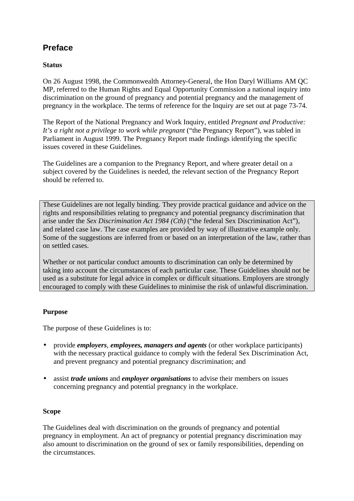# **Preface**

# **Status**

On 26 August 1998, the Commonwealth Attorney-General, the Hon Daryl Williams AM QC MP, referred to the Human Rights and Equal Opportunity Commission a national inquiry into discrimination on the ground of pregnancy and potential pregnancy and the management of pregnancy in the workplace. The terms of reference for the Inquiry are set out at page 73-74.

The Report of the National Pregnancy and Work Inquiry, entitled *Pregnant and Productive: It's a right not a privilege to work while pregnant* ("the Pregnancy Report")*,* was tabled in Parliament in August 1999. The Pregnancy Report made findings identifying the specific issues covered in these Guidelines.

The Guidelines are a companion to the Pregnancy Report, and where greater detail on a subject covered by the Guidelines is needed, the relevant section of the Pregnancy Report should be referred to.

These Guidelines are not legally binding. They provide practical guidance and advice on the rights and responsibilities relating to pregnancy and potential pregnancy discrimination that arise under the *Sex Discrimination Act 1984 (Cth)* ("the federal Sex Discrimination Act")*,*  and related case law. The case examples are provided by way of illustrative example only. Some of the suggestions are inferred from or based on an interpretation of the law, rather than on settled cases.

Whether or not particular conduct amounts to discrimination can only be determined by taking into account the circumstances of each particular case. These Guidelines should not be used as a substitute for legal advice in complex or difficult situations. Employers are strongly encouraged to comply with these Guidelines to minimise the risk of unlawful discrimination.

# **Purpose**

The purpose of these Guidelines is to:

- provide *employers*, *employees, managers and agents* (or other workplace participants) with the necessary practical guidance to comply with the federal Sex Discrimination Act, and prevent pregnancy and potential pregnancy discrimination; and
- assist *trade unions* and *employer organisations* to advise their members on issues concerning pregnancy and potential pregnancy in the workplace.

# **Scope**

The Guidelines deal with discrimination on the grounds of pregnancy and potential pregnancy in employment. An act of pregnancy or potential pregnancy discrimination may also amount to discrimination on the ground of sex or family responsibilities, depending on the circumstances.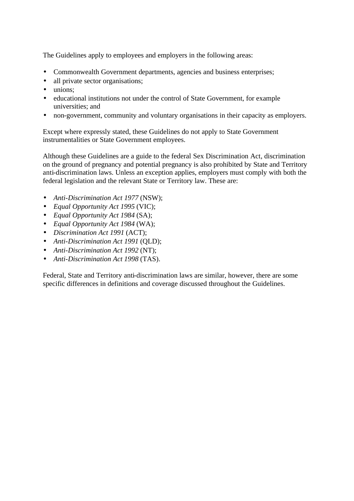The Guidelines apply to employees and employers in the following areas:

- Commonwealth Government departments, agencies and business enterprises;
- all private sector organisations;
- unions:
- educational institutions not under the control of State Government, for example universities; and
- non-government, community and voluntary organisations in their capacity as employers.

Except where expressly stated, these Guidelines do not apply to State Government instrumentalities or State Government employees.

Although these Guidelines are a guide to the federal Sex Discrimination Act, discrimination on the ground of pregnancy and potential pregnancy is also prohibited by State and Territory anti-discrimination laws. Unless an exception applies, employers must comply with both the federal legislation and the relevant State or Territory law. These are:

- *Anti-Discrimination Act 1977* (NSW);
- *Equal Opportunity Act 1995* (VIC);
- *Equal Opportunity Act 1984* (SA);
- *Equal Opportunity Act 1984* (WA);
- *Discrimination Act 1991* (ACT);
- *Anti-Discrimination Act 1991* (QLD);
- *Anti-Discrimination Act 1992* (NT);
- *Anti-Discrimination Act 1998* (TAS).

Federal, State and Territory anti-discrimination laws are similar, however, there are some specific differences in definitions and coverage discussed throughout the Guidelines.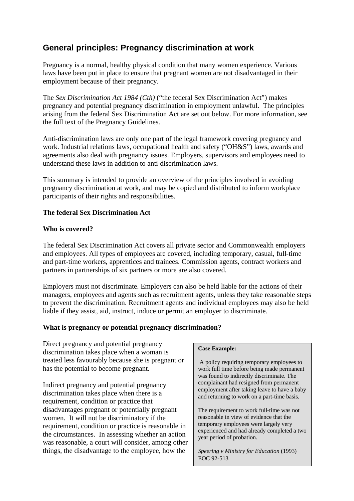# **General principles: Pregnancy discrimination at work**

Pregnancy is a normal, healthy physical condition that many women experience. Various laws have been put in place to ensure that pregnant women are not disadvantaged in their employment because of their pregnancy.

The *Sex Discrimination Act 1984 (Cth)* ("the federal Sex Discrimination Act") makes pregnancy and potential pregnancy discrimination in employment unlawful. The principles arising from the federal Sex Discrimination Act are set out below. For more information, see the full text of the Pregnancy Guidelines.

Anti-discrimination laws are only one part of the legal framework covering pregnancy and work. Industrial relations laws, occupational health and safety ("OH&S") laws, awards and agreements also deal with pregnancy issues. Employers, supervisors and employees need to understand these laws in addition to anti-discrimination laws.

This summary is intended to provide an overview of the principles involved in avoiding pregnancy discrimination at work, and may be copied and distributed to inform workplace participants of their rights and responsibilities.

# **The federal Sex Discrimination Act**

# **Who is covered?**

The federal Sex Discrimination Act covers all private sector and Commonwealth employers and employees. All types of employees are covered, including temporary, casual, full-time and part-time workers, apprentices and trainees. Commission agents, contract workers and partners in partnerships of six partners or more are also covered.

Employers must not discriminate. Employers can also be held liable for the actions of their managers, employees and agents such as recruitment agents, unless they take reasonable steps to prevent the discrimination. Recruitment agents and individual employees may also be held liable if they assist, aid, instruct, induce or permit an employer to discriminate.

### **What is pregnancy or potential pregnancy discrimination?**

Direct pregnancy and potential pregnancy discrimination takes place when a woman is treated less favourably because she is pregnant or has the potential to become pregnant.

Indirect pregnancy and potential pregnancy discrimination takes place when there is a requirement, condition or practice that disadvantages pregnant or potentially pregnant women. It will not be discriminatory if the requirement, condition or practice is reasonable in the circumstances. In assessing whether an action was reasonable, a court will consider, among other things, the disadvantage to the employee, how the

#### **Case Example:**

 A policy requiring temporary employees to work full time before being made permanent was found to indirectly discriminate. The complainant had resigned from permanent employment after taking leave to have a baby and returning to work on a part-time basis.

The requirement to work full-time was not reasonable in view of evidence that the temporary employees were largely very experienced and had already completed a two year period of probation.

*Speering v Ministry for Education* (1993) EOC 92-513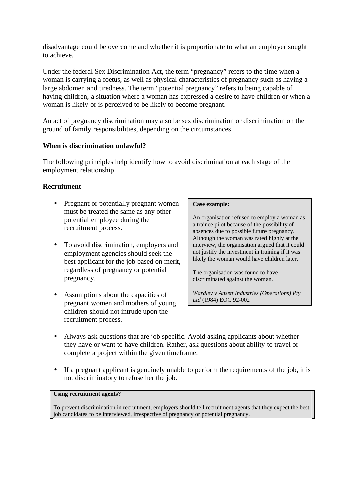disadvantage could be overcome and whether it is proportionate to what an employer sought to achieve.

Under the federal Sex Discrimination Act, the term "pregnancy" refers to the time when a woman is carrying a foetus, as well as physical characteristics of pregnancy such as having a large abdomen and tiredness. The term "potential pregnancy" refers to being capable of having children, a situation where a woman has expressed a desire to have children or when a woman is likely or is perceived to be likely to become pregnant.

An act of pregnancy discrimination may also be sex discrimination or discrimination on the ground of family responsibilities, depending on the circumstances.

# **When is discrimination unlawful?**

The following principles help identify how to avoid discrimination at each stage of the employment relationship.

# **Recruitment**

- Pregnant or potentially pregnant women must be treated the same as any other potential employee during the recruitment process.
- To avoid discrimination, employers and employment agencies should seek the best applicant for the job based on merit, regardless of pregnancy or potential pregnancy.
- Assumptions about the capacities of pregnant women and mothers of young children should not intrude upon the recruitment process.

#### **Case example:**

An organisation refused to employ a woman as a trainee pilot because of the possibility of absences due to possible future pregnancy. Although the woman was rated highly at the interview, the organisation argued that it could not justify the investment in training if it was likely the woman would have children later.

The organisation was found to have discriminated against the woman.

*Wardley v Ansett Industries (Operations) Pty Ltd* (1984) EOC 92-002

- Always ask questions that are job specific. Avoid asking applicants about whether they have or want to have children. Rather, ask questions about ability to travel or complete a project within the given timeframe.
- If a pregnant applicant is genuinely unable to perform the requirements of the job, it is not discriminatory to refuse her the job.

#### **Using recruitment agents?**

To prevent discrimination in recruitment, employers should tell recruitment agents that they expect the best job candidates to be interviewed, irrespective of pregnancy or potential pregnancy.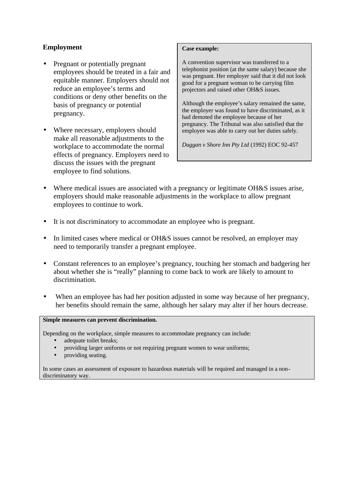# **Employment**

- Pregnant or potentially pregnant employees should be treated in a fair and equitable manner. Employers should not reduce an employee's terms and conditions or deny other benefits on the basis of pregnancy or potential pregnancy.
- Where necessary, employers should make all reasonable adjustments to the workplace to accommodate the normal effects of pregnancy. Employers need to discuss the issues with the pregnant employee to find solutions.

#### **Case example:**

A convention supervisor was transferred to a telephonist position (at the same salary) because she was pregnant. Her employer said that it did not look good for a pregnant woman to be carrying film projectors and raised other OH&S issues.

Although the employee's salary remained the same, the employer was found to have discriminated, as it had demoted the employee because of her pregnancy. The Tribunal was also satisfied that the employee was able to carry out her duties safely.

*Duggan v Shore Inn Pty Ltd* (1992) EOC 92-457

- Where medical issues are associated with a pregnancy or legitimate OH&S issues arise, employers should make reasonable adjustments in the workplace to allow pregnant employees to continue to work.
- It is not discriminatory to accommodate an employee who is pregnant.
- In limited cases where medical or OH&S issues cannot be resolved, an employer may need to temporarily transfer a pregnant employee.
- Constant references to an employee's pregnancy, touching her stomach and badgering her about whether she is "really" planning to come back to work are likely to amount to discrimination.
- When an employee has had her position adjusted in some way because of her pregnancy, her benefits should remain the same, although her salary may alter if her hours decrease.

#### **Simple measures can prevent discrimination.**

Depending on the workplace, simple measures to accommodate pregnancy can include:

- adequate toilet breaks;
- providing larger uniforms or not requiring pregnant women to wear uniforms;
- providing seating.

In some cases an assessment of exposure to hazardous materials will be required and managed in a nondiscriminatory way.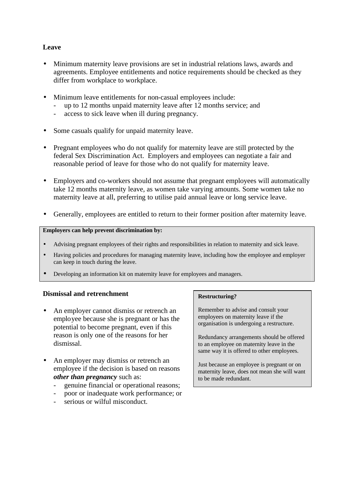# **Leave**

- Minimum maternity leave provisions are set in industrial relations laws, awards and agreements. Employee entitlements and notice requirements should be checked as they differ from workplace to workplace.
- Minimum leave entitlements for non-casual employees include:
	- up to 12 months unpaid maternity leave after 12 months service; and
	- access to sick leave when ill during pregnancy.
- Some casuals qualify for unpaid maternity leave.
- Pregnant employees who do not qualify for maternity leave are still protected by the federal Sex Discrimination Act. Employers and employees can negotiate a fair and reasonable period of leave for those who do not qualify for maternity leave.
- Employers and co-workers should not assume that pregnant employees will automatically take 12 months maternity leave, as women take varying amounts. Some women take no maternity leave at all, preferring to utilise paid annual leave or long service leave.
- Generally, employees are entitled to return to their former position after maternity leave.

#### **Employers can help prevent discrimination by:**

- Advising pregnant employees of their rights and responsibilities in relation to maternity and sick leave.
- Having policies and procedures for managing maternity leave, including how the employee and employer can keep in touch during the leave.
- Developing an information kit on maternity leave for employees and managers.

### **Dismissal and retrenchment**

- An employer cannot dismiss or retrench an employee because she is pregnant or has the potential to become pregnant, even if this reason is only one of the reasons for her dismissal.
- An employer may dismiss or retrench an employee if the decision is based on reasons *other than pregnancy* such as:
	- genuine financial or operational reasons;
	- poor or inadequate work performance; or
	- serious or wilful misconduct.

#### **Restructuring?**

Remember to advise and consult your employees on maternity leave if the organisation is undergoing a restructure.

Redundancy arrangements should be offered to an employee on maternity leave in the same way it is offered to other employees.

Just because an employee is pregnant or on maternity leave, does not mean she will want to be made redundant.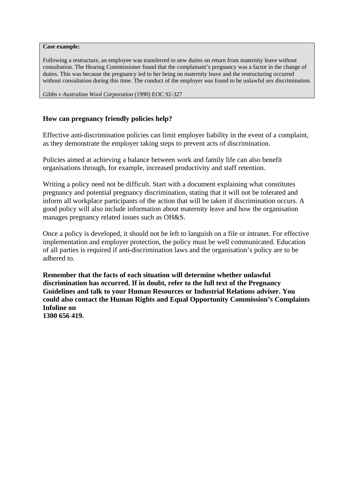**Case example:**

Following a restructure, an employee was transferred to new duties on return from maternity leave without consultation. The Hearing Commissioner found that the complainant's pregnancy was a factor in the change of duties. This was because the pregnancy led to her being on maternity leave and the restructuring occurred without consultation during this time. The conduct of the employer was found to be unlawful sex discrimination.

*Gibbs v Australian Wool Corporation* (1990) EOC 92-327

### **How can pregnancy friendly policies help?**

Effective anti-discrimination policies can limit employer liability in the event of a complaint, as they demonstrate the employer taking steps to prevent acts of discrimination.

Policies aimed at achieving a balance between work and family life can also benefit organisations through, for example, increased productivity and staff retention.

Writing a policy need not be difficult. Start with a document explaining what constitutes pregnancy and potential pregnancy discrimination, stating that it will not be tolerated and inform all workplace participants of the action that will be taken if discrimination occurs. A good policy will also include information about maternity leave and how the organisation manages pregnancy related issues such as OH&S.

Once a policy is developed, it should not be left to languish on a file or intranet. For effective implementation and employer protection, the policy must be well communicated. Education of all parties is required if anti-discrimination laws and the organisation's policy are to be adhered to.

**Remember that the facts of each situation will determine whether unlawful discrimination has occurred. If in doubt, refer to the full text of the Pregnancy Guidelines and talk to your Human Resources or Industrial Relations adviser. You could also contact the Human Rights and Equal Opportunity Commission's Complaints Infoline on 1300 656 419.**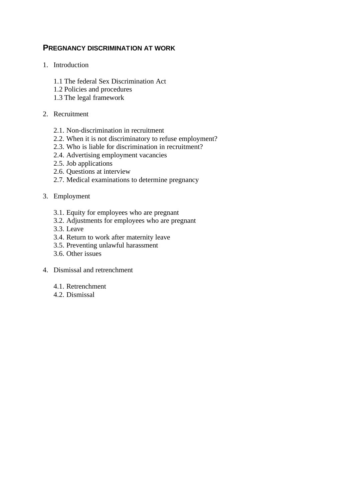# **PREGNANCY DISCRIMINATION AT WORK**

- 1. Introduction
	- 1.1 The federal Sex Discrimination Act
	- 1.2 Policies and procedures
	- 1.3 The legal framework

### 2. Recruitment

- 2.1. Non-discrimination in recruitment
- 2.2. When it is not discriminatory to refuse employment?
- 2.3. Who is liable for discrimination in recruitment?
- 2.4. Advertising employment vacancies
- 2.5. Job applications
- 2.6. Questions at interview
- 2.7. Medical examinations to determine pregnancy

### 3. Employment

- 3.1. Equity for employees who are pregnant
- 3.2. Adjustments for employees who are pregnant
- 3.3. Leave
- 3.4. Return to work after maternity leave
- 3.5. Preventing unlawful harassment
- 3.6. Other issues
- 4. Dismissal and retrenchment
	- 4.1. Retrenchment
	- 4.2. Dismissal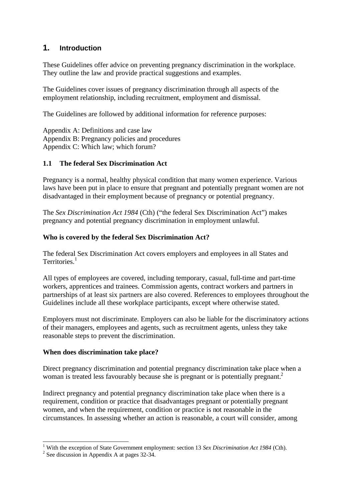# **1. Introduction**

These Guidelines offer advice on preventing pregnancy discrimination in the workplace. They outline the law and provide practical suggestions and examples.

The Guidelines cover issues of pregnancy discrimination through all aspects of the employment relationship, including recruitment, employment and dismissal.

The Guidelines are followed by additional information for reference purposes:

Appendix A: Definitions and case law Appendix B: Pregnancy policies and procedures Appendix C: Which law; which forum?

# **1.1 The federal Sex Discrimination Act**

Pregnancy is a normal, healthy physical condition that many women experience. Various laws have been put in place to ensure that pregnant and potentially pregnant women are not disadvantaged in their employment because of pregnancy or potential pregnancy.

The *Sex Discrimination Act 1984* (Cth) ("the federal Sex Discrimination Act") makes pregnancy and potential pregnancy discrimination in employment unlawful.

### **Who is covered by the federal Sex Discrimination Act?**

The federal Sex Discrimination Act covers employers and employees in all States and Territories.<sup>1</sup>

All types of employees are covered, including temporary, casual, full-time and part-time workers, apprentices and trainees. Commission agents, contract workers and partners in partnerships of at least six partners are also covered. References to employees throughout the Guidelines include all these workplace participants, except where otherwise stated.

Employers must not discriminate. Employers can also be liable for the discriminatory actions of their managers, employees and agents, such as recruitment agents, unless they take reasonable steps to prevent the discrimination.

# **When does discrimination take place?**

Direct pregnancy discrimination and potential pregnancy discrimination take place when a woman is treated less favourably because she is pregnant or is potentially pregnant.<sup>2</sup>

Indirect pregnancy and potential pregnancy discrimination take place when there is a requirement, condition or practice that disadvantages pregnant or potentially pregnant women, and when the requirement, condition or practice is not reasonable in the circumstances. In assessing whether an action is reasonable, a court will consider, among

 1 With the exception of State Government employment: section 13 *Sex Discrimination Act 1984* (Cth).

<sup>&</sup>lt;sup>2</sup> See discussion in Appendix A at pages 32-34.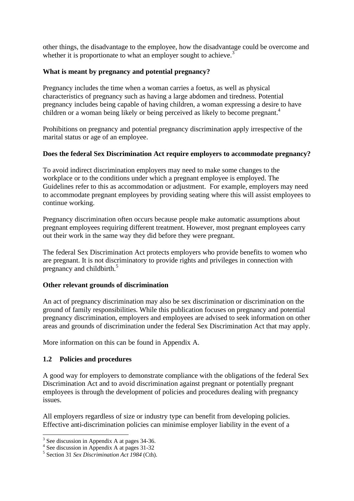other things, the disadvantage to the employee, how the disadvantage could be overcome and whether it is proportionate to what an employer sought to achieve.<sup>3</sup>

### **What is meant by pregnancy and potential pregnancy?**

Pregnancy includes the time when a woman carries a foetus, as well as physical characteristics of pregnancy such as having a large abdomen and tiredness. Potential pregnancy includes being capable of having children, a woman expressing a desire to have children or a woman being likely or being perceived as likely to become pregnant.<sup>4</sup>

Prohibitions on pregnancy and potential pregnancy discrimination apply irrespective of the marital status or age of an employee.

### **Does the federal Sex Discrimination Act require employers to accommodate pregnancy?**

To avoid indirect discrimination employers may need to make some changes to the workplace or to the conditions under which a pregnant employee is employed. The Guidelines refer to this as accommodation or adjustment. For example, employers may need to accommodate pregnant employees by providing seating where this will assist employees to continue working.

Pregnancy discrimination often occurs because people make automatic assumptions about pregnant employees requiring different treatment. However, most pregnant employees carry out their work in the same way they did before they were pregnant.

The federal Sex Discrimination Act protects employers who provide benefits to women who are pregnant. It is not discriminatory to provide rights and privileges in connection with pregnancy and childbirth.<sup>5</sup>

# **Other relevant grounds of discrimination**

An act of pregnancy discrimination may also be sex discrimination or discrimination on the ground of family responsibilities. While this publication focuses on pregnancy and potential pregnancy discrimination, employers and employees are advised to seek information on other areas and grounds of discrimination under the federal Sex Discrimination Act that may apply.

More information on this can be found in Appendix A.

# **1.2 Policies and procedures**

A good way for employers to demonstrate compliance with the obligations of the federal Sex Discrimination Act and to avoid discrimination against pregnant or potentially pregnant employees is through the development of policies and procedures dealing with pregnancy issues.

All employers regardless of size or industry type can benefit from developing policies. Effective anti-discrimination policies can minimise employer liability in the event of a

<sup>&</sup>lt;sup>3</sup> See discussion in Appendix A at pages 34-36.

<sup>4</sup> See discussion in Appendix A at pages 31-32

<sup>5</sup> Section 31 *Sex Discrimination Act 1984* (Cth).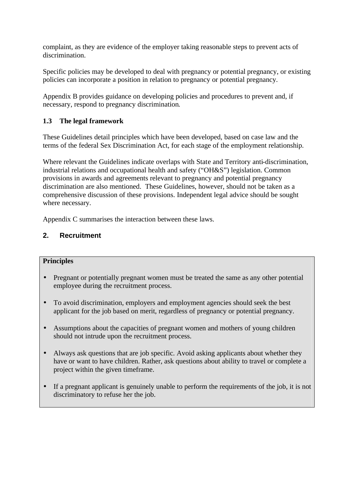complaint, as they are evidence of the employer taking reasonable steps to prevent acts of discrimination.

Specific policies may be developed to deal with pregnancy or potential pregnancy, or existing policies can incorporate a position in relation to pregnancy or potential pregnancy.

Appendix B provides guidance on developing policies and procedures to prevent and, if necessary, respond to pregnancy discrimination.

# **1.3 The legal framework**

These Guidelines detail principles which have been developed, based on case law and the terms of the federal Sex Discrimination Act, for each stage of the employment relationship.

Where relevant the Guidelines indicate overlaps with State and Territory anti-discrimination, industrial relations and occupational health and safety ("OH&S") legislation. Common provisions in awards and agreements relevant to pregnancy and potential pregnancy discrimination are also mentioned. These Guidelines, however, should not be taken as a comprehensive discussion of these provisions. Independent legal advice should be sought where necessary.

Appendix C summarises the interaction between these laws.

# **2. Recruitment**

### **Principles**

- Pregnant or potentially pregnant women must be treated the same as any other potential employee during the recruitment process.
- To avoid discrimination, employers and employment agencies should seek the best applicant for the job based on merit, regardless of pregnancy or potential pregnancy.
- Assumptions about the capacities of pregnant women and mothers of young children should not intrude upon the recruitment process.
- Always ask questions that are job specific. Avoid asking applicants about whether they have or want to have children. Rather, ask questions about ability to travel or complete a project within the given timeframe.
- If a pregnant applicant is genuinely unable to perform the requirements of the job, it is not discriminatory to refuse her the job.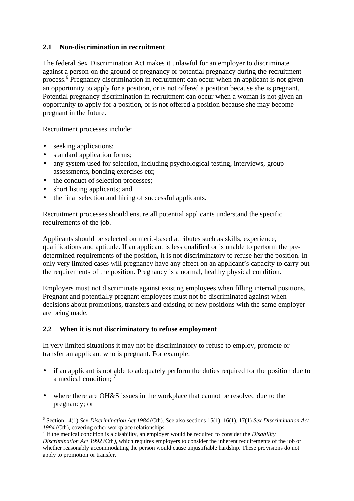# **2.1 Non-discrimination in recruitment**

The federal Sex Discrimination Act makes it unlawful for an employer to discriminate against a person on the ground of pregnancy or potential pregnancy during the recruitment process.<sup>6</sup> Pregnancy discrimination in recruitment can occur when an applicant is not given an opportunity to apply for a position, or is not offered a position because she is pregnant. Potential pregnancy discrimination in recruitment can occur when a woman is not given an opportunity to apply for a position, or is not offered a position because she may become pregnant in the future.

Recruitment processes include:

• seeking applications;

 $\overline{a}$ 

- standard application forms;
- any system used for selection, including psychological testing, interviews, group assessments, bonding exercises etc;
- the conduct of selection processes;
- short listing applicants; and
- the final selection and hiring of successful applicants.

Recruitment processes should ensure all potential applicants understand the specific requirements of the job.

Applicants should be selected on merit-based attributes such as skills, experience, qualifications and aptitude. If an applicant is less qualified or is unable to perform the predetermined requirements of the position, it is not discriminatory to refuse her the position. In only very limited cases will pregnancy have any effect on an applicant's capacity to carry out the requirements of the position. Pregnancy is a normal, healthy physical condition.

Employers must not discriminate against existing employees when filling internal positions. Pregnant and potentially pregnant employees must not be discriminated against when decisions about promotions, transfers and existing or new positions with the same employer are being made.

# **2.2 When it is not discriminatory to refuse employment**

In very limited situations it may not be discriminatory to refuse to employ, promote or transfer an applicant who is pregnant. For example:

- if an applicant is not able to adequately perform the duties required for the position due to a medical condition: <sup>7</sup>
- where there are OH&S issues in the workplace that cannot be resolved due to the pregnancy; or

<sup>6</sup> Section 14(1) *Sex Discrimination Act 1984* (Cth). See also sections 15(1), 16(1), 17(1) *Sex Discrimination Act 1984* (Cth), covering other workplace relationships.

<sup>7</sup> If the medical condition is a disability, an employer would be required to consider the *Disability Discrimination Act 1992 (*Cth*)*, which requires employers to consider the inherent requirements of the job or whether reasonably accommodating the person would cause unjustifiable hardship. These provisions do not apply to promotion or transfer.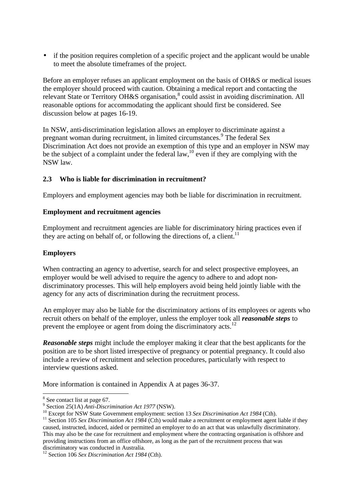• if the position requires completion of a specific project and the applicant would be unable to meet the absolute timeframes of the project.

Before an employer refuses an applicant employment on the basis of OH&S or medical issues the employer should proceed with caution. Obtaining a medical report and contacting the relevant State or Territory OH&S organisation,<sup>8</sup> could assist in avoiding discrimination. All reasonable options for accommodating the applicant should first be considered. See discussion below at pages 16-19.

In NSW, anti-discrimination legislation allows an employer to discriminate against a pregnant woman during recruitment, in limited circumstances.<sup>9</sup> The federal Sex Discrimination Act does not provide an exemption of this type and an employer in NSW may be the subject of a complaint under the federal law,<sup>10</sup> even if they are complying with the NSW law.

# **2.3 Who is liable for discrimination in recruitment?**

Employers and employment agencies may both be liable for discrimination in recruitment.

### **Employment and recruitment agencies**

Employment and recruitment agencies are liable for discriminatory hiring practices even if they are acting on behalf of, or following the directions of, a client.<sup>11</sup>

### **Employers**

When contracting an agency to advertise, search for and select prospective employees, an employer would be well advised to require the agency to adhere to and adopt nondiscriminatory processes. This will help employers avoid being held jointly liable with the agency for any acts of discrimination during the recruitment process.

An employer may also be liable for the discriminatory actions of its employees or agents who recruit others on behalf of the employer, unless the employer took all *reasonable steps* to prevent the employee or agent from doing the discriminatory acts.<sup>12</sup>

*Reasonable steps* might include the employer making it clear that the best applicants for the position are to be short listed irrespective of pregnancy or potential pregnancy. It could also include a review of recruitment and selection procedures, particularly with respect to interview questions asked.

More information is contained in Appendix A at pages 36-37.

 $\overline{a}$ 

 $8$  See contact list at page 67.

<sup>9</sup> Section 25(1A) *Anti-Discrimination Act 1977* (NSW).

<sup>10</sup> Except for NSW State Government employment: section 13 *Sex Discrimination Act 1984* (Cth).

<sup>&</sup>lt;sup>11</sup> Section 105 *Sex Discrimination Act 1984* (Cth) would make a recruitment or employment agent liable if they caused, instructed, induced, aided or permitted an employer to do an act that was unlawfully discriminatory. This may also be the case for recruitment and employment where the contracting organisation is offshore and providing instructions from an office offshore, as long as the part of the recruitment process that was discriminatory was conducted in Australia.

<sup>&</sup>lt;sup>12</sup> Section 106 *Sex Discrimination Act 1984* (Cth).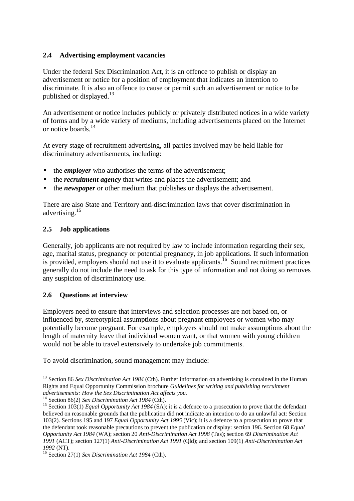# **2.4 Advertising employment vacancies**

Under the federal Sex Discrimination Act, it is an offence to publish or display an advertisement or notice for a position of employment that indicates an intention to discriminate. It is also an offence to cause or permit such an advertisement or notice to be published or displayed.<sup>13</sup>

An advertisement or notice includes publicly or privately distributed notices in a wide variety of forms and by a wide variety of mediums, including advertisements placed on the Internet or notice boards.<sup>14</sup>

At every stage of recruitment advertising, all parties involved may be held liable for discriminatory advertisements, including:

- the *employer* who authorises the terms of the advertisement;
- the *recruitment agency* that writes and places the advertisement; and
- the *newspaper* or other medium that publishes or displays the advertisement.

There are also State and Territory anti-discrimination laws that cover discrimination in advertising.<sup>15</sup>

### **2.5 Job applications**

Generally, job applicants are not required by law to include information regarding their sex, age, marital status, pregnancy or potential pregnancy, in job applications. If such information is provided, employers should not use it to evaluate applicants.<sup>16</sup> Sound recruitment practices generally do not include the need to ask for this type of information and not doing so removes any suspicion of discriminatory use.

### **2.6 Questions at interview**

 $\overline{a}$ 

Employers need to ensure that interviews and selection processes are not based on, or influenced by, stereotypical assumptions about pregnant employees or women who may potentially become pregnant. For example, employers should not make assumptions about the length of maternity leave that individual women want, or that women with young children would not be able to travel extensively to undertake job commitments.

To avoid discrimination, sound management may include:

<sup>&</sup>lt;sup>13</sup> Section 86 *Sex Discrimination Act 1984* (Cth). Further information on advertising is contained in the Human Rights and Equal Opportunity Commission brochure *Guidelines for writing and publishing recruitment advertisements: How the Sex Discrimination Act affects you.*

<sup>14</sup> Section 86(2) *Sex Discrimination Act 1984* (Cth).

<sup>&</sup>lt;sup>15</sup> Section 103(1) *Equal Opportunity Act 1984* (SA); it is a defence to a prosecution to prove that the defendant believed on reasonable grounds that the publication did not indicate an intention to do an unlawful act: Section 103(2). Sections 195 and 197 *Equal Opportunity Act 1995* (Vic); it is a defence to a prosecution to prove that the defendant took reasonable precautions to prevent the publication or display: section 196. Section 68 *Equal Opportunity Act 1984* (WA); section 20 *Anti-Discrimination Act 1998* (Tas); section 69 *Discrimination Act 1991* (ACT); section 127(1) *Anti-Discrimination Act 1991* (Qld); and section 109(1) *Anti-Discrimination Act 1992* (NT).

<sup>16</sup> Section 27(1) *Sex Discrimination Act 1984* (Cth).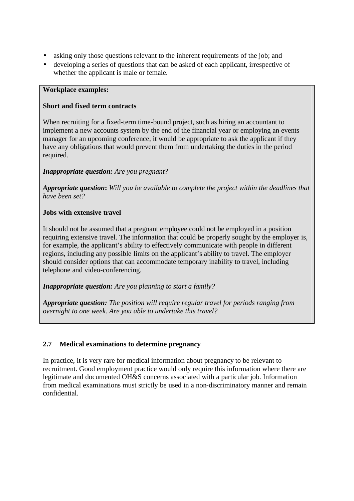- asking only those questions relevant to the inherent requirements of the job; and
- developing a series of questions that can be asked of each applicant, irrespective of whether the applicant is male or female.

### **Workplace examples:**

### **Short and fixed term contracts**

When recruiting for a fixed-term time-bound project, such as hiring an accountant to implement a new accounts system by the end of the financial year or employing an events manager for an upcoming conference, it would be appropriate to ask the applicant if they have any obligations that would prevent them from undertaking the duties in the period required.

# *Inappropriate question: Are you pregnant?*

*Appropriate question***:** *Will you be available to complete the project within the deadlines that have been set?*

# **Jobs with extensive travel**

It should not be assumed that a pregnant employee could not be employed in a position requiring extensive travel. The information that could be properly sought by the employer is, for example, the applicant's ability to effectively communicate with people in different regions, including any possible limits on the applicant's ability to travel. The employer should consider options that can accommodate temporary inability to travel, including telephone and video-conferencing.

*Inappropriate question: Are you planning to start a family?*

*Appropriate question: The position will require regular travel for periods ranging from overnight to one week. Are you able to undertake this travel?*

# **2.7 Medical examinations to determine pregnancy**

In practice, it is very rare for medical information about pregnancy to be relevant to recruitment. Good employment practice would only require this information where there are legitimate and documented OH&S concerns associated with a particular job. Information from medical examinations must strictly be used in a non-discriminatory manner and remain confidential.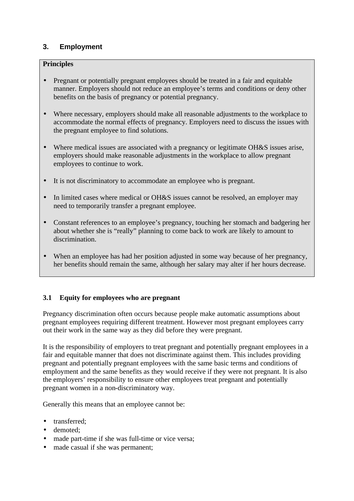# **3. Employment**

# **Principles**

- Pregnant or potentially pregnant employees should be treated in a fair and equitable manner. Employers should not reduce an employee's terms and conditions or deny other benefits on the basis of pregnancy or potential pregnancy.
- Where necessary, employers should make all reasonable adjustments to the workplace to accommodate the normal effects of pregnancy. Employers need to discuss the issues with the pregnant employee to find solutions.
- Where medical issues are associated with a pregnancy or legitimate OH&S issues arise, employers should make reasonable adjustments in the workplace to allow pregnant employees to continue to work.
- It is not discriminatory to accommodate an employee who is pregnant.
- In limited cases where medical or OH&S issues cannot be resolved, an employer may need to temporarily transfer a pregnant employee.
- Constant references to an employee's pregnancy, touching her stomach and badgering her about whether she is "really" planning to come back to work are likely to amount to discrimination.
- When an employee has had her position adjusted in some way because of her pregnancy, her benefits should remain the same, although her salary may alter if her hours decrease.

# **3.1 Equity for employees who are pregnant**

Pregnancy discrimination often occurs because people make automatic assumptions about pregnant employees requiring different treatment. However most pregnant employees carry out their work in the same way as they did before they were pregnant.

It is the responsibility of employers to treat pregnant and potentially pregnant employees in a fair and equitable manner that does not discriminate against them. This includes providing pregnant and potentially pregnant employees with the same basic terms and conditions of employment and the same benefits as they would receive if they were not pregnant. It is also the employers' responsibility to ensure other employees treat pregnant and potentially pregnant women in a non-discriminatory way.

Generally this means that an employee cannot be:

- transferred;
- demoted:
- made part-time if she was full-time or vice versa;
- made casual if she was permanent;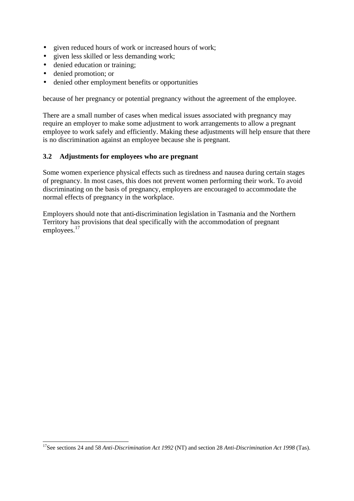- given reduced hours of work or increased hours of work;
- given less skilled or less demanding work;
- denied education or training;
- denied promotion; or
- denied other employment benefits or opportunities

because of her pregnancy or potential pregnancy without the agreement of the employee.

There are a small number of cases when medical issues associated with pregnancy may require an employer to make some adjustment to work arrangements to allow a pregnant employee to work safely and efficiently. Making these adjustments will help ensure that there is no discrimination against an employee because she is pregnant.

# **3.2 Adjustments for employees who are pregnant**

Some women experience physical effects such as tiredness and nausea during certain stages of pregnancy. In most cases, this does not prevent women performing their work. To avoid discriminating on the basis of pregnancy, employers are encouraged to accommodate the normal effects of pregnancy in the workplace.

Employers should note that anti-discrimination legislation in Tasmania and the Northern Territory has provisions that deal specifically with the accommodation of pregnant employees.<sup>17</sup>

 $\overline{a}$ <sup>17</sup>See sections 24 and 58 *Anti-Discrimination Act 1992* (NT) and section 28 *Anti-Discrimination Act 1998* (Tas).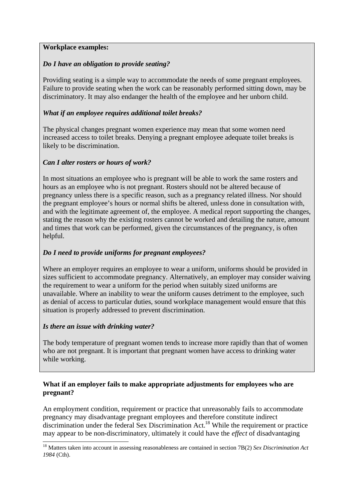### **Workplace examples:**

# *Do I have an obligation to provide seating?*

Providing seating is a simple way to accommodate the needs of some pregnant employees. Failure to provide seating when the work can be reasonably performed sitting down, may be discriminatory. It may also endanger the health of the employee and her unborn child.

# *What if an employee requires additional toilet breaks?*

The physical changes pregnant women experience may mean that some women need increased access to toilet breaks. Denying a pregnant employee adequate toilet breaks is likely to be discrimination.

# *Can I alter rosters or hours of work?*

In most situations an employee who is pregnant will be able to work the same rosters and hours as an employee who is not pregnant. Rosters should not be altered because of pregnancy unless there is a specific reason, such as a pregnancy related illness. Nor should the pregnant employee's hours or normal shifts be altered, unless done in consultation with, and with the legitimate agreement of, the employee. A medical report supporting the changes, stating the reason why the existing rosters cannot be worked and detailing the nature, amount and times that work can be performed, given the circumstances of the pregnancy, is often helpful.

# *Do I need to provide uniforms for pregnant employees?*

Where an employer requires an employee to wear a uniform, uniforms should be provided in sizes sufficient to accommodate pregnancy. Alternatively, an employer may consider waiving the requirement to wear a uniform for the period when suitably sized uniforms are unavailable. Where an inability to wear the uniform causes detriment to the employee, such as denial of access to particular duties, sound workplace management would ensure that this situation is properly addressed to prevent discrimination.

# *Is there an issue with drinking water?*

The body temperature of pregnant women tends to increase more rapidly than that of women who are not pregnant. It is important that pregnant women have access to drinking water while working.

### **What if an employer fails to make appropriate adjustments for employees who are pregnant?**

An employment condition, requirement or practice that unreasonably fails to accommodate pregnancy may disadvantage pregnant employees and therefore constitute indirect discrimination under the federal Sex Discrimination Act.<sup>18</sup> While the requirement or practice may appear to be non-discriminatory, ultimately it could have the *effect* of disadvantaging

 $\overline{\phantom{a}}$ <sup>18</sup> Matters taken into account in assessing reasonableness are contained in section 7B(2) *Sex Discrimination Act 1984* (Cth).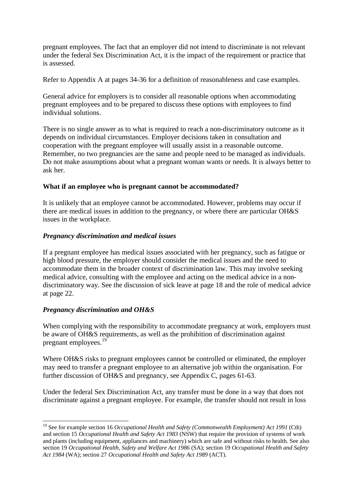pregnant employees. The fact that an employer did not intend to discriminate is not relevant under the federal Sex Discrimination Act, it is the impact of the requirement or practice that is assessed.

Refer to Appendix A at pages 34-36 for a definition of reasonableness and case examples.

General advice for employers is to consider all reasonable options when accommodating pregnant employees and to be prepared to discuss these options with employees to find individual solutions.

There is no single answer as to what is required to reach a non-discriminatory outcome as it depends on individual circumstances. Employer decisions taken in consultation and cooperation with the pregnant employee will usually assist in a reasonable outcome. Remember, no two pregnancies are the same and people need to be managed as individuals. Do not make assumptions about what a pregnant woman wants or needs. It is always better to ask her.

### **What if an employee who is pregnant cannot be accommodated?**

It is unlikely that an employee cannot be accommodated. However, problems may occur if there are medical issues in addition to the pregnancy, or where there are particular OH&S issues in the workplace.

### *Pregnancy discrimination and medical issues*

If a pregnant employee has medical issues associated with her pregnancy, such as fatigue or high blood pressure, the employer should consider the medical issues and the need to accommodate them in the broader context of discrimination law. This may involve seeking medical advice, consulting with the employee and acting on the medical advice in a nondiscriminatory way. See the discussion of sick leave at page 18 and the role of medical advice at page 22.

# *Pregnancy discrimination and OH&S*

 $\overline{a}$ 

When complying with the responsibility to accommodate pregnancy at work, employers must be aware of OH&S requirements, as well as the prohibition of discrimination against pregnant employees.<sup>19</sup>

Where OH&S risks to pregnant employees cannot be controlled or eliminated, the employer may need to transfer a pregnant employee to an alternative job within the organisation. For further discussion of OH&S and pregnancy, see Appendix C, pages 61-63.

Under the federal Sex Discrimination Act, any transfer must be done in a way that does not discriminate against a pregnant employee. For example, the transfer should not result in loss

<sup>19</sup> See for example section 16 *Occupational Health and Safety (Commonwealth Employment) Act 1991* (Cth) and section 15 *Occupational Health and Safety Act 1983* (NSW) that require the provision of systems of work and plants (including equipment, appliances and machinery) which are safe and without risks to health. See also section 19 *Occupational Health, Safety and Welfare Act 1986* (SA); section 19 *Occupational Health and Safety Act 1984* (WA); section 27 *Occupational Health and Safety Act 1989* (ACT).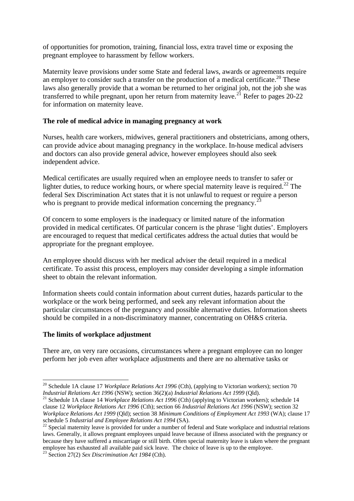of opportunities for promotion, training, financial loss, extra travel time or exposing the pregnant employee to harassment by fellow workers.

Maternity leave provisions under some State and federal laws, awards or agreements require an employer to consider such a transfer on the production of a medical certificate.<sup>20</sup> These laws also generally provide that a woman be returned to her original job, not the job she was transferred to while pregnant, upon her return from maternity leave.<sup>21</sup> Refer to pages 20-22 for information on maternity leave.

### **The role of medical advice in managing pregnancy at work**

Nurses, health care workers, midwives, general practitioners and obstetricians, among others, can provide advice about managing pregnancy in the workplace. In-house medical advisers and doctors can also provide general advice, however employees should also seek independent advice.

Medical certificates are usually required when an employee needs to transfer to safer or lighter duties, to reduce working hours, or where special maternity leave is required.<sup>22</sup> The federal Sex Discrimination Act states that it is not unlawful to request or require a person who is pregnant to provide medical information concerning the pregnancy.<sup>2</sup>

Of concern to some employers is the inadequacy or limited nature of the information provided in medical certificates. Of particular concern is the phrase 'light duties'. Employers are encouraged to request that medical certificates address the actual duties that would be appropriate for the pregnant employee.

An employee should discuss with her medical adviser the detail required in a medical certificate. To assist this process, employers may consider developing a simple information sheet to obtain the relevant information.

Information sheets could contain information about current duties, hazards particular to the workplace or the work being performed, and seek any relevant information about the particular circumstances of the pregnancy and possible alternative duties. Information sheets should be compiled in a non-discriminatory manner, concentrating on OH&S criteria.

### **The limits of workplace adjustment**

 $\overline{\phantom{a}}$ 

There are, on very rare occasions, circumstances where a pregnant employee can no longer perform her job even after workplace adjustments and there are no alternative tasks or

<sup>&</sup>lt;sup>20</sup> Schedule 1A clause 17 *Workplace Relations Act 1996* (Cth), (applying to Victorian workers); section 70 *Industrial Relations Act 1996* (NSW); section 36(2)(a) *Industrial Relations Act 1999* (Qld).

<sup>&</sup>lt;sup>21</sup> Schedule 1A clause 14 *Workplace Relations Act 1996* (Cth) (applying to Victorian workers); schedule 14 clause 12 *Workplace Relations Act 1996* (Cth); section 66 *Industrial Relations Act 1996* (NSW); section 32 *Workplace Relations Act 1999* (Qld); section 38 *Minimum Conditions of Employment Act 1993* (WA); clause 17 schedule 5 *Industrial and Employee Relations Act 1994* (SA).

 $22$  Special maternity leave is provided for under a number of federal and State workplace and industrial relations laws. Generally, it allows pregnant employees unpaid leave because of illness associated with the pregnancy or because they have suffered a miscarriage or still birth. Often special maternity leave is taken where the pregnant employee has exhausted all available paid sick leave. The choice of leave is up to the employee.

<sup>23</sup> Section 27(2) *Sex Discrimination Act 1984* (Cth).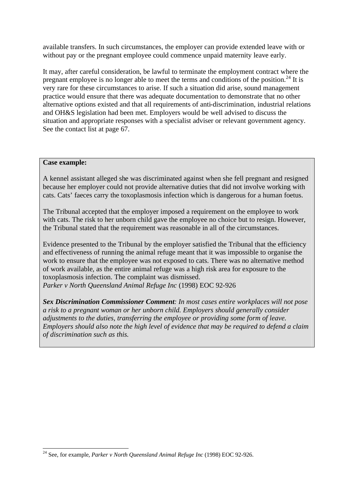available transfers. In such circumstances, the employer can provide extended leave with or without pay or the pregnant employee could commence unpaid maternity leave early.

It may, after careful consideration, be lawful to terminate the employment contract where the pregnant employee is no longer able to meet the terms and conditions of the position.<sup>24</sup> It is very rare for these circumstances to arise. If such a situation did arise, sound management practice would ensure that there was adequate documentation to demonstrate that no other alternative options existed and that all requirements of anti-discrimination, industrial relations and OH&S legislation had been met. Employers would be well advised to discuss the situation and appropriate responses with a specialist adviser or relevant government agency. See the contact list at page 67.

### **Case example:**

A kennel assistant alleged she was discriminated against when she fell pregnant and resigned because her employer could not provide alternative duties that did not involve working with cats. Cats' faeces carry the toxoplasmosis infection which is dangerous for a human foetus.

The Tribunal accepted that the employer imposed a requirement on the employee to work with cats. The risk to her unborn child gave the employee no choice but to resign. However, the Tribunal stated that the requirement was reasonable in all of the circumstances.

Evidence presented to the Tribunal by the employer satisfied the Tribunal that the efficiency and effectiveness of running the animal refuge meant that it was impossible to organise the work to ensure that the employee was not exposed to cats. There was no alternative method of work available, as the entire animal refuge was a high risk area for exposure to the toxoplasmosis infection. The complaint was dismissed. *Parker v North Queensland Animal Refuge Inc* (1998) EOC 92-926

*Sex Discrimination Commissioner Comment: In most cases entire workplaces will not pose a risk to a pregnant woman or her unborn child. Employers should generally consider adjustments to the duties, transferring the employee or providing some form of leave. Employers should also note the high level of evidence that may be required to defend a claim of discrimination such as this.* 

 $\overline{a}$ <sup>24</sup> See, for example*, Parker v North Queensland Animal Refuge Inc* (1998) EOC 92-926.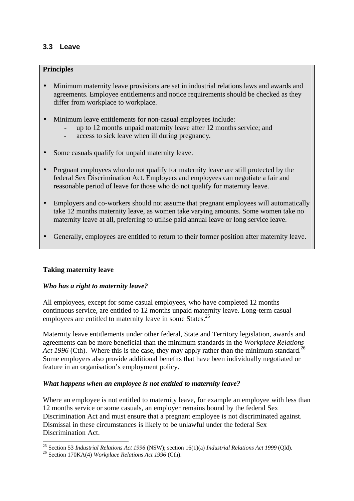# **3.3 Leave**

# **Principles**

- Minimum maternity leave provisions are set in industrial relations laws and awards and agreements. Employee entitlements and notice requirements should be checked as they differ from workplace to workplace.
- Minimum leave entitlements for non-casual employees include:
	- up to 12 months unpaid maternity leave after 12 months service; and
	- access to sick leave when ill during pregnancy.
- Some casuals qualify for unpaid maternity leave.
- Pregnant employees who do not qualify for maternity leave are still protected by the federal Sex Discrimination Act. Employers and employees can negotiate a fair and reasonable period of leave for those who do not qualify for maternity leave.
- Employers and co-workers should not assume that pregnant employees will automatically take 12 months maternity leave, as women take varying amounts. Some women take no maternity leave at all, preferring to utilise paid annual leave or long service leave.
- Generally, employees are entitled to return to their former position after maternity leave.

### **Taking maternity leave**

 $\overline{\phantom{a}}$ 

### *Who has a right to maternity leave?*

All employees, except for some casual employees, who have completed 12 months continuous service, are entitled to 12 months unpaid maternity leave. Long-term casual employees are entitled to maternity leave in some States.<sup>25</sup>

Maternity leave entitlements under other federal, State and Territory legislation, awards and agreements can be more beneficial than the minimum standards in the *Workplace Relations Act 1996* (Cth). Where this is the case, they may apply rather than the minimum standard.<sup>26</sup> Some employers also provide additional benefits that have been individually negotiated or feature in an organisation's employment policy.

### *What happens when an employee is not entitled to maternity leave?*

Where an employee is not entitled to maternity leave, for example an employee with less than 12 months service or some casuals, an employer remains bound by the federal Sex Discrimination Act and must ensure that a pregnant employee is not discriminated against. Dismissal in these circumstances is likely to be unlawful under the federal Sex Discrimination Act.

<sup>25</sup> Section 53 *Industrial Relations Act 1996* (NSW); section 16(1)(a) *Industrial Relations Act 1999* (Qld).

<sup>26</sup> Section 170KA(4) *Workplace Relations Act 1996* (Cth).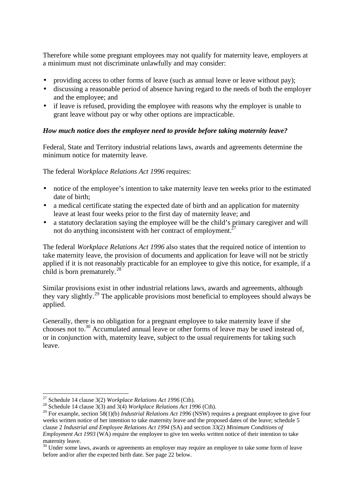Therefore while some pregnant employees may not qualify for maternity leave, employers at a minimum must not discriminate unlawfully and may consider:

- providing access to other forms of leave (such as annual leave or leave without pay);
- discussing a reasonable period of absence having regard to the needs of both the employer and the employee; and
- if leave is refused, providing the employee with reasons why the employer is unable to grant leave without pay or why other options are impracticable.

### *How much notice does the employee need to provide before taking maternity leave?*

Federal, State and Territory industrial relations laws, awards and agreements determine the minimum notice for maternity leave.

The federal *Workplace Relations Act 1996* requires:

- notice of the employee's intention to take maternity leave ten weeks prior to the estimated date of birth;
- a medical certificate stating the expected date of birth and an application for maternity leave at least four weeks prior to the first day of maternity leave; and
- a statutory declaration saying the employee will be the child's primary caregiver and will not do anything inconsistent with her contract of employment.<sup>27</sup>

The federal *Workplace Relations Act 1996* also states that the required notice of intention to take maternity leave, the provision of documents and application for leave will not be strictly applied if it is not reasonably practicable for an employee to give this notice, for example, if a child is born prematurely.<sup>28</sup>

Similar provisions exist in other industrial relations laws, awards and agreements, although they vary slightly.<sup>29</sup> The applicable provisions most beneficial to employees should always be applied.

Generally, there is no obligation for a pregnant employee to take maternity leave if she chooses not to.<sup>30</sup> Accumulated annual leave or other forms of leave may be used instead of, or in conjunction with, maternity leave, subject to the usual requirements for taking such leave.

 $\overline{\phantom{a}}$ 

<sup>27</sup> Schedule 14 clause 3(2) *Workplace Relations Act 1996* (Cth).

<sup>&</sup>lt;sup>28</sup> Schedule 14 clause  $3(3)$  and  $3(4)$  *Workplace Relations Act 1996* (Cth).

<sup>&</sup>lt;sup>29</sup> For example, section 58(1)(b) *Industrial Relations Act 1996* (NSW) requires a pregnant employee to give four weeks written notice of her intention to take maternity leave and the proposed dates of the leave; schedule 5 clause 2 *Industrial and Employee Relations Act 1994* (SA) and section 33(2) *Minimum Conditions of Employment Act 1993* (WA) require the employee to give ten weeks written notice of their intention to take maternity leave.

<sup>&</sup>lt;sup>30</sup> Under some laws, awards or agreements an employer may require an employee to take some form of leave before and/or after the expected birth date. See page 22 below.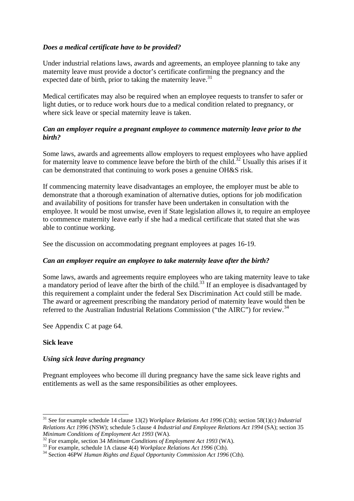### *Does a medical certificate have to be provided?*

Under industrial relations laws, awards and agreements, an employee planning to take any maternity leave must provide a doctor's certificate confirming the pregnancy and the expected date of birth, prior to taking the maternity leave.<sup>31</sup>

Medical certificates may also be required when an employee requests to transfer to safer or light duties, or to reduce work hours due to a medical condition related to pregnancy, or where sick leave or special maternity leave is taken.

### *Can an employer require a pregnant employee to commence maternity leave prior to the birth?*

Some laws, awards and agreements allow employers to request employees who have applied for maternity leave to commence leave before the birth of the child.<sup>32</sup> Usually this arises if it can be demonstrated that continuing to work poses a genuine OH&S risk.

If commencing maternity leave disadvantages an employee, the employer must be able to demonstrate that a thorough examination of alternative duties, options for job modification and availability of positions for transfer have been undertaken in consultation with the employee. It would be most unwise, even if State legislation allows it, to require an employee to commence maternity leave early if she had a medical certificate that stated that she was able to continue working.

See the discussion on accommodating pregnant employees at pages 16-19.

# *Can an employer require an employee to take maternity leave after the birth?*

Some laws, awards and agreements require employees who are taking maternity leave to take a mandatory period of leave after the birth of the child.<sup>33</sup> If an employee is disadvantaged by this requirement a complaint under the federal Sex Discrimination Act could still be made. The award or agreement prescribing the mandatory period of maternity leave would then be referred to the Australian Industrial Relations Commission ("the AIRC") for review.<sup>34</sup>

See Appendix C at page 64.

# **Sick leave**

 $\overline{\phantom{a}}$ 

# *Using sick leave during pregnancy*

Pregnant employees who become ill during pregnancy have the same sick leave rights and entitlements as well as the same responsibilities as other employees.

<sup>31</sup> See for example schedule 14 clause 13(2) *Workplace Relations Act 1996* (Cth); section 58(1)(c) *Industrial Relations Act 1996* (NSW); schedule 5 clause 4 *Industrial and Employee Relations Act 1994* (SA); section 35 *Minimum Conditions of Employment Act 1993* (WA).

<sup>32</sup> For example, section 34 *Minimum Conditions of Employment Act 1993* (WA).

<sup>33</sup> For example, schedule 1A clause 4(4) *Workplace Relations Act 1996* (Cth).

<sup>&</sup>lt;sup>34</sup> Section 46PW *Human Rights and Equal Opportunity Commission Act 1996* (Cth).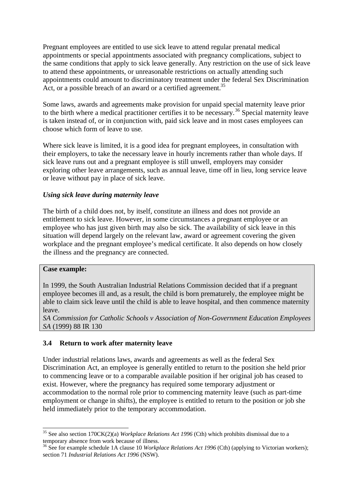Pregnant employees are entitled to use sick leave to attend regular prenatal medical appointments or special appointments associated with pregnancy complications, subject to the same conditions that apply to sick leave generally. Any restriction on the use of sick leave to attend these appointments, or unreasonable restrictions on actually attending such appointments could amount to discriminatory treatment under the federal Sex Discrimination Act, or a possible breach of an award or a certified agreement.<sup>35</sup>

Some laws, awards and agreements make provision for unpaid special maternity leave prior to the birth where a medical practitioner certifies it to be necessary.<sup>36</sup> Special maternity leave is taken instead of, or in conjunction with, paid sick leave and in most cases employees can choose which form of leave to use.

Where sick leave is limited, it is a good idea for pregnant employees, in consultation with their employers, to take the necessary leave in hourly increments rather than whole days. If sick leave runs out and a pregnant employee is still unwell, employers may consider exploring other leave arrangements, such as annual leave, time off in lieu, long service leave or leave without pay in place of sick leave.

### *Using sick leave during maternity leave*

The birth of a child does not, by itself, constitute an illness and does not provide an entitlement to sick leave. However, in some circumstances a pregnant employee or an employee who has just given birth may also be sick. The availability of sick leave in this situation will depend largely on the relevant law, award or agreement covering the given workplace and the pregnant employee's medical certificate. It also depends on how closely the illness and the pregnancy are connected.

### **Case example:**

 $\overline{\phantom{a}}$ 

In 1999, the South Australian Industrial Relations Commission decided that if a pregnant employee becomes ill and, as a result, the child is born prematurely, the employee might be able to claim sick leave until the child is able to leave hospital, and then commence maternity leave.

*SA Commission for Catholic Schools v Association of Non-Government Education Employees SA* (1999) 88 IR 130

### **3.4 Return to work after maternity leave**

Under industrial relations laws, awards and agreements as well as the federal Sex Discrimination Act, an employee is generally entitled to return to the position she held prior to commencing leave or to a comparable available position if her original job has ceased to exist. However, where the pregnancy has required some temporary adjustment or accommodation to the normal role prior to commencing maternity leave (such as part-time employment or change in shifts), the employee is entitled to return to the position or job she held immediately prior to the temporary accommodation.

<sup>35</sup> See also section 170CK(2)(a) *Workplace Relations Act 1996* (Cth) which prohibits dismissal due to a temporary absence from work because of illness.

<sup>36</sup> See for example schedule 1A clause 10 *Workplace Relations Act 1996* (Cth) (applying to Victorian workers); section 71 *Industrial Relations Act 1996* (NSW).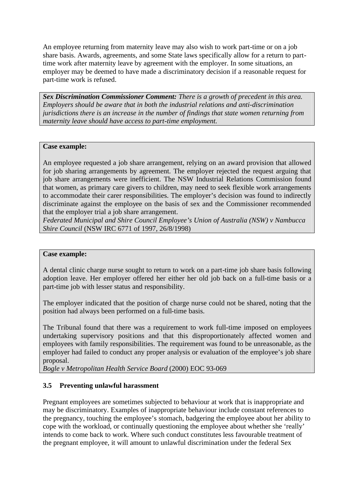An employee returning from maternity leave may also wish to work part-time or on a job share basis. Awards, agreements, and some State laws specifically allow for a return to parttime work after maternity leave by agreement with the employer. In some situations, an employer may be deemed to have made a discriminatory decision if a reasonable request for part-time work is refused.

*Sex Discrimination Commissioner Comment: There is a growth of precedent in this area. Employers should be aware that in both the industrial relations and anti-discrimination jurisdictions there is an increase in the number of findings that state women returning from maternity leave should have access to part-time employment.*

### **Case example:**

An employee requested a job share arrangement, relying on an award provision that allowed for job sharing arrangements by agreement. The employer rejected the request arguing that job share arrangements were inefficient. The NSW Industrial Relations Commission found that women, as primary care givers to children, may need to seek flexible work arrangements to accommodate their carer responsibilities. The employer's decision was found to indirectly discriminate against the employee on the basis of sex and the Commissioner recommended that the employer trial a job share arrangement.

*Federated Municipal and Shire Council Employee's Union of Australia (NSW) v Nambucca Shire Council* (NSW IRC 6771 of 1997, 26/8/1998)

### **Case example:**

A dental clinic charge nurse sought to return to work on a part-time job share basis following adoption leave. Her employer offered her either her old job back on a full-time basis or a part-time job with lesser status and responsibility.

The employer indicated that the position of charge nurse could not be shared, noting that the position had always been performed on a full-time basis.

The Tribunal found that there was a requirement to work full-time imposed on employees undertaking supervisory positions and that this disproportionately affected women and employees with family responsibilities. The requirement was found to be unreasonable, as the employer had failed to conduct any proper analysis or evaluation of the employee's job share proposal.

*Bogle v Metropolitan Health Service Board* (2000) EOC 93-069

# **3.5 Preventing unlawful harassment**

Pregnant employees are sometimes subjected to behaviour at work that is inappropriate and may be discriminatory. Examples of inappropriate behaviour include constant references to the pregnancy, touching the employee's stomach, badgering the employee about her ability to cope with the workload, or continually questioning the employee about whether she 'really' intends to come back to work. Where such conduct constitutes less favourable treatment of the pregnant employee, it will amount to unlawful discrimination under the federal Sex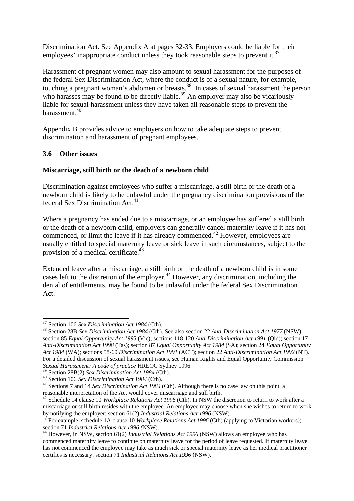Discrimination Act. See Appendix A at pages 32-33. Employers could be liable for their employees' inappropriate conduct unless they took reasonable steps to prevent it.<sup>37</sup>

Harassment of pregnant women may also amount to sexual harassment for the purposes of the federal Sex Discrimination Act, where the conduct is of a sexual nature, for example, touching a pregnant woman's abdomen or breasts.<sup>38</sup> In cases of sexual harassment the person who harasses may be found to be directly liable.<sup>39</sup> An employer may also be vicariously liable for sexual harassment unless they have taken all reasonable steps to prevent the harassment.<sup>40</sup>

Appendix B provides advice to employers on how to take adequate steps to prevent discrimination and harassment of pregnant employees.

### **3.6 Other issues**

### **Miscarriage, still birth or the death of a newborn child**

Discrimination against employees who suffer a miscarriage, a still birth or the death of a newborn child is likely to be unlawful under the pregnancy discrimination provisions of the federal Sex Discrimination Act.<sup>41</sup>

Where a pregnancy has ended due to a miscarriage, or an employee has suffered a still birth or the death of a newborn child, employers can generally cancel maternity leave if it has not commenced, or limit the leave if it has already commenced.<sup>42</sup> However, employees are usually entitled to special maternity leave or sick leave in such circumstances, subject to the provision of a medical certificate.<sup>43</sup>

Extended leave after a miscarriage, a still birth or the death of a newborn child is in some cases left to the discretion of the employer.<sup>44</sup> However, any discrimination, including the denial of entitlements, may be found to be unlawful under the federal Sex Discrimination Act.

 $\overline{\phantom{a}}$ <sup>37</sup> Section 106 *Sex Discrimination Act 1984* (Cth).

<sup>38</sup> Section 28B *Sex Discrimination Act 1984* (Cth). See also section 22 *Anti-Discrimination Act 1977* (NSW); section 85 *Equal Opportunity Act 1995* (Vic); sections 118-120 *Anti-Discrimination Act 1991* (Qld); section 17 *Anti-Discrimination Act 1998* (Tas); section 87 *Equal Opportunity Act 1984* (SA); section 24 *Equal Opportunity Act 1984* (WA); sections 58-60 *Discrimination Act 1991* (ACT); section 22 *Anti-Discrimination Act 1992* (NT). For a detailed discussion of sexual harassment issues, see Human Rights and Equal Opportunity Commission *Sexual Harassment: A code of practice* HREOC Sydney 1996.

<sup>39</sup> Section 28B(2) *Sex Discrimination Act 1984* (Cth).

<sup>40</sup> Section 106 *Sex Discrimination Act 1984* (Cth).

<sup>&</sup>lt;sup>41</sup> Sections 7 and 14 *Sex Discrimination Act 1984* (Cth). Although there is no case law on this point, a reasonable interpretation of the Act would cover miscarriage and still birth.

<sup>&</sup>lt;sup>42</sup> Schedule 14 clause 10 *Workplace Relations Act 1996* (Cth). In NSW the discretion to return to work after a miscarriage or still birth resides with the employee. An employee may choose when she wishes to return to work by notifying the employer: section 61(2) *Industrial Relations Act 1996* (NSW).

<sup>&</sup>lt;sup>43</sup> For example, schedule 1A clause 10 *Workplace Relations Act 1996* (Cth) (applying to Victorian workers); section 71 *Industrial Relations Act 1996 (*NSW).

<sup>44</sup> However, in NSW, section 61(2) *Industrial Relations Act 1996* (NSW) allows an employee who has commenced maternity leave to continue on maternity leave for the period of leave requested. If maternity leave has not commenced the employee may take as much sick or special maternity leave as her medical practitioner certifies is necessary: section 71 *Industrial Relations Act 1996* (NSW).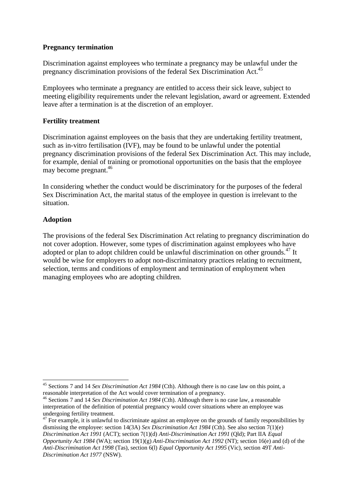### **Pregnancy termination**

Discrimination against employees who terminate a pregnancy may be unlawful under the pregnancy discrimination provisions of the federal Sex Discrimination Act.<sup>45</sup>

Employees who terminate a pregnancy are entitled to access their sick leave, subject to meeting eligibility requirements under the relevant legislation, award or agreement. Extended leave after a termination is at the discretion of an employer.

# **Fertility treatment**

Discrimination against employees on the basis that they are undertaking fertility treatment, such as in-vitro fertilisation (IVF), may be found to be unlawful under the potential pregnancy discrimination provisions of the federal Sex Discrimination Act. This may include, for example, denial of training or promotional opportunities on the basis that the employee may become pregnant.<sup>46</sup>

In considering whether the conduct would be discriminatory for the purposes of the federal Sex Discrimination Act, the marital status of the employee in question is irrelevant to the situation.

### **Adoption**

 $\overline{\phantom{a}}$ 

The provisions of the federal Sex Discrimination Act relating to pregnancy discrimination do not cover adoption. However, some types of discrimination against employees who have adopted or plan to adopt children could be unlawful discrimination on other grounds.<sup>47</sup> It would be wise for employers to adopt non-discriminatory practices relating to recruitment, selection, terms and conditions of employment and termination of employment when managing employees who are adopting children.

<sup>45</sup> Sections 7 and 14 *Sex Discrimination Act 1984* (Cth). Although there is no case law on this point, a reasonable interpretation of the Act would cover termination of a pregnancy.

<sup>46</sup> Sections 7 and 14 *Sex Discrimination Act 1984* (Cth). Although there is no case law, a reasonable interpretation of the definition of potential pregnancy would cover situations where an employee was undergoing fertility treatment.

 $47$  For example, it is unlawful to discriminate against an employee on the grounds of family responsibilities by dismissing the employee: section 14(3A) *Sex Discrimination Act 1984* (Cth). See also section  $7(1)(e)$ *Discrimination Act 1991* (ACT); section 7(1)(d) *Anti-Discrimination Act 1991* (Qld); Part IIA *Equal Opportunity Act 1984* (WA); section 19(1)(g) *Anti-Discrimination Act 1992* (NT); section 16(e) and (d) of the *Anti-Discrimination Act 1998* (Tas), section 6(l) *Equal Opportunity Act 1995* (Vic), section 49T *Anti-Discrimination Act 1977* (NSW).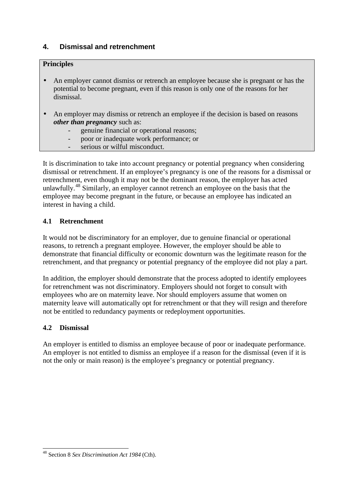# **4. Dismissal and retrenchment**

# **Principles**

- An employer cannot dismiss or retrench an employee because she is pregnant or has the potential to become pregnant, even if this reason is only one of the reasons for her dismissal.
- An employer may dismiss or retrench an employee if the decision is based on reasons *other than pregnancy* such as:
	- genuine financial or operational reasons;
	- poor or inadequate work performance; or
	- serious or wilful misconduct.

It is discrimination to take into account pregnancy or potential pregnancy when considering dismissal or retrenchment. If an employee's pregnancy is one of the reasons for a dismissal or retrenchment, even though it may not be the dominant reason, the employer has acted unlawfully.<sup>48</sup> Similarly, an employer cannot retrench an employee on the basis that the employee may become pregnant in the future, or because an employee has indicated an interest in having a child.

# **4.1 Retrenchment**

It would not be discriminatory for an employer, due to genuine financial or operational reasons, to retrench a pregnant employee. However, the employer should be able to demonstrate that financial difficulty or economic downturn was the legitimate reason for the retrenchment, and that pregnancy or potential pregnancy of the employee did not play a part.

In addition, the employer should demonstrate that the process adopted to identify employees for retrenchment was not discriminatory. Employers should not forget to consult with employees who are on maternity leave. Nor should employers assume that women on maternity leave will automatically opt for retrenchment or that they will resign and therefore not be entitled to redundancy payments or redeployment opportunities.

# **4.2 Dismissal**

An employer is entitled to dismiss an employee because of poor or inadequate performance. An employer is not entitled to dismiss an employee if a reason for the dismissal (even if it is not the only or main reason) is the employee's pregnancy or potential pregnancy.

 $\overline{a}$ <sup>48</sup> Section 8 *Sex Discrimination Act 1984* (Cth).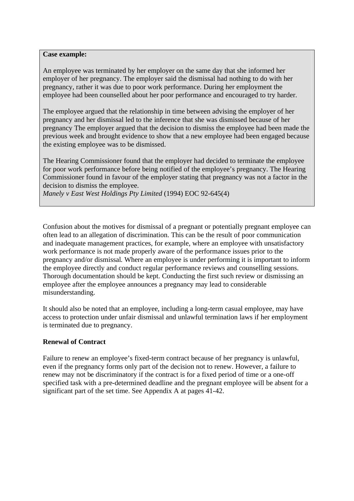#### **Case example:**

An employee was terminated by her employer on the same day that she informed her employer of her pregnancy. The employer said the dismissal had nothing to do with her pregnancy, rather it was due to poor work performance. During her employment the employee had been counselled about her poor performance and encouraged to try harder.

The employee argued that the relationship in time between advising the employer of her pregnancy and her dismissal led to the inference that she was dismissed because of her pregnancy The employer argued that the decision to dismiss the employee had been made the previous week and brought evidence to show that a new employee had been engaged because the existing employee was to be dismissed.

The Hearing Commissioner found that the employer had decided to terminate the employee for poor work performance before being notified of the employee's pregnancy. The Hearing Commissioner found in favour of the employer stating that pregnancy was not a factor in the decision to dismiss the employee.

*Manely v East West Holdings Pty Limited* (1994) EOC 92-645(4)

Confusion about the motives for dismissal of a pregnant or potentially pregnant employee can often lead to an allegation of discrimination. This can be the result of poor communication and inadequate management practices, for example, where an employee with unsatisfactory work performance is not made properly aware of the performance issues prior to the pregnancy and/or dismissal. Where an employee is under performing it is important to inform the employee directly and conduct regular performance reviews and counselling sessions. Thorough documentation should be kept. Conducting the first such review or dismissing an employee after the employee announces a pregnancy may lead to considerable misunderstanding.

It should also be noted that an employee, including a long-term casual employee, may have access to protection under unfair dismissal and unlawful termination laws if her employment is terminated due to pregnancy.

### **Renewal of Contract**

Failure to renew an employee's fixed-term contract because of her pregnancy is unlawful, even if the pregnancy forms only part of the decision not to renew. However, a failure to renew may not be discriminatory if the contract is for a fixed period of time or a one-off specified task with a pre-determined deadline and the pregnant employee will be absent for a significant part of the set time. See Appendix A at pages 41-42.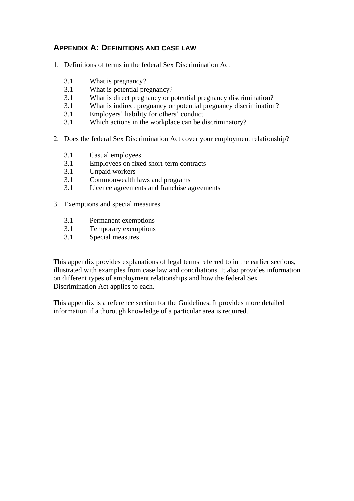# **APPENDIX A: DEFINITIONS AND CASE LAW**

- 1. Definitions of terms in the federal Sex Discrimination Act
	- 3.1 What is pregnancy?
	- 3.1 What is potential pregnancy?
	- 3.1 What is direct pregnancy or potential pregnancy discrimination?
	- 3.1 What is indirect pregnancy or potential pregnancy discrimination?
	- 3.1 Employers' liability for others' conduct.
	- 3.1 Which actions in the workplace can be discriminatory?
- 2. Does the federal Sex Discrimination Act cover your employment relationship?
	- 3.1 Casual employees
	- 3.1 Employees on fixed short-term contracts
	- 3.1 Unpaid workers
	- 3.1 Commonwealth laws and programs
	- 3.1 Licence agreements and franchise agreements
- 3. Exemptions and special measures
	- 3.1 Permanent exemptions
	- 3.1 Temporary exemptions
	- 3.1 Special measures

This appendix provides explanations of legal terms referred to in the earlier sections, illustrated with examples from case law and conciliations. It also provides information on different types of employment relationships and how the federal Sex Discrimination Act applies to each.

This appendix is a reference section for the Guidelines. It provides more detailed information if a thorough knowledge of a particular area is required.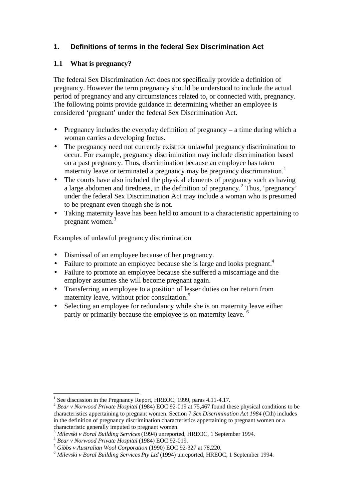# **1. Definitions of terms in the federal Sex Discrimination Act**

# **1.1 What is pregnancy?**

The federal Sex Discrimination Act does not specifically provide a definition of pregnancy. However the term pregnancy should be understood to include the actual period of pregnancy and any circumstances related to, or connected with, pregnancy. The following points provide guidance in determining whether an employee is considered 'pregnant' under the federal Sex Discrimination Act.

- Pregnancy includes the everyday definition of pregnancy a time during which a woman carries a developing foetus.
- The pregnancy need not currently exist for unlawful pregnancy discrimination to occur. For example, pregnancy discrimination may include discrimination based on a past pregnancy. Thus, discrimination because an employee has taken maternity leave or terminated a pregnancy may be pregnancy discrimination.<sup>1</sup>
- The courts have also included the physical elements of pregnancy such as having a large abdomen and tiredness, in the definition of pregnancy.<sup>2</sup> Thus, 'pregnancy' under the federal Sex Discrimination Act may include a woman who is presumed to be pregnant even though she is not.
- Taking maternity leave has been held to amount to a characteristic appertaining to pregnant women.<sup>3</sup>

Examples of unlawful pregnancy discrimination

- Dismissal of an employee because of her pregnancy.
- Failure to promote an employee because she is large and looks pregnant.<sup>4</sup>
- Failure to promote an employee because she suffered a miscarriage and the employer assumes she will become pregnant again.
- Transferring an employee to a position of lesser duties on her return from maternity leave, without prior consultation.<sup>5</sup>
- Selecting an employee for redundancy while she is on maternity leave either partly or primarily because the employee is on maternity leave.

 $\overline{\phantom{a}}$ 

<sup>&</sup>lt;sup>1</sup> See discussion in the Pregnancy Report, HREOC, 1999, paras 4.11-4.17.

<sup>2</sup> *Bear v Norwood Private Hospital* (1984) EOC 92-019 at 75,467 found these physical conditions to be characteristics appertaining to pregnant women. Section 7 *Sex Discrimination Act 1984* (Cth) includes in the definition of pregnancy discrimination characteristics appertaining to pregnant women or a characteristic generally imputed to pregnant women.

<sup>3</sup> *Milevski v Boral Building Services* (1994) unreported, HREOC, 1 September 1994.

<sup>4</sup> *Bear v Norwood Private Hospital* (1984) EOC 92-019.

<sup>5</sup> *Gibbs v Australian Wool Corporation* (1990) EOC 92-327 at 78,220.

<sup>6</sup> *Milevski v Boral Building Services Pty Ltd* (1994) unreported, HREOC, 1 September 1994.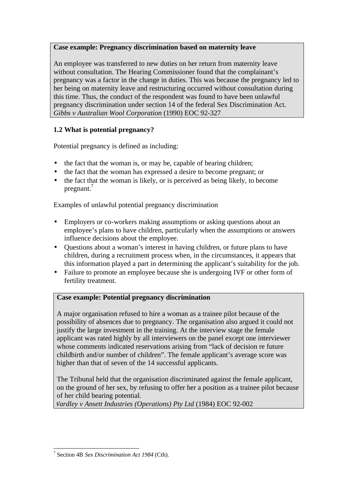# **Case example: Pregnancy discrimination based on maternity leave**

An employee was transferred to new duties on her return from maternity leave without consultation. The Hearing Commissioner found that the complainant's pregnancy was a factor in the change in duties. This was because the pregnancy led to her being on maternity leave and restructuring occurred without consultation during this time. Thus, the conduct of the respondent was found to have been unlawful pregnancy discrimination under section 14 of the federal Sex Discrimination Act. *Gibbs v Australian Wool Corporation* (1990) EOC 92-327

# **1.2 What is potential pregnancy?**

Potential pregnancy is defined as including:

- the fact that the woman is, or may be, capable of bearing children;
- the fact that the woman has expressed a desire to become pregnant; or
- the fact that the woman is likely, or is perceived as being likely, to become pregnant.

Examples of unlawful potential pregnancy discrimination

- Employers or co-workers making assumptions or asking questions about an employee's plans to have children, particularly when the assumptions or answers influence decisions about the employee.
- Questions about a woman's interest in having children, or future plans to have children, during a recruitment process when, in the circumstances, it appears that this information played a part in determining the applicant's suitability for the job.
- Failure to promote an employee because she is undergoing IVF or other form of fertility treatment.

# **Case example: Potential pregnancy discrimination**

A major organisation refused to hire a woman as a trainee pilot because of the possibility of absences due to pregnancy. The organisation also argued it could not justify the large investment in the training. At the interview stage the female applicant was rated highly by all interviewers on the panel except one interviewer whose comments indicated reservations arising from "lack of decision re future childbirth and/or number of children". The female applicant's average score was higher than that of seven of the 14 successful applicants.

The Tribunal held that the organisation discriminated against the female applicant, on the ground of her sex, by refusing to offer her a position as a trainee pilot because of her child bearing potential.

*Wardley v Ansett Industries (Operations) Pty Ltd* (1984) EOC 92-002

 7 Section 4B *Sex Discrimination Act 1984* (Cth).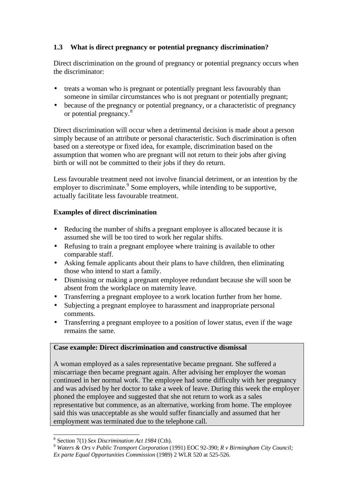## **1.3 What is direct pregnancy or potential pregnancy discrimination?**

Direct discrimination on the ground of pregnancy or potential pregnancy occurs when the discriminator:

- treats a woman who is pregnant or potentially pregnant less favourably than someone in similar circumstances who is not pregnant or potentially pregnant;
- because of the pregnancy or potential pregnancy, or a characteristic of pregnancy or potential pregnancy.<sup>8</sup>

Direct discrimination will occur when a detrimental decision is made about a person simply because of an attribute or personal characteristic. Such discrimination is often based on a stereotype or fixed idea, for example, discrimination based on the assumption that women who are pregnant will not return to their jobs after giving birth or will not be committed to their jobs if they do return.

Less favourable treatment need not involve financial detriment, or an intention by the employer to discriminate. Some employers, while intending to be supportive, actually facilitate less favourable treatment.

## **Examples of direct discrimination**

- Reducing the number of shifts a pregnant employee is allocated because it is assumed she will be too tired to work her regular shifts.
- Refusing to train a pregnant employee where training is available to other comparable staff.
- Asking female applicants about their plans to have children, then eliminating those who intend to start a family.
- Dismissing or making a pregnant employee redundant because she will soon be absent from the workplace on maternity leave.
- Transferring a pregnant employee to a work location further from her home.
- Subjecting a pregnant employee to harassment and inappropriate personal comments.
- Transferring a pregnant employee to a position of lower status, even if the wage remains the same.

## **Case example: Direct discrimination and constructive dismissal**

A woman employed as a sales representative became pregnant. She suffered a miscarriage then became pregnant again. After advising her employer the woman continued in her normal work. The employee had some difficulty with her pregnancy and was advised by her doctor to take a week of leave. During this week the employer phoned the employee and suggested that she not return to work as a sales representative but commence, as an alternative, working from home. The employee said this was unacceptable as she would suffer financially and assumed that her employment was terminated due to the telephone call.

<sup>8</sup> Section 7(1) *Sex Discrimination Act 1984* (Cth).

<sup>9</sup> *Waters & Ors v Public Transport Corporation* (1991) EOC 92-390; *R v Birmingham City Council;* 

*Ex parte Equal Opportunities Commission* (1989) 2 WLR 520 at 525-526.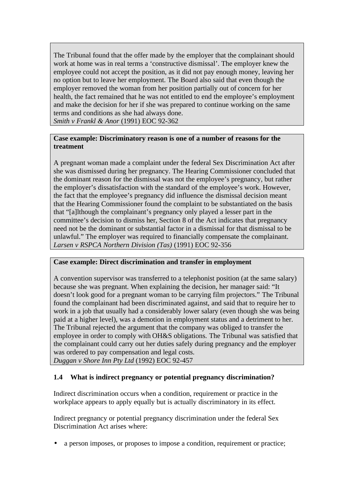The Tribunal found that the offer made by the employer that the complainant should work at home was in real terms a 'constructive dismissal'. The employer knew the employee could not accept the position, as it did not pay enough money, leaving her no option but to leave her employment. The Board also said that even though the employer removed the woman from her position partially out of concern for her health, the fact remained that he was not entitled to end the employee's employment and make the decision for her if she was prepared to continue working on the same terms and conditions as she had always done.

*Smith v Frankl & Anor* (1991) EOC 92-362

### **Case example: Discriminatory reason is one of a number of reasons for the treatment**

A pregnant woman made a complaint under the federal Sex Discrimination Act after she was dismissed during her pregnancy. The Hearing Commissioner concluded that the dominant reason for the dismissal was not the employee's pregnancy, but rather the employer's dissatisfaction with the standard of the employee's work. However, the fact that the employee's pregnancy did influence the dismissal decision meant that the Hearing Commissioner found the complaint to be substantiated on the basis that "[a]lthough the complainant's pregnancy only played a lesser part in the committee's decision to dismiss her, Section 8 of the Act indicates that pregnancy need not be the dominant or substantial factor in a dismissal for that dismissal to be unlawful." The employer was required to financially compensate the complainant. *Larsen v RSPCA Northern Division (Tas)* (1991) EOC 92-356

## **Case example: Direct discrimination and transfer in employment**

A convention supervisor was transferred to a telephonist position (at the same salary) because she was pregnant. When explaining the decision, her manager said: "It doesn't look good for a pregnant woman to be carrying film projectors." The Tribunal found the complainant had been discriminated against, and said that to require her to work in a job that usually had a considerably lower salary (even though she was being paid at a higher level), was a demotion in employment status and a detriment to her. The Tribunal rejected the argument that the company was obliged to transfer the employee in order to comply with OH&S obligations*.* The Tribunal was satisfied that the complainant could carry out her duties safely during pregnancy and the employer was ordered to pay compensation and legal costs.

*Duggan v Shore Inn Pty Ltd* (1992) EOC 92-457

## **1.4 What is indirect pregnancy or potential pregnancy discrimination?**

Indirect discrimination occurs when a condition, requirement or practice in the workplace appears to apply equally but is actually discriminatory in its effect.

Indirect pregnancy or potential pregnancy discrimination under the federal Sex Discrimination Act arises where:

• a person imposes, or proposes to impose a condition, requirement or practice;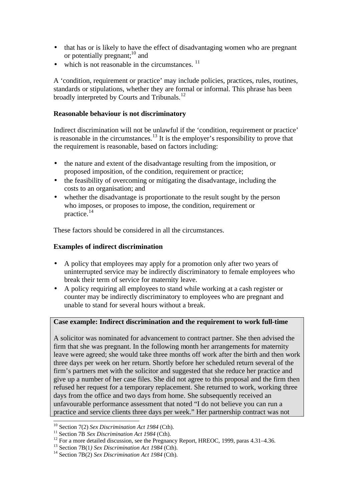- that has or is likely to have the effect of disadvantaging women who are pregnant or potentially pregnant; $^{10}$  and
- which is not reasonable in the circumstances.  $11$

A 'condition, requirement or practice' may include policies, practices, rules, routines, standards or stipulations, whether they are formal or informal. This phrase has been broadly interpreted by Courts and Tribunals.<sup>12</sup>

### **Reasonable behaviour is not discriminatory**

Indirect discrimination will not be unlawful if the 'condition, requirement or practice' is reasonable in the circumstances.<sup>13</sup> It is the employer's responsibility to prove that the requirement is reasonable, based on factors including:

- the nature and extent of the disadvantage resulting from the imposition, or proposed imposition, of the condition, requirement or practice;
- the feasibility of overcoming or mitigating the disadvantage, including the costs to an organisation; and
- whether the disadvantage is proportionate to the result sought by the person who imposes, or proposes to impose, the condition, requirement or practice.<sup>14</sup>

These factors should be considered in all the circumstances.

### **Examples of indirect discrimination**

- A policy that employees may apply for a promotion only after two years of uninterrupted service may be indirectly discriminatory to female employees who break their term of service for maternity leave.
- A policy requiring all employees to stand while working at a cash register or counter may be indirectly discriminatory to employees who are pregnant and unable to stand for several hours without a break.

### **Case example: Indirect discrimination and the requirement to work full-time**

A solicitor was nominated for advancement to contract partner. She then advised the firm that she was pregnant. In the following month her arrangements for maternity leave were agreed; she would take three months off work after the birth and then work three days per week on her return. Shortly before her scheduled return several of the firm's partners met with the solicitor and suggested that she reduce her practice and give up a number of her case files. She did not agree to this proposal and the firm then refused her request for a temporary replacement. She returned to work, working three days from the office and two days from home. She subsequently received an unfavourable performance assessment that noted "I do not believe you can run a practice and service clients three days per week." Her partnership contract was not

<sup>10</sup> Section 7(2) *Sex Discrimination Act 1984* (Cth).

<sup>&</sup>lt;sup>11</sup> Section 7B *Sex Discrimination Act 1984* (Cth).

 $12$  For a more detailed discussion, see the Pregnancy Report, HREOC, 1999, paras 4.31–4.36.

<sup>13</sup> Section 7B(1*) Sex Discrimination Act 1984* (Cth).

<sup>14</sup> Section 7B(2) *Sex Discrimination Act 1984* (Cth).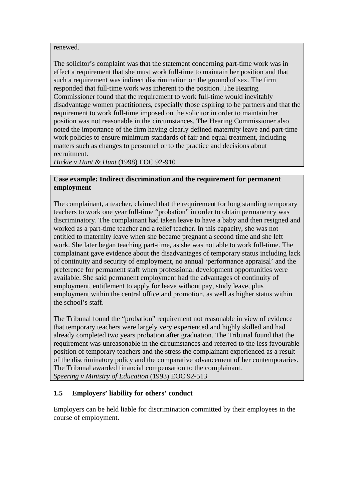renewed.

The solicitor's complaint was that the statement concerning part-time work was in effect a requirement that she must work full-time to maintain her position and that such a requirement was indirect discrimination on the ground of sex. The firm responded that full-time work was inherent to the position. The Hearing Commissioner found that the requirement to work full-time would inevitably disadvantage women practitioners, especially those aspiring to be partners and that the requirement to work full-time imposed on the solicitor in order to maintain her position was not reasonable in the circumstances. The Hearing Commissioner also noted the importance of the firm having clearly defined maternity leave and part-time work policies to ensure minimum standards of fair and equal treatment, including matters such as changes to personnel or to the practice and decisions about recruitment.

*Hickie v Hunt & Hunt* (1998) EOC 92-910

#### **Case example: Indirect discrimination and the requirement for permanent employment**

The complainant, a teacher, claimed that the requirement for long standing temporary teachers to work one year full-time "probation" in order to obtain permanency was discriminatory. The complainant had taken leave to have a baby and then resigned and worked as a part-time teacher and a relief teacher. In this capacity, she was not entitled to maternity leave when she became pregnant a second time and she left work. She later began teaching part-time, as she was not able to work full-time. The complainant gave evidence about the disadvantages of temporary status including lack of continuity and security of employment, no annual 'performance appraisal' and the preference for permanent staff when professional development opportunities were available. She said permanent employment had the advantages of continuity of employment, entitlement to apply for leave without pay, study leave, plus employment within the central office and promotion, as well as higher status within the school's staff.

The Tribunal found the "probation" requirement not reasonable in view of evidence that temporary teachers were largely very experienced and highly skilled and had already completed two years probation after graduation. The Tribunal found that the requirement was unreasonable in the circumstances and referred to the less favourable position of temporary teachers and the stress the complainant experienced as a result of the discriminatory policy and the comparative advancement of her contemporaries. The Tribunal awarded financial compensation to the complainant. *Speering v Ministry of Education* (1993) EOC 92-513

## **1.5 Employers' liability for others' conduct**

Employers can be held liable for discrimination committed by their employees in the course of employment.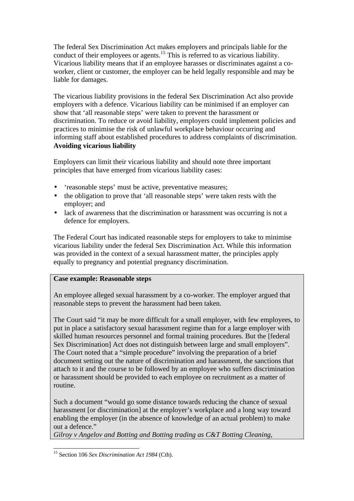The federal Sex Discrimination Act makes employers and principals liable for the conduct of their employees or agents.<sup>15</sup> This is referred to as vicarious liability. Vicarious liability means that if an employee harasses or discriminates against a coworker, client or customer, the employer can be held legally responsible and may be liable for damages.

The vicarious liability provisions in the federal Sex Discrimination Act also provide employers with a defence. Vicarious liability can be minimised if an employer can show that 'all reasonable steps' were taken to prevent the harassment or discrimination. To reduce or avoid liability, employers could implement policies and practices to minimise the risk of unlawful workplace behaviour occurring and informing staff about established procedures to address complaints of discrimination. **Avoiding vicarious liability**

Employers can limit their vicarious liability and should note three important principles that have emerged from vicarious liability cases:

- 'reasonable steps' must be active, preventative measures;
- the obligation to prove that 'all reasonable steps' were taken rests with the employer; and
- lack of awareness that the discrimination or harassment was occurring is not a defence for employers.

The Federal Court has indicated reasonable steps for employers to take to minimise vicarious liability under the federal Sex Discrimination Act. While this information was provided in the context of a sexual harassment matter, the principles apply equally to pregnancy and potential pregnancy discrimination.

## **Case example: Reasonable steps**

An employee alleged sexual harassment by a co-worker. The employer argued that reasonable steps to prevent the harassment had been taken.

The Court said "it may be more difficult for a small employer, with few employees, to put in place a satisfactory sexual harassment regime than for a large employer with skilled human resources personnel and formal training procedures. But the [federal Sex Discrimination] Act does not distinguish between large and small employers". The Court noted that a "simple procedure" involving the preparation of a brief document setting out the nature of discrimination and harassment, the sanctions that attach to it and the course to be followed by an employee who suffers discrimination or harassment should be provided to each employee on recruitment as a matter of routine.

Such a document "would go some distance towards reducing the chance of sexual harassment [or discrimination] at the employer's workplace and a long way toward enabling the employer (in the absence of knowledge of an actual problem) to make out a defence."

*Gilroy v Angelov and Botting and Botting trading as C&T Botting Cleaning*,

 $\overline{a}$ <sup>15</sup> Section 106 *Sex Discrimination Act 1984* (Cth).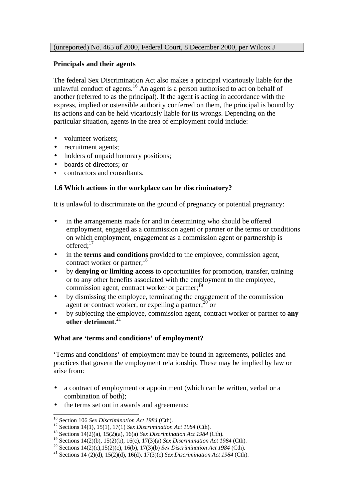### **Principals and their agents**

The federal Sex Discrimination Act also makes a principal vicariously liable for the unlawful conduct of agents.<sup>16</sup> An agent is a person authorised to act on behalf of another (referred to as the principal). If the agent is acting in accordance with the express, implied or ostensible authority conferred on them, the principal is bound by its actions and can be held vicariously liable for its wrongs. Depending on the particular situation, agents in the area of employment could include:

- volunteer workers:
- recruitment agents;
- holders of unpaid honorary positions;
- boards of directors; or
- contractors and consultants.

### **1.6 Which actions in the workplace can be discriminatory?**

It is unlawful to discriminate on the ground of pregnancy or potential pregnancy:

- in the arrangements made for and in determining who should be offered employment, engaged as a commission agent or partner or the terms or conditions on which employment, engagement as a commission agent or partnership is offered:<sup>17</sup>
- in the **terms and conditions** provided to the employee, commission agent, contract worker or partner;<sup>18</sup>
- by **denying or limiting access** to opportunities for promotion, transfer, training or to any other benefits associated with the employment to the employee, commission agent, contract worker or partner; $<sup>19</sup>$ </sup>
- by dismissing the employee, terminating the engagement of the commission agent or contract worker, or expelling a partner; $^{20}$  or
- by subjecting the employee, commission agent, contract worker or partner to **any other detriment**. 21

#### **What are 'terms and conditions' of employment?**

'Terms and conditions' of employment may be found in agreements, policies and practices that govern the employment relationship. These may be implied by law or arise from:

- a contract of employment or appointment (which can be written, verbal or a combination of both);
- the terms set out in awards and agreements;

<sup>16</sup> Section 106 *Sex Discrimination Act 1984* (Cth).

<sup>17</sup> Sections 14(1), 15(1), 17(1) *Sex Discrimination Act 1984* (Cth).

<sup>18</sup> Sections 14(2)(a), 15(2)(a), 16(a) *Sex Discrimination Act 1984* (Cth).

<sup>19</sup> Sections 14(2)(b), 15(2)(b), 16(c), 17(3)(a) *Sex Discrimination Act 1984* (Cth).

<sup>20</sup> Sections 14(2)(c),15(2)(c), 16(b), 17(3)(b) *Sex Discrimination Act 1984* (Cth).

<sup>21</sup> Sections 14 (2)(d), 15(2)(d), 16(d), 17(3)(c) *Sex Discrimination Act 1984* (Cth).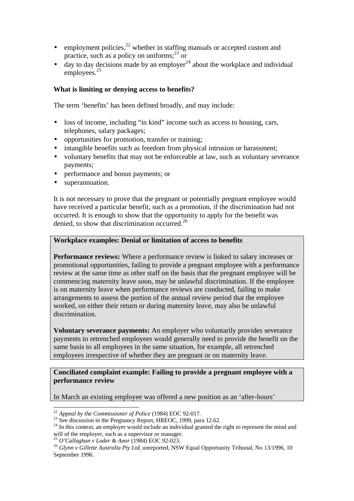- employment policies, $^{22}$  whether in staffing manuals or accepted custom and practice, such as a policy on uniforms; $^{23}$  or
- day to day decisions made by an employer<sup>24</sup> about the workplace and individual employees.<sup>25</sup>

## **What is limiting or denying access to benefits?**

The term 'benefits' has been defined broadly, and may include:

- loss of income, including "in kind" income such as access to housing, cars, telephones, salary packages;
- opportunities for promotion, transfer or training;
- intangible benefits such as freedom from physical intrusion or harassment;
- voluntary benefits that may not be enforceable at law, such as voluntary severance payments;
- performance and bonus payments; or
- superannuation.

It is not necessary to prove that the pregnant or potentially pregnant employee would have received a particular benefit, such as a promotion, if the discrimination had not occurred. It is enough to show that the opportunity to apply for the benefit was denied, to show that discrimination occurred.<sup>26</sup>

#### **Workplace examples: Denial or limitation of access to benefits**

**Performance reviews:** Where a performance review is linked to salary increases or promotional opportunities, failing to provide a pregnant employee with a performance review at the same time as other staff on the basis that the pregnant employee will be commencing maternity leave soon, may be unlawful discrimination. If the employee is on maternity leave when performance reviews are conducted, failing to make arrangements to assess the portion of the annual review period that the employee worked, on either their return or during maternity leave, may also be unlawful discrimination.

**Voluntary severance payments:** An employer who voluntarily provides severance payments to retrenched employees would generally need to provide the benefit on the same basis to all employees in the same situation, for example, all retrenched employees irrespective of whether they are pregnant or on maternity leave.

### **Conciliated complaint example: Failing to provide a pregnant employee with a performance review**

In March an existing employee was offered a new position as an 'after-hours'

<sup>22</sup> *Appeal by the Commissioner of Police* (1984) EOC 92-017.

 $^{23}$  See discussion in the Pregnancy Report, HREOC, 1999, para 12.62.

<sup>&</sup>lt;sup>24</sup> In this context, an employer would include an individual granted the right to represent the mind and will of the employer, such as a supervisor or manager.

<sup>25</sup> *O'Callaghan v Loder & Anor* (1984) EOC 92-023.

<sup>&</sup>lt;sup>26</sup> Glynn v Gillette Australia Pty Ltd, unreported, NSW Equal Opportunity Tribunal, No 13/1996, 10 September 1996.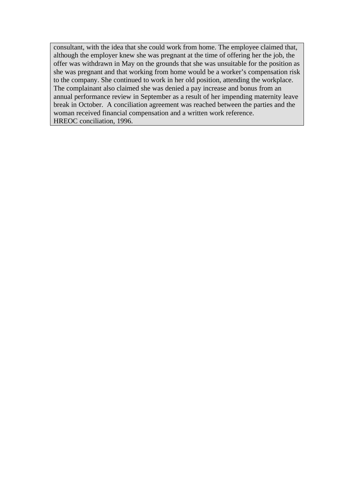consultant, with the idea that she could work from home. The employee claimed that, although the employer knew she was pregnant at the time of offering her the job, the offer was withdrawn in May on the grounds that she was unsuitable for the position as she was pregnant and that working from home would be a worker's compensation risk to the company. She continued to work in her old position, attending the workplace. The complainant also claimed she was denied a pay increase and bonus from an annual performance review in September as a result of her impending maternity leave break in October. A conciliation agreement was reached between the parties and the woman received financial compensation and a written work reference. HREOC conciliation, 1996.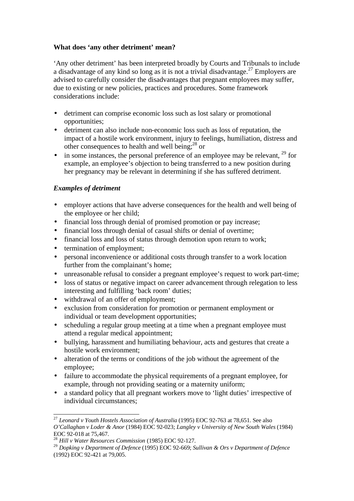## **What does 'any other detriment' mean?**

'Any other detriment' has been interpreted broadly by Courts and Tribunals to include a disadvantage of any kind so long as it is not a trivial disadvantage.<sup>27</sup> Employers are advised to carefully consider the disadvantages that pregnant employees may suffer, due to existing or new policies, practices and procedures. Some framework considerations include:

- detriment can comprise economic loss such as lost salary or promotional opportunities;
- detriment can also include non-economic loss such as loss of reputation, the impact of a hostile work environment, injury to feelings, humiliation, distress and other consequences to health and well being; $^{28}$  or
- in some instances, the personal preference of an employee may be relevant,  $^{29}$  for example, an employee's objection to being transferred to a new position during her pregnancy may be relevant in determining if she has suffered detriment.

## *Examples of detriment*

- employer actions that have adverse consequences for the health and well being of the employee or her child;
- financial loss through denial of promised promotion or pay increase;
- financial loss through denial of casual shifts or denial of overtime;
- financial loss and loss of status through demotion upon return to work;
- termination of employment;
- personal inconvenience or additional costs through transfer to a work location further from the complainant's home;
- unreasonable refusal to consider a pregnant employee's request to work part-time;
- loss of status or negative impact on career advancement through relegation to less interesting and fulfilling 'back room' duties;
- withdrawal of an offer of employment:
- exclusion from consideration for promotion or permanent employment or individual or team development opportunities;
- scheduling a regular group meeting at a time when a pregnant employee must attend a regular medical appointment;
- bullying, harassment and humiliating behaviour, acts and gestures that create a hostile work environment;
- alteration of the terms or conditions of the job without the agreement of the employee;
- failure to accommodate the physical requirements of a pregnant employee, for example, through not providing seating or a maternity uniform;
- a standard policy that all pregnant workers move to 'light duties' irrespective of individual circumstances;

<sup>27</sup> *Leonard v Youth Hostels Association of Australia* (1995) EOC 92-763 at 78,651. See also *O'Callaghan v Loder & Anor* (1984) EOC 92-023; *Langley v University of New South Wales* (1984) EOC 92-018 at 75,467.

<sup>28</sup> *Hill v Water Resources Commission* (1985) EOC 92-127.

<sup>29</sup> *Dopking v Department of Defence* (1995) EOC 92-669; *Sullivan & Ors v Department of Defence* (1992) EOC 92-421 at 79,005.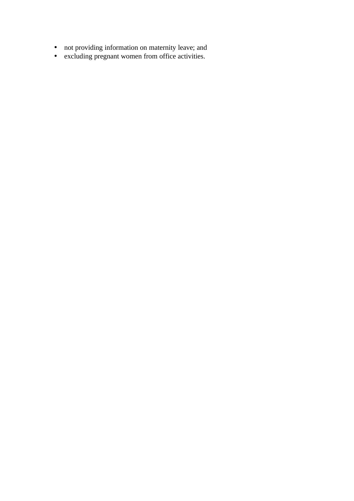- not providing information on maternity leave; and
- excluding pregnant women from office activities.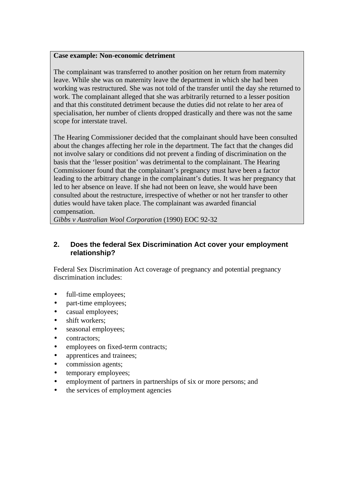#### **Case example: Non-economic detriment**

The complainant was transferred to another position on her return from maternity leave. While she was on maternity leave the department in which she had been working was restructured. She was not told of the transfer until the day she returned to work. The complainant alleged that she was arbitrarily returned to a lesser position and that this constituted detriment because the duties did not relate to her area of specialisation, her number of clients dropped drastically and there was not the same scope for interstate travel.

The Hearing Commissioner decided that the complainant should have been consulted about the changes affecting her role in the department. The fact that the changes did not involve salary or conditions did not prevent a finding of discrimination on the basis that the 'lesser position' was detrimental to the complainant. The Hearing Commissioner found that the complainant's pregnancy must have been a factor leading to the arbitrary change in the complainant's duties. It was her pregnancy that led to her absence on leave. If she had not been on leave, she would have been consulted about the restructure, irrespective of whether or not her transfer to other duties would have taken place. The complainant was awarded financial compensation.

*Gibbs v Australian Wool Corporation* (1990) EOC 92-32

## **2. Does the federal Sex Discrimination Act cover your employment relationship?**

Federal Sex Discrimination Act coverage of pregnancy and potential pregnancy discrimination includes:

- full-time employees;
- part-time employees;
- casual employees;
- shift workers:
- seasonal employees:
- contractors;
- employees on fixed-term contracts;
- apprentices and trainees:
- commission agents;
- temporary employees;
- employment of partners in partnerships of six or more persons; and
- the services of employment agencies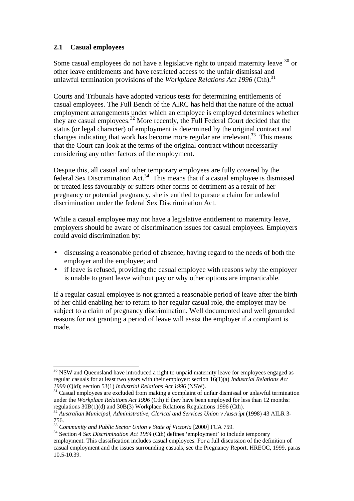## **2.1 Casual employees**

Some casual employees do not have a legislative right to unpaid maternity leave  $30$  or other leave entitlements and have restricted access to the unfair dismissal and unlawful termination provisions of the *Workplace Relations Act 1996* (Cth).<sup>31</sup>

Courts and Tribunals have adopted various tests for determining entitlements of casual employees. The Full Bench of the AIRC has held that the nature of the actual employment arrangements under which an employee is employed determines whether they are casual employees.<sup>32</sup> More recently, the Full Federal Court decided that the status (or legal character) of employment is determined by the original contract and changes indicating that work has become more regular are irrelevant.<sup>33</sup> This means that the Court can look at the terms of the original contract without necessarily considering any other factors of the employment.

Despite this, all casual and other temporary employees are fully covered by the federal Sex Discrimination Act.<sup>34</sup> This means that if a casual employee is dismissed or treated less favourably or suffers other forms of detriment as a result of her pregnancy or potential pregnancy, she is entitled to pursue a claim for unlawful discrimination under the federal Sex Discrimination Act.

While a casual employee may not have a legislative entitlement to maternity leave, employers should be aware of discrimination issues for casual employees. Employers could avoid discrimination by:

- discussing a reasonable period of absence, having regard to the needs of both the employer and the employee; and
- if leave is refused, providing the casual employee with reasons why the employer is unable to grant leave without pay or why other options are impracticable.

If a regular casual employee is not granted a reasonable period of leave after the birth of her child enabling her to return to her regular casual role, the employer may be subject to a claim of pregnancy discrimination. Well documented and well grounded reasons for not granting a period of leave will assist the employer if a complaint is made.

 $\overline{a}$  $30$  NSW and Queensland have introduced a right to unpaid maternity leave for employees engaged as regular casuals for at least two years with their employer: section 16(1)(a) *Industrial Relations Act 1999* (Qld); section 53(1) *Industrial Relations Act 1996* (NSW).

 $31$  Casual employees are excluded from making a complaint of unfair dismissal or unlawful termination  $31$ under the *Workplace Relations Act 1996* (Cth) if they have been employed for less than 12 months: regulations 30B(1)(d) and 30B(3) Workplace Relations Regulations 1996 (Cth).

<sup>32</sup> *Australian Municipal, Administrative, Clerical and Services Union v Auscript* (1998) 43 AILR 3- 756.

<sup>&</sup>lt;sup>33</sup> *Community and Public Sector Union v State of Victoria* [2000] FCA 759.

<sup>34</sup> Section 4 *Sex Discrimination Act 1984* (Cth) defines 'employment' to include temporary employment. This classification includes casual employees. For a full discussion of the definition of casual employment and the issues surrounding casuals, see the Pregnancy Report, HREOC, 1999, paras 10.5-10.39.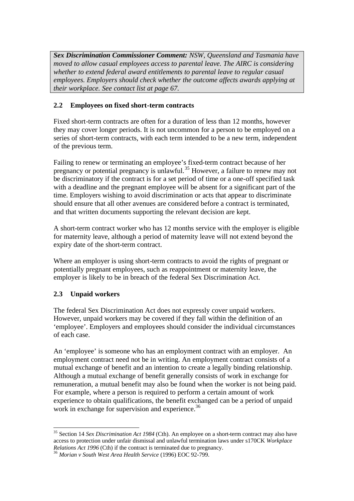*Sex Discrimination Commissioner Comment: NSW, Queensland and Tasmania have moved to allow casual employees access to parental leave. The AIRC is considering whether to extend federal award entitlements to parental leave to regular casual employees. Employers should check whether the outcome affects awards applying at their workplace. See contact list at page 67.*

## **2.2 Employees on fixed short-term contracts**

Fixed short-term contracts are often for a duration of less than 12 months, however they may cover longer periods. It is not uncommon for a person to be employed on a series of short-term contracts, with each term intended to be a new term, independent of the previous term.

Failing to renew or terminating an employee's fixed-term contract because of her pregnancy or potential pregnancy is unlawful.<sup>35</sup> However, a failure to renew may not be discriminatory if the contract is for a set period of time or a one-off specified task with a deadline and the pregnant employee will be absent for a significant part of the time. Employers wishing to avoid discrimination or acts that appear to discriminate should ensure that all other avenues are considered before a contract is terminated, and that written documents supporting the relevant decision are kept.

A short-term contract worker who has 12 months service with the employer is eligible for maternity leave, although a period of maternity leave will not extend beyond the expiry date of the short-term contract.

Where an employer is using short-term contracts to avoid the rights of pregnant or potentially pregnant employees, such as reappointment or maternity leave, the employer is likely to be in breach of the federal Sex Discrimination Act.

## **2.3 Unpaid workers**

The federal Sex Discrimination Act does not expressly cover unpaid workers. However, unpaid workers may be covered if they fall within the definition of an 'employee'. Employers and employees should consider the individual circumstances of each case.

An 'employee' is someone who has an employment contract with an employer. An employment contract need not be in writing. An employment contract consists of a mutual exchange of benefit and an intention to create a legally binding relationship. Although a mutual exchange of benefit generally consists of work in exchange for remuneration, a mutual benefit may also be found when the worker is not being paid. For example, where a person is required to perform a certain amount of work experience to obtain qualifications, the benefit exchanged can be a period of unpaid work in exchange for supervision and experience.<sup>36</sup>

 $\overline{a}$ <sup>35</sup> Section 14 *Sex Discrimination Act 1984* (Cth). An employee on a short-term contract may also have access to protection under unfair dismissal and unlawful termination laws under s170CK *Workplace Relations Act 1996* (Cth) if the contract is terminated due to pregnancy.

<sup>36</sup> *Morian v South West Area Health Service* (1996) EOC 92-799.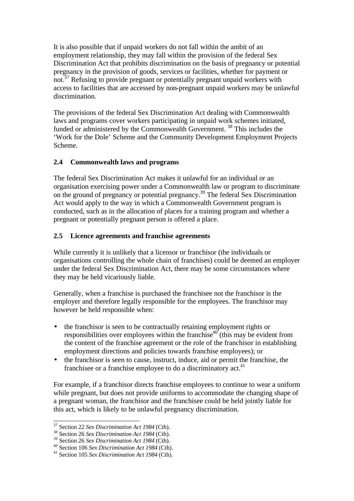It is also possible that if unpaid workers do not fall within the ambit of an employment relationship, they may fall within the provision of the federal Sex Discrimination Act that prohibits discrimination on the basis of pregnancy or potential pregnancy in the provision of goods, services or facilities, whether for payment or not.<sup>37</sup> Refusing to provide pregnant or potentially pregnant unpaid workers with access to facilities that are accessed by non-pregnant unpaid workers may be unlawful discrimination.

The provisions of the federal Sex Discrimination Act dealing with Commonwealth laws and programs cover workers participating in unpaid work schemes initiated, funded or administered by the Commonwealth Government.<sup>38</sup> This includes the 'Work for the Dole' Scheme and the Community Development Employment Projects Scheme.

## **2.4 Commonwealth laws and programs**

The federal Sex Discrimination Act makes it unlawful for an individual or an organisation exercising power under a Commonwealth law or program to discriminate on the ground of pregnancy or potential pregnancy.<sup>39</sup> The federal Sex Discrimination Act would apply to the way in which a Commonwealth Government program is conducted, such as in the allocation of places for a training program and whether a pregnant or potentially pregnant person is offered a place.

### **2.5 Licence agreements and franchise agreements**

While currently it is unlikely that a licensor or franchisor (the individuals or organisations controlling the whole chain of franchises) could be deemed an employer under the federal Sex Discrimination Act, there may be some circumstances where they may be held vicariously liable.

Generally, when a franchise is purchased the franchisee not the franchisor is the employer and therefore legally responsible for the employees. The franchisor may however be held responsible when:

- the franchisor is seen to be contractually retaining employment rights or responsibilities over employees within the franchise<sup>40</sup> (this may be evident from the content of the franchise agreement or the role of the franchisor in establishing employment directions and policies towards franchise employees); or
- the franchisor is seen to cause, instruct, induce, aid or permit the franchise, the franchisee or a franchise employee to do a discriminatory act.<sup>41</sup>

For example, if a franchisor directs franchise employees to continue to wear a uniform while pregnant, but does not provide uniforms to accommodate the changing shape of a pregnant woman, the franchisor and the franchisee could be held jointly liable for this act, which is likely to be unlawful pregnancy discrimination.

<sup>37</sup> Section 22 *Sex Discrimination Act 1984* (Cth).

<sup>38</sup> Section 26 *Sex Discrimination Act 1984* (Cth).

<sup>39</sup> Section 26 *Sex Discrimination Act 1984* (Cth).

<sup>40</sup> Section 106 *Sex Discrimination Act 1984* (Cth).

<sup>41</sup> Section 105 *Sex Discrimination Act 1984* (Cth).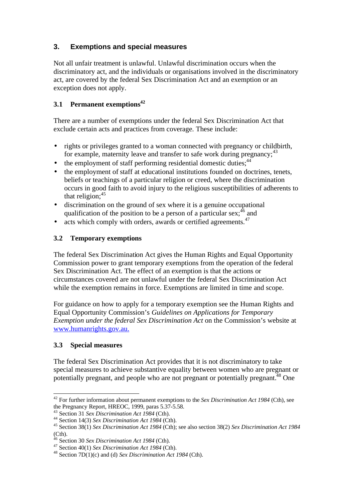## **3. Exemptions and special measures**

Not all unfair treatment is unlawful. Unlawful discrimination occurs when the discriminatory act, and the individuals or organisations involved in the discriminatory act, are covered by the federal Sex Discrimination Act and an exemption or an exception does not apply.

## **3.1 Permanent exemptions<sup>42</sup>**

There are a number of exemptions under the federal Sex Discrimination Act that exclude certain acts and practices from coverage. These include:

- rights or privileges granted to a woman connected with pregnancy or childbirth, for example, maternity leave and transfer to safe work during pregnancy;  $43$
- $\bullet$  the employment of staff performing residential domestic duties:  $44$
- the employment of staff at educational institutions founded on doctrines, tenets, beliefs or teachings of a particular religion or creed, where the discrimination occurs in good faith to avoid injury to the religious susceptibilities of adherents to that religion:<sup>45</sup>
- discrimination on the ground of sex where it is a genuine occupational qualification of the position to be a person of a particular sex;  $46$  and
- acts which comply with orders, awards or certified agreements. $47$

## **3.2 Temporary exemptions**

The federal Sex Discrimination Act gives the Human Rights and Equal Opportunity Commission power to grant temporary exemptions from the operation of the federal Sex Discrimination Act. The effect of an exemption is that the actions or circumstances covered are not unlawful under the federal Sex Discrimination Act while the exemption remains in force. Exemptions are limited in time and scope.

For guidance on how to apply for a temporary exemption see the Human Rights and Equal Opportunity Commission's *Guidelines on Applications for Temporary Exemption under the federal Sex Discrimination Act* on the Commission's website at www.humanrights.gov.au.

## **3.3 Special measures**

 $\overline{\phantom{a}}$ 

The federal Sex Discrimination Act provides that it is not discriminatory to take special measures to achieve substantive equality between women who are pregnant or potentially pregnant, and people who are not pregnant or potentially pregnant.<sup>48</sup> One

<sup>42</sup> For further information about permanent exemptions to the *Sex Discrimination Act 1984* (Cth), see the Pregnancy Report, HREOC, 1999, paras 5.37-5.58.

<sup>43</sup> Section 31 *Sex Discrimination Act 1984* (Cth).

<sup>44</sup> Section 14(3) *Sex Discrimination Act 1984* (Cth).

<sup>45</sup> Section 38(1) *Sex Discrimination Act 1984* (Cth); see also section 38(2) *Sex Discrimination Act 1984* (Cth).

<sup>46</sup> Section 30 *Sex Discrimination Act 1984* (Cth).

<sup>47</sup> Section 40(1) *Sex Discrimination Act 1984* (Cth).

<sup>48</sup> Section 7D(1)(c) and (d) *Sex Discrimination Act 1984* (Cth).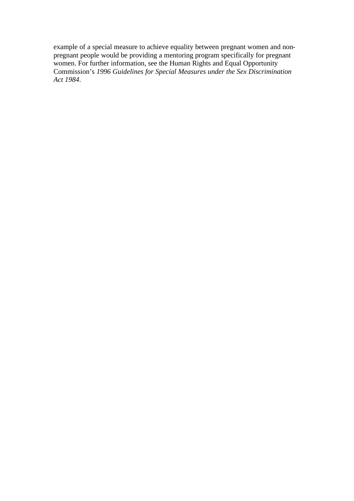example of a special measure to achieve equality between pregnant women and nonpregnant people would be providing a mentoring program specifically for pregnant women. For further information, see the Human Rights and Equal Opportunity Commission's *1996 Guidelines for Special Measures under the Sex Discrimination Act 1984*.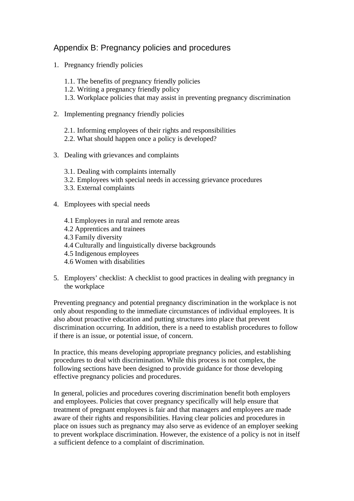# Appendix B: Pregnancy policies and procedures

- 1. Pregnancy friendly policies
	- 1.1. The benefits of pregnancy friendly policies
	- 1.2. Writing a pregnancy friendly policy
	- 1.3. Workplace policies that may assist in preventing pregnancy discrimination
- 2. Implementing pregnancy friendly policies
	- 2.1. Informing employees of their rights and responsibilities
	- 2.2. What should happen once a policy is developed?
- 3. Dealing with grievances and complaints
	- 3.1. Dealing with complaints internally
	- 3.2. Employees with special needs in accessing grievance procedures
	- 3.3. External complaints
- 4. Employees with special needs
	- 4.1 Employees in rural and remote areas
	- 4.2 Apprentices and trainees
	- 4.3 Family diversity
	- 4.4 Culturally and linguistically diverse backgrounds
	- 4.5 Indigenous employees
	- 4.6 Women with disabilities
- 5. Employers' checklist: A checklist to good practices in dealing with pregnancy in the workplace

Preventing pregnancy and potential pregnancy discrimination in the workplace is not only about responding to the immediate circumstances of individual employees. It is also about proactive education and putting structures into place that prevent discrimination occurring. In addition, there is a need to establish procedures to follow if there is an issue, or potential issue, of concern.

In practice, this means developing appropriate pregnancy policies, and establishing procedures to deal with discrimination. While this process is not complex, the following sections have been designed to provide guidance for those developing effective pregnancy policies and procedures.

In general, policies and procedures covering discrimination benefit both employers and employees. Policies that cover pregnancy specifically will help ensure that treatment of pregnant employees is fair and that managers and employees are made aware of their rights and responsibilities. Having clear policies and procedures in place on issues such as pregnancy may also serve as evidence of an employer seeking to prevent workplace discrimination. However, the existence of a policy is not in itself a sufficient defence to a complaint of discrimination.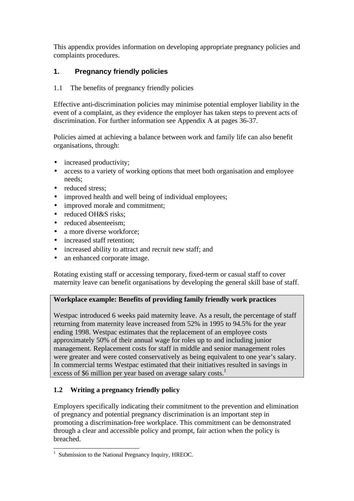This appendix provides information on developing appropriate pregnancy policies and complaints procedures.

## **1. Pregnancy friendly policies**

## 1.1 The benefits of pregnancy friendly policies

Effective anti-discrimination policies may minimise potential employer liability in the event of a complaint, as they evidence the employer has taken steps to prevent acts of discrimination. For further information see Appendix A at pages 36-37.

Policies aimed at achieving a balance between work and family life can also benefit organisations, through:

- increased productivity;
- access to a variety of working options that meet both organisation and employee needs;
- reduced stress:
- improved health and well being of individual employees;
- improved morale and commitment;
- reduced OH&S risks;
- reduced absenteeism:
- a more diverse workforce:
- increased staff retention:
- increased ability to attract and recruit new staff; and
- an enhanced corporate image.

Rotating existing staff or accessing temporary, fixed-term or casual staff to cover maternity leave can benefit organisations by developing the general skill base of staff.

## **Workplace example: Benefits of providing family friendly work practices**

Westpac introduced 6 weeks paid maternity leave. As a result, the percentage of staff returning from maternity leave increased from 52% in 1995 to 94.5% for the year ending 1998. Westpac estimates that the replacement of an employee costs approximately 50% of their annual wage for roles up to and including junior management. Replacement costs for staff in middle and senior management roles were greater and were costed conservatively as being equivalent to one year's salary. In commercial terms Westpac estimated that their initiatives resulted in savings in excess of \$6 million per year based on average salary costs.<sup>1</sup>

## **1.2 Writing a pregnancy friendly policy**

Employers specifically indicating their commitment to the prevention and elimination of pregnancy and potential pregnancy discrimination is an important step in promoting a discrimination-free workplace. This commitment can be demonstrated through a clear and accessible policy and prompt, fair action when the policy is breached.

 $\overline{\phantom{a}}$ 1 Submission to the National Pregnancy Inquiry, HREOC.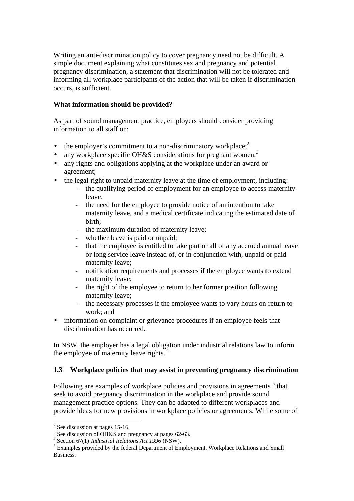Writing an anti-discrimination policy to cover pregnancy need not be difficult. A simple document explaining what constitutes sex and pregnancy and potential pregnancy discrimination, a statement that discrimination will not be tolerated and informing all workplace participants of the action that will be taken if discrimination occurs, is sufficient.

### **What information should be provided?**

As part of sound management practice, employers should consider providing information to all staff on:

- the employer's commitment to a non-discriminatory workplace; $2^2$
- any workplace specific OH&S considerations for pregnant women;<sup>3</sup>
- any rights and obligations applying at the workplace under an award or agreement;
- the legal right to unpaid maternity leave at the time of employment, including:
	- the qualifying period of employment for an employee to access maternity leave;
	- the need for the employee to provide notice of an intention to take maternity leave, and a medical certificate indicating the estimated date of birth;
	- the maximum duration of maternity leave;
	- whether leave is paid or unpaid;
	- that the employee is entitled to take part or all of any accrued annual leave or long service leave instead of, or in conjunction with, unpaid or paid maternity leave;
	- notification requirements and processes if the employee wants to extend maternity leave;
	- the right of the employee to return to her former position following maternity leave;
	- the necessary processes if the employee wants to vary hours on return to work; and
- information on complaint or grievance procedures if an employee feels that discrimination has occurred.

In NSW, the employer has a legal obligation under industrial relations law to inform the employee of maternity leave rights.<sup>4</sup>

## **1.3 Workplace policies that may assist in preventing pregnancy discrimination**

Following are examples of workplace policies and provisions in agreements  $<sup>5</sup>$  that</sup> seek to avoid pregnancy discrimination in the workplace and provide sound management practice options. They can be adapted to different workplaces and provide ideas for new provisions in workplace policies or agreements. While some of

 $\overline{\phantom{a}}$  $2$  See discussion at pages 15-16.

<sup>&</sup>lt;sup>3</sup> See discussion of OH&S and pregnancy at pages 62-63.

<sup>4</sup> Section 67(1) *Industrial Relations Act 1996* (NSW).

<sup>&</sup>lt;sup>5</sup> Examples provided by the federal Department of Employment, Workplace Relations and Small Business.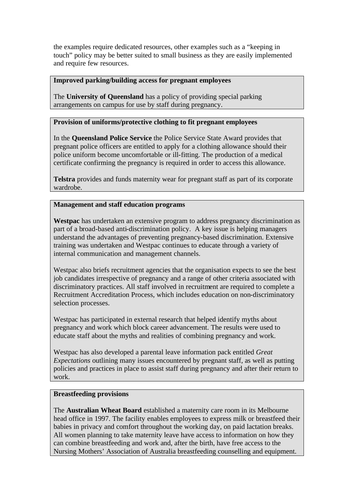the examples require dedicated resources, other examples such as a "keeping in touch" policy may be better suited to small business as they are easily implemented and require few resources.

#### **Improved parking/building access for pregnant employees**

The **University of Queensland** has a policy of providing special parking arrangements on campus for use by staff during pregnancy.

#### **Provision of uniforms/protective clothing to fit pregnant employees**

In the **Queensland Police Service** the Police Service State Award provides that pregnant police officers are entitled to apply for a clothing allowance should their police uniform become uncomfortable or ill-fitting. The production of a medical certificate confirming the pregnancy is required in order to access this allowance.

**Telstra** provides and funds maternity wear for pregnant staff as part of its corporate wardrobe.

#### **Management and staff education programs**

**Westpac** has undertaken an extensive program to address pregnancy discrimination as part of a broad-based anti-discrimination policy. A key issue is helping managers understand the advantages of preventing pregnancy-based discrimination. Extensive training was undertaken and Westpac continues to educate through a variety of internal communication and management channels.

Westpac also briefs recruitment agencies that the organisation expects to see the best job candidates irrespective of pregnancy and a range of other criteria associated with discriminatory practices. All staff involved in recruitment are required to complete a Recruitment Accreditation Process, which includes education on non-discriminatory selection processes.

Westpac has participated in external research that helped identify myths about pregnancy and work which block career advancement. The results were used to educate staff about the myths and realities of combining pregnancy and work.

Westpac has also developed a parental leave information pack entitled *Great Expectations* outlining many issues encountered by pregnant staff, as well as putting policies and practices in place to assist staff during pregnancy and after their return to work.

### **Breastfeeding provisions**

The **Australian Wheat Board** established a maternity care room in its Melbourne head office in 1997. The facility enables employees to express milk or breastfeed their babies in privacy and comfort throughout the working day, on paid lactation breaks. All women planning to take maternity leave have access to information on how they can combine breastfeeding and work and, after the birth, have free access to the Nursing Mothers' Association of Australia breastfeeding counselling and equipment.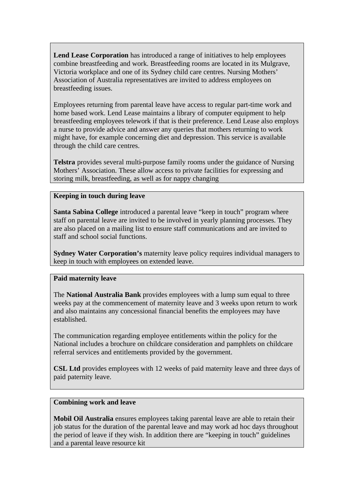**Lend Lease Corporation** has introduced a range of initiatives to help employees combine breastfeeding and work. Breastfeeding rooms are located in its Mulgrave, Victoria workplace and one of its Sydney child care centres. Nursing Mothers' Association of Australia representatives are invited to address employees on breastfeeding issues.

Employees returning from parental leave have access to regular part-time work and home based work. Lend Lease maintains a library of computer equipment to help breastfeeding employees telework if that is their preference. Lend Lease also employs a nurse to provide advice and answer any queries that mothers returning to work might have, for example concerning diet and depression. This service is available through the child care centres.

**Telstra** provides several multi-purpose family rooms under the guidance of Nursing Mothers' Association. These allow access to private facilities for expressing and storing milk, breastfeeding, as well as for nappy changing

### **Keeping in touch during leave**

**Santa Sabina College** introduced a parental leave "keep in touch" program where staff on parental leave are invited to be involved in yearly planning processes. They are also placed on a mailing list to ensure staff communications and are invited to staff and school social functions.

**Sydney Water Corporation's** maternity leave policy requires individual managers to keep in touch with employees on extended leave.

#### **Paid maternity leave**

The **National Australia Bank** provides employees with a lump sum equal to three weeks pay at the commencement of maternity leave and 3 weeks upon return to work and also maintains any concessional financial benefits the employees may have established.

The communication regarding employee entitlements within the policy for the National includes a brochure on childcare consideration and pamphlets on childcare referral services and entitlements provided by the government.

**CSL Ltd** provides employees with 12 weeks of paid maternity leave and three days of paid paternity leave.

#### **Combining work and leave**

**Mobil Oil Australia** ensures employees taking parental leave are able to retain their job status for the duration of the parental leave and may work ad hoc days throughout the period of leave if they wish. In addition there are "keeping in touch" guidelines and a parental leave resource kit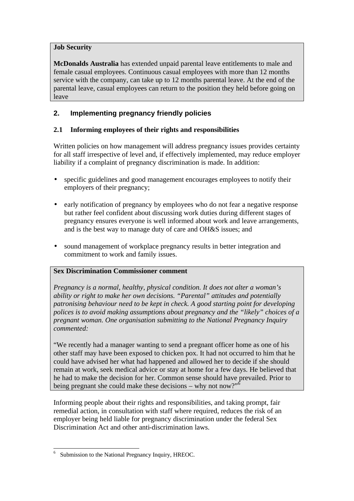## **Job Security**

**McDonalds Australia** has extended unpaid parental leave entitlements to male and female casual employees. Continuous casual employees with more than 12 months service with the company, can take up to 12 months parental leave. At the end of the parental leave, casual employees can return to the position they held before going on leave

## **2. Implementing pregnancy friendly policies**

## **2.1 Informing employees of their rights and responsibilities**

Written policies on how management will address pregnancy issues provides certainty for all staff irrespective of level and, if effectively implemented, may reduce employer liability if a complaint of pregnancy discrimination is made. In addition:

- specific guidelines and good management encourages employees to notify their employers of their pregnancy;
- early notification of pregnancy by employees who do not fear a negative response but rather feel confident about discussing work duties during different stages of pregnancy ensures everyone is well informed about work and leave arrangements, and is the best way to manage duty of care and OH&S issues; and
- sound management of workplace pregnancy results in better integration and commitment to work and family issues.

## **Sex Discrimination Commissioner comment**

*Pregnancy is a normal, healthy, physical condition. It does not alter a woman's ability or right to make her own decisions. "Parental" attitudes and potentially patronising behaviour need to be kept in check. A good starting point for developing polices is to avoid making assumptions about pregnancy and the "likely" choices of a pregnant woman. One organisation submitting to the National Pregnancy Inquiry commented:*

"We recently had a manager wanting to send a pregnant officer home as one of his other staff may have been exposed to chicken pox. It had not occurred to him that he could have advised her what had happened and allowed her to decide if she should remain at work, seek medical advice or stay at home for a few days. He believed that he had to make the decision for her. Common sense should have prevailed. Prior to being pregnant she could make these decisions – why not now?"<sup>6</sup>

Informing people about their rights and responsibilities, and taking prompt, fair remedial action, in consultation with staff where required, reduces the risk of an employer being held liable for pregnancy discrimination under the federal Sex Discrimination Act and other anti-discrimination laws.

 6 Submission to the National Pregnancy Inquiry, HREOC.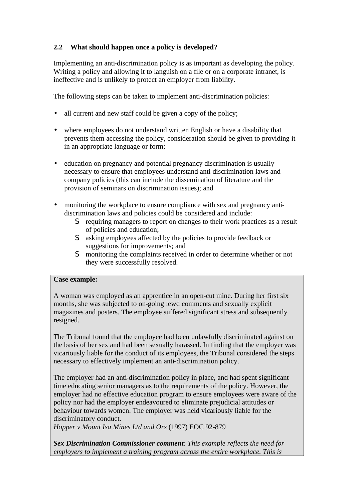## **2.2 What should happen once a policy is developed?**

Implementing an anti-discrimination policy is as important as developing the policy. Writing a policy and allowing it to languish on a file or on a corporate intranet, is ineffective and is unlikely to protect an employer from liability.

The following steps can be taken to implement anti-discrimination policies:

- all current and new staff could be given a copy of the policy;
- where employees do not understand written English or have a disability that prevents them accessing the policy, consideration should be given to providing it in an appropriate language or form;
- education on pregnancy and potential pregnancy discrimination is usually necessary to ensure that employees understand anti-discrimination laws and company policies (this can include the dissemination of literature and the provision of seminars on discrimination issues); and
- monitoring the workplace to ensure compliance with sex and pregnancy antidiscrimination laws and policies could be considered and include:
	- S requiring managers to report on changes to their work practices as a result of policies and education;
	- S asking employees affected by the policies to provide feedback or suggestions for improvements; and
	- S monitoring the complaints received in order to determine whether or not they were successfully resolved.

## **Case example:**

A woman was employed as an apprentice in an open-cut mine. During her first six months, she was subjected to on-going lewd comments and sexually explicit magazines and posters. The employee suffered significant stress and subsequently resigned.

The Tribunal found that the employee had been unlawfully discriminated against on the basis of her sex and had been sexually harassed. In finding that the employer was vicariously liable for the conduct of its employees, the Tribunal considered the steps necessary to effectively implement an anti-discrimination policy.

The employer had an anti-discrimination policy in place, and had spent significant time educating senior managers as to the requirements of the policy. However, the employer had no effective education program to ensure employees were aware of the policy nor had the employer endeavoured to eliminate prejudicial attitudes or behaviour towards women. The employer was held vicariously liable for the discriminatory conduct.

*Hopper v Mount Isa Mines Ltd and Ors* (1997) EOC 92-879

*Sex Discrimination Commissioner comment: This example reflects the need for employers to implement a training program across the entire workplace. This is*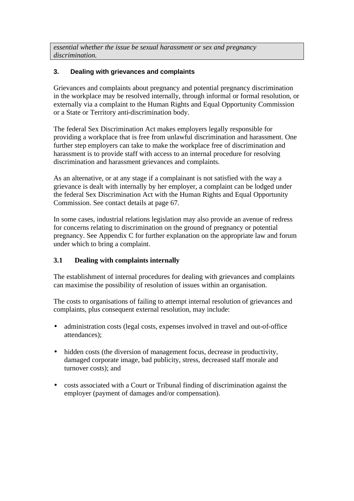*essential whether the issue be sexual harassment or sex and pregnancy discrimination.*

## **3. Dealing with grievances and complaints**

Grievances and complaints about pregnancy and potential pregnancy discrimination in the workplace may be resolved internally, through informal or formal resolution, or externally via a complaint to the Human Rights and Equal Opportunity Commission or a State or Territory anti-discrimination body.

The federal Sex Discrimination Act makes employers legally responsible for providing a workplace that is free from unlawful discrimination and harassment. One further step employers can take to make the workplace free of discrimination and harassment is to provide staff with access to an internal procedure for resolving discrimination and harassment grievances and complaints.

As an alternative, or at any stage if a complainant is not satisfied with the way a grievance is dealt with internally by her employer, a complaint can be lodged under the federal Sex Discrimination Act with the Human Rights and Equal Opportunity Commission. See contact details at page 67.

In some cases, industrial relations legislation may also provide an avenue of redress for concerns relating to discrimination on the ground of pregnancy or potential pregnancy. See Appendix C for further explanation on the appropriate law and forum under which to bring a complaint.

## **3.1 Dealing with complaints internally**

The establishment of internal procedures for dealing with grievances and complaints can maximise the possibility of resolution of issues within an organisation.

The costs to organisations of failing to attempt internal resolution of grievances and complaints, plus consequent external resolution, may include:

- administration costs (legal costs, expenses involved in travel and out-of-office attendances);
- hidden costs (the diversion of management focus, decrease in productivity, damaged corporate image, bad publicity, stress, decreased staff morale and turnover costs); and
- costs associated with a Court or Tribunal finding of discrimination against the employer (payment of damages and/or compensation).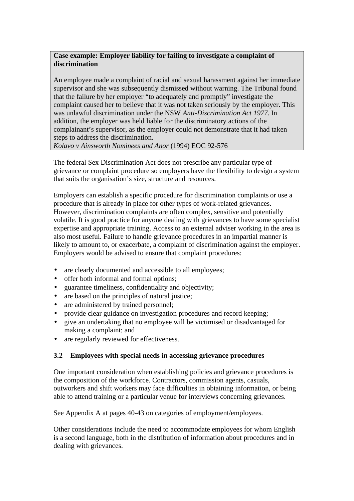## **Case example: Employer liability for failing to investigate a complaint of discrimination**

An employee made a complaint of racial and sexual harassment against her immediate supervisor and she was subsequently dismissed without warning. The Tribunal found that the failure by her employer "to adequately and promptly" investigate the complaint caused her to believe that it was not taken seriously by the employer. This was unlawful discrimination under the NSW *Anti-Discrimination Act 1977*. In addition, the employer was held liable for the discriminatory actions of the complainant's supervisor, as the employer could not demonstrate that it had taken steps to address the discrimination.

*Kolavo v Ainsworth Nominees and Anor* (1994) EOC 92-576

The federal Sex Discrimination Act does not prescribe any particular type of grievance or complaint procedure so employers have the flexibility to design a system that suits the organisation's size, structure and resources.

Employers can establish a specific procedure for discrimination complaints or use a procedure that is already in place for other types of work-related grievances. However, discrimination complaints are often complex, sensitive and potentially volatile. It is good practice for anyone dealing with grievances to have some specialist expertise and appropriate training. Access to an external adviser working in the area is also most useful. Failure to handle grievance procedures in an impartial manner is likely to amount to, or exacerbate, a complaint of discrimination against the employer. Employers would be advised to ensure that complaint procedures:

- are clearly documented and accessible to all employees;
- offer both informal and formal options;
- guarantee timeliness, confidentiality and objectivity;
- are based on the principles of natural justice;
- are administered by trained personnel:
- provide clear guidance on investigation procedures and record keeping;
- give an undertaking that no employee will be victimised or disadvantaged for making a complaint; and
- are regularly reviewed for effectiveness.

## **3.2 Employees with special needs in accessing grievance procedures**

One important consideration when establishing policies and grievance procedures is the composition of the workforce. Contractors, commission agents, casuals, outworkers and shift workers may face difficulties in obtaining information, or being able to attend training or a particular venue for interviews concerning grievances.

See Appendix A at pages 40-43 on categories of employment/employees.

Other considerations include the need to accommodate employees for whom English is a second language, both in the distribution of information about procedures and in dealing with grievances.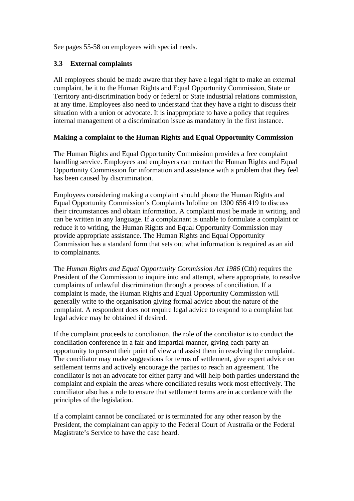See pages 55-58 on employees with special needs.

### **3.3 External complaints**

All employees should be made aware that they have a legal right to make an external complaint, be it to the Human Rights and Equal Opportunity Commission, State or Territory anti-discrimination body or federal or State industrial relations commission, at any time. Employees also need to understand that they have a right to discuss their situation with a union or advocate. It is inappropriate to have a policy that requires internal management of a discrimination issue as mandatory in the first instance.

### **Making a complaint to the Human Rights and Equal Opportunity Commission**

The Human Rights and Equal Opportunity Commission provides a free complaint handling service. Employees and employers can contact the Human Rights and Equal Opportunity Commission for information and assistance with a problem that they feel has been caused by discrimination.

Employees considering making a complaint should phone the Human Rights and Equal Opportunity Commission's Complaints Infoline on 1300 656 419 to discuss their circumstances and obtain information. A complaint must be made in writing, and can be written in any language. If a complainant is unable to formulate a complaint or reduce it to writing, the Human Rights and Equal Opportunity Commission may provide appropriate assistance. The Human Rights and Equal Opportunity Commission has a standard form that sets out what information is required as an aid to complainants.

The *Human Rights and Equal Opportunity Commission Act 1986* (Cth) requires the President of the Commission to inquire into and attempt, where appropriate, to resolve complaints of unlawful discrimination through a process of conciliation. If a complaint is made, the Human Rights and Equal Opportunity Commission will generally write to the organisation giving formal advice about the nature of the complaint. A respondent does not require legal advice to respond to a complaint but legal advice may be obtained if desired.

If the complaint proceeds to conciliation, the role of the conciliator is to conduct the conciliation conference in a fair and impartial manner, giving each party an opportunity to present their point of view and assist them in resolving the complaint. The conciliator may make suggestions for terms of settlement, give expert advice on settlement terms and actively encourage the parties to reach an agreement. The conciliator is not an advocate for either party and will help both parties understand the complaint and explain the areas where conciliated results work most effectively. The conciliator also has a role to ensure that settlement terms are in accordance with the principles of the legislation.

If a complaint cannot be conciliated or is terminated for any other reason by the President, the complainant can apply to the Federal Court of Australia or the Federal Magistrate's Service to have the case heard.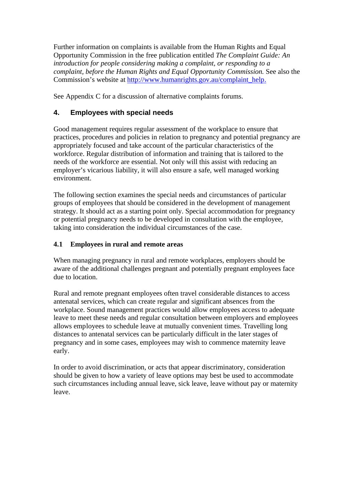Further information on complaints is available from the Human Rights and Equal Opportunity Commission in the free publication entitled *The Complaint Guide: An introduction for people considering making a complaint, or responding to a complaint, before the Human Rights and Equal Opportunity Commission.* See also the Commission's website at http://www.humanrights.gov.au/complaint\_help.

See Appendix C for a discussion of alternative complaints forums.

## **4. Employees with special needs**

Good management requires regular assessment of the workplace to ensure that practices, procedures and policies in relation to pregnancy and potential pregnancy are appropriately focused and take account of the particular characteristics of the workforce. Regular distribution of information and training that is tailored to the needs of the workforce are essential. Not only will this assist with reducing an employer's vicarious liability, it will also ensure a safe, well managed working environment.

The following section examines the special needs and circumstances of particular groups of employees that should be considered in the development of management strategy. It should act as a starting point only. Special accommodation for pregnancy or potential pregnancy needs to be developed in consultation with the employee, taking into consideration the individual circumstances of the case.

## **4.1 Employees in rural and remote areas**

When managing pregnancy in rural and remote workplaces, employers should be aware of the additional challenges pregnant and potentially pregnant employees face due to location.

Rural and remote pregnant employees often travel considerable distances to access antenatal services, which can create regular and significant absences from the workplace. Sound management practices would allow employees access to adequate leave to meet these needs and regular consultation between employers and employees allows employees to schedule leave at mutually convenient times. Travelling long distances to antenatal services can be particularly difficult in the later stages of pregnancy and in some cases, employees may wish to commence maternity leave early.

In order to avoid discrimination, or acts that appear discriminatory, consideration should be given to how a variety of leave options may best be used to accommodate such circumstances including annual leave, sick leave, leave without pay or maternity leave.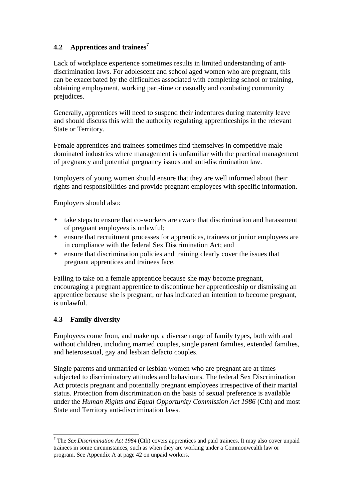## **4.2 Apprentices and trainees<sup>7</sup>**

Lack of workplace experience sometimes results in limited understanding of antidiscrimination laws. For adolescent and school aged women who are pregnant, this can be exacerbated by the difficulties associated with completing school or training, obtaining employment, working part-time or casually and combating community prejudices.

Generally, apprentices will need to suspend their indentures during maternity leave and should discuss this with the authority regulating apprenticeships in the relevant State or Territory.

Female apprentices and trainees sometimes find themselves in competitive male dominated industries where management is unfamiliar with the practical management of pregnancy and potential pregnancy issues and anti-discrimination law.

Employers of young women should ensure that they are well informed about their rights and responsibilities and provide pregnant employees with specific information.

Employers should also:

- take steps to ensure that co-workers are aware that discrimination and harassment of pregnant employees is unlawful;
- ensure that recruitment processes for apprentices, trainees or junior employees are in compliance with the federal Sex Discrimination Act; and
- ensure that discrimination policies and training clearly cover the issues that pregnant apprentices and trainees face.

Failing to take on a female apprentice because she may become pregnant, encouraging a pregnant apprentice to discontinue her apprenticeship or dismissing an apprentice because she is pregnant, or has indicated an intention to become pregnant, is unlawful.

## **4.3 Family diversity**

 $\overline{a}$ 

Employees come from, and make up, a diverse range of family types, both with and without children, including married couples, single parent families, extended families, and heterosexual, gay and lesbian defacto couples.

Single parents and unmarried or lesbian women who are pregnant are at times subjected to discriminatory attitudes and behaviours. The federal Sex Discrimination Act protects pregnant and potentially pregnant employees irrespective of their marital status. Protection from discrimination on the basis of sexual preference is available under the *Human Rights and Equal Opportunity Commission Act 1986* (Cth) and most State and Territory anti-discrimination laws.

<sup>7</sup> The *Sex Discrimination Act 1984* (Cth) covers apprentices and paid trainees. It may also cover unpaid trainees in some circumstances, such as when they are working under a Commonwealth law or program. See Appendix A at page 42 on unpaid workers.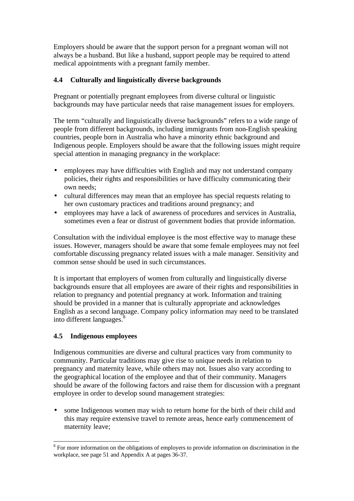Employers should be aware that the support person for a pregnant woman will not always be a husband. But like a husband, support people may be required to attend medical appointments with a pregnant family member.

## **4.4 Culturally and linguistically diverse backgrounds**

Pregnant or potentially pregnant employees from diverse cultural or linguistic backgrounds may have particular needs that raise management issues for employers.

The term "culturally and linguistically diverse backgrounds" refers to a wide range of people from different backgrounds, including immigrants from non-English speaking countries, people born in Australia who have a minority ethnic background and Indigenous people. Employers should be aware that the following issues might require special attention in managing pregnancy in the workplace:

- employees may have difficulties with English and may not understand company policies, their rights and responsibilities or have difficulty communicating their own needs;
- cultural differences may mean that an employee has special requests relating to her own customary practices and traditions around pregnancy; and
- employees may have a lack of awareness of procedures and services in Australia, sometimes even a fear or distrust of government bodies that provide information.

Consultation with the individual employee is the most effective way to manage these issues. However, managers should be aware that some female employees may not feel comfortable discussing pregnancy related issues with a male manager. Sensitivity and common sense should be used in such circumstances.

It is important that employers of women from culturally and linguistically diverse backgrounds ensure that all employees are aware of their rights and responsibilities in relation to pregnancy and potential pregnancy at work. Information and training should be provided in a manner that is culturally appropriate and acknowledges English as a second language. Company policy information may need to be translated into different languages.<sup>8</sup>

## **4.5 Indigenous employees**

Indigenous communities are diverse and cultural practices vary from community to community. Particular traditions may give rise to unique needs in relation to pregnancy and maternity leave, while others may not. Issues also vary according to the geographical location of the employee and that of their community. Managers should be aware of the following factors and raise them for discussion with a pregnant employee in order to develop sound management strategies:

• some Indigenous women may wish to return home for the birth of their child and this may require extensive travel to remote areas, hence early commencement of maternity leave;

<sup>&</sup>lt;sup>8</sup> For more information on the obligations of employers to provide information on discrimination in the workplace, see page 51 and Appendix A at pages 36-37.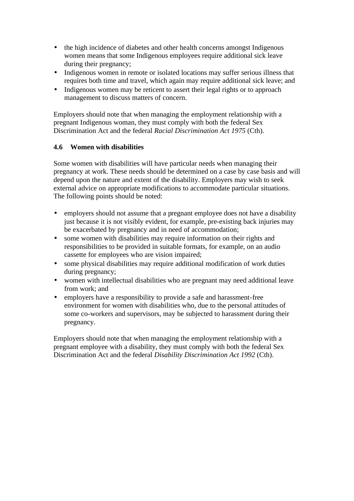- the high incidence of diabetes and other health concerns amongst Indigenous women means that some Indigenous employees require additional sick leave during their pregnancy;
- Indigenous women in remote or isolated locations may suffer serious illness that requires both time and travel, which again may require additional sick leave; and
- Indigenous women may be reticent to assert their legal rights or to approach management to discuss matters of concern.

Employers should note that when managing the employment relationship with a pregnant Indigenous woman, they must comply with both the federal Sex Discrimination Act and the federal *Racial Discrimination Act 1975* (Cth).

## **4.6 Women with disabilities**

Some women with disabilities will have particular needs when managing their pregnancy at work. These needs should be determined on a case by case basis and will depend upon the nature and extent of the disability. Employers may wish to seek external advice on appropriate modifications to accommodate particular situations. The following points should be noted:

- employers should not assume that a pregnant employee does not have a disability just because it is not visibly evident, for example, pre-existing back injuries may be exacerbated by pregnancy and in need of accommodation;
- some women with disabilities may require information on their rights and responsibilities to be provided in suitable formats, for example, on an audio cassette for employees who are vision impaired;
- some physical disabilities may require additional modification of work duties during pregnancy;
- women with intellectual disabilities who are pregnant may need additional leave from work; and
- employers have a responsibility to provide a safe and harassment-free environment for women with disabilities who, due to the personal attitudes of some co-workers and supervisors, may be subjected to harassment during their pregnancy.

Employers should note that when managing the employment relationship with a pregnant employee with a disability, they must comply with both the federal Sex Discrimination Act and the federal *Disability Discrimination Act 1992* (Cth).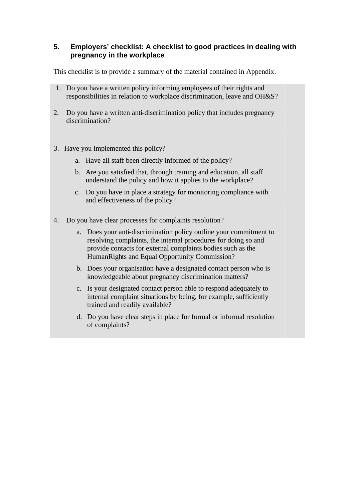## **5. Employers' checklist: A checklist to good practices in dealing with pregnancy in the workplace**

This checklist is to provide a summary of the material contained in Appendix.

- 1. Do you have a written policy informing employees of their rights and responsibilities in relation to workplace discrimination, leave and OH&S?
- 2. Do you have a written anti-discrimination policy that includes pregnancy discrimination?
- 3. Have you implemented this policy?
	- a. Have all staff been directly informed of the policy?
	- b. Are you satisfied that, through training and education, all staff understand the policy and how it applies to the workplace?
	- c. Do you have in place a strategy for monitoring compliance with and effectiveness of the policy?
- 4. Do you have clear processes for complaints resolution?
	- a. Does your anti-discrimination policy outline your commitment to resolving complaints, the internal procedures for doing so and provide contacts for external complaints bodies such as the HumanRights and Equal Opportunity Commission?
	- b. Does your organisation have a designated contact person who is knowledgeable about pregnancy discrimination matters?
	- c. Is your designated contact person able to respond adequately to internal complaint situations by being, for example, sufficiently trained and readily available?
	- d. Do you have clear steps in place for formal or informal resolution of complaints?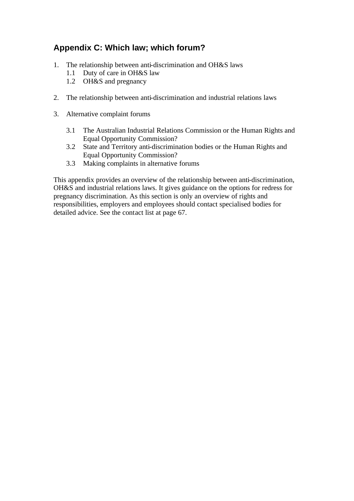# **Appendix C: Which law; which forum?**

- 1. The relationship between anti-discrimination and OH&S laws
	- 1.1 Duty of care in OH&S law
	- 1.2 OH&S and pregnancy
- 2. The relationship between anti-discrimination and industrial relations laws
- 3. Alternative complaint forums
	- 3.1 The Australian Industrial Relations Commission or the Human Rights and Equal Opportunity Commission?
	- 3.2 State and Territory anti-discrimination bodies or the Human Rights and Equal Opportunity Commission?
	- 3.3 Making complaints in alternative forums

This appendix provides an overview of the relationship between anti-discrimination, OH&S and industrial relations laws. It gives guidance on the options for redress for pregnancy discrimination. As this section is only an overview of rights and responsibilities, employers and employees should contact specialised bodies for detailed advice. See the contact list at page 67.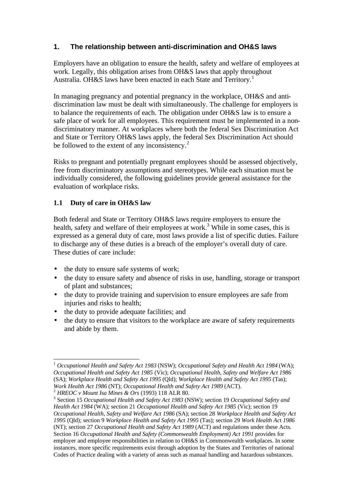## **1. The relationship between anti-discrimination and OH&S laws**

Employers have an obligation to ensure the health, safety and welfare of employees at work. Legally, this obligation arises from OH&S laws that apply throughout Australia. OH&S laws have been enacted in each State and Territory.<sup>1</sup>

In managing pregnancy and potential pregnancy in the workplace, OH&S and antidiscrimination law must be dealt with simultaneously. The challenge for employers is to balance the requirements of each. The obligation under OH&S law is to ensure a safe place of work for all employees. This requirement must be implemented in a nondiscriminatory manner. At workplaces where both the federal Sex Discrimination Act and State or Territory OH&S laws apply, the federal Sex Discrimination Act should be followed to the extent of any inconsistency. $2^2$ 

Risks to pregnant and potentially pregnant employees should be assessed objectively, free from discriminatory assumptions and stereotypes. While each situation must be individually considered, the following guidelines provide general assistance for the evaluation of workplace risks.

## **1.1 Duty of care in OH&S law**

Both federal and State or Territory OH&S laws require employers to ensure the health, safety and welfare of their employees at work.<sup>3</sup> While in some cases, this is expressed as a general duty of care, most laws provide a list of specific duties. Failure to discharge any of these duties is a breach of the employer's overall duty of care. These duties of care include:

- the duty to ensure safe systems of work;
- the duty to ensure safety and absence of risks in use, handling, storage or transport of plant and substances;
- the duty to provide training and supervision to ensure employees are safe from injuries and risks to health;
- the duty to provide adequate facilities; and
- the duty to ensure that visitors to the workplace are aware of safety requirements and abide by them.

 $\overline{\phantom{a}}$ <sup>1</sup> *Occupational Health and Safety Act 1983* (NSW); *Occupational Safety and Health Act 1984* (WA); *Occupational Health and Safety Act 1985* (Vic); *Occupational Health, Safety and Welfare Act 1986* (SA); *Workplace Health and Safety Act 1995* (Qld); *Workplace Health and Safety Act 1995* (Tas); *Work Health Act 1986* (NT); *Occupational Health and Safety Act 1989* (ACT).

<sup>2</sup> *HREOC v Mount Isa Mines & Ors* (1993) 118 ALR 80.

<sup>3</sup> Section 15 *Occupational Health and Safety Act 1983* (NSW); section 19 *Occupational Safety and Health Act 1984* (WA); section 21 *Occupational Health and Safety Act 1985* (Vic); section 19 *Occupational Health, Safety and Welfare Act 1986* (SA); section 28 *Workplace Health and Safety Act 1995* (Qld); section 9 *Workplace Health and Safety Act 1995* (Tas); section 29 *Work Health Ac*t *1986* (NT); section 27 *Occupational Health and Safety Act 1989* (ACT) and regulations under these Acts. Section 16 *Occupational Health and Safety (Commonwealth Employment) Act 1991* provides for employer and employee responsibilities in relation to OH&S in Commonwealth workplaces. In some instances, more specific requirements exist through adoption by the States and Territories of national Codes of Practice dealing with a variety of areas such as manual handling and hazardous substances.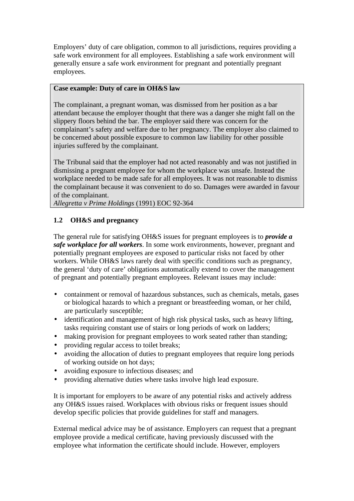Employers' duty of care obligation, common to all jurisdictions, requires providing a safe work environment for all employees. Establishing a safe work environment will generally ensure a safe work environment for pregnant and potentially pregnant employees.

## **Case example: Duty of care in OH&S law**

The complainant, a pregnant woman, was dismissed from her position as a bar attendant because the employer thought that there was a danger she might fall on the slippery floors behind the bar. The employer said there was concern for the complainant's safety and welfare due to her pregnancy. The employer also claimed to be concerned about possible exposure to common law liability for other possible injuries suffered by the complainant.

The Tribunal said that the employer had not acted reasonably and was not justified in dismissing a pregnant employee for whom the workplace was unsafe. Instead the workplace needed to be made safe for all employees. It was not reasonable to dismiss the complainant because it was convenient to do so. Damages were awarded in favour of the complainant.

*Allegretta v Prime Holdings* (1991) EOC 92-364

## **1.2 OH&S and pregnancy**

The general rule for satisfying OH&S issues for pregnant employees is to *provide a safe workplace for all workers*. In some work environments, however, pregnant and potentially pregnant employees are exposed to particular risks not faced by other workers. While OH&S laws rarely deal with specific conditions such as pregnancy, the general 'duty of care' obligations automatically extend to cover the management of pregnant and potentially pregnant employees. Relevant issues may include:

- containment or removal of hazardous substances, such as chemicals, metals, gases or biological hazards to which a pregnant or breastfeeding woman, or her child, are particularly susceptible;
- identification and management of high risk physical tasks, such as heavy lifting, tasks requiring constant use of stairs or long periods of work on ladders;
- making provision for pregnant employees to work seated rather than standing;
- providing regular access to toilet breaks;
- avoiding the allocation of duties to pregnant employees that require long periods of working outside on hot days;
- avoiding exposure to infectious diseases; and
- providing alternative duties where tasks involve high lead exposure.

It is important for employers to be aware of any potential risks and actively address any OH&S issues raised. Workplaces with obvious risks or frequent issues should develop specific policies that provide guidelines for staff and managers.

External medical advice may be of assistance. Employers can request that a pregnant employee provide a medical certificate, having previously discussed with the employee what information the certificate should include. However, employers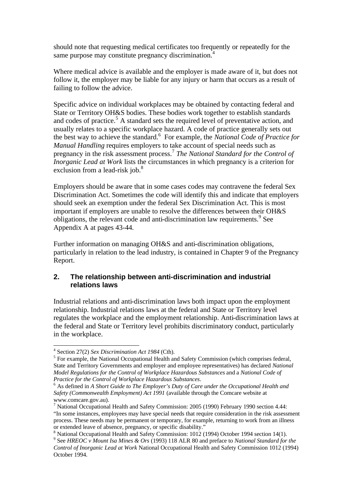should note that requesting medical certificates too frequently or repeatedly for the same purpose may constitute pregnancy discrimination.<sup>4</sup>

Where medical advice is available and the employer is made aware of it, but does not follow it, the employer may be liable for any injury or harm that occurs as a result of failing to follow the advice.

Specific advice on individual workplaces may be obtained by contacting federal and State or Territory OH&S bodies. These bodies work together to establish standards and codes of practice.<sup>5</sup> A standard sets the required level of preventative action, and usually relates to a specific workplace hazard. A code of practice generally sets out the best way to achieve the standard.<sup>6</sup> For example, the *National Code of Practice for Manual Handling* requires employers to take account of special needs such as pregnancy in the risk assessment process.<sup>7</sup> The National Standard for the Control of *Inorganic Lead at Work* lists the circumstances in which pregnancy is a criterion for exclusion from a lead-risk job.<sup>8</sup>

Employers should be aware that in some cases codes may contravene the federal Sex Discrimination Act. Sometimes the code will identify this and indicate that employers should seek an exemption under the federal Sex Discrimination Act. This is most important if employers are unable to resolve the differences between their OH&S obligations, the relevant code and anti-discrimination law requirements.<sup>9</sup> See Appendix A at pages 43-44.

Further information on managing OH&S and anti-discrimination obligations, particularly in relation to the lead industry, is contained in Chapter 9 of the Pregnancy Report.

## **2. The relationship between anti-discrimination and industrial relations laws**

Industrial relations and anti-discrimination laws both impact upon the employment relationship. Industrial relations laws at the federal and State or Territory level regulates the workplace and the employment relationship. Anti-discrimination laws at the federal and State or Territory level prohibits discriminatory conduct, particularly in the workplace.

 4 Section 27(2) *Sex Discrimination Act 1984* (Cth).

<sup>&</sup>lt;sup>5</sup> For example, the National Occupational Health and Safety Commission (which comprises federal, State and Territory Governments and employer and employee representatives) has declared *National Model Regulations for the Control of Workplace Hazardous Substances* and a *National Code of Practice for the Control of Workplace Hazardous Substances*.

<sup>&</sup>lt;sup>6</sup> As defined in *A Short Guide to The Employer's Duty of Care under the Occupational Health and Safety (Commonwealth Employment) Act 1991* (available through the Comcare website at www.comcare.gov.au).

<sup>7</sup> National Occupational Health and Safety Commission: 2005 (1990) February 1990 section 4.44: "In some instances, employees may have special needs that require consideration in the risk assessment process. These needs may be permanent or temporary, for example, returning to work from an illness or extended leave of absence, pregnancy, or specific disability."

<sup>&</sup>lt;sup>8</sup> National Occupational Health and Safety Commission: 1012 (1994) October 1994 section 14(1).

<sup>9</sup> See *HREOC v Mount Isa Mines & Ors* (1993) 118 ALR 80 and preface to *National Standard for the Control of Inorganic Lead at Work* National Occupational Health and Safety Commission 1012 (1994) October 1994.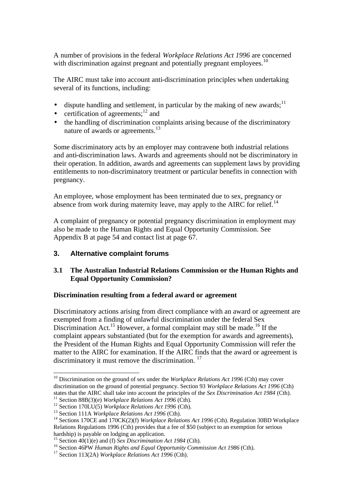A number of provisions in the federal *Workplace Relations Act 1996* are concerned with discrimination against pregnant and potentially pregnant employees.<sup>10</sup>

The AIRC must take into account anti-discrimination principles when undertaking several of its functions, including:

- dispute handling and settlement, in particular by the making of new awards:  $11$
- certification of agreements; $^{12}$  and
- the handling of discrimination complaints arising because of the discriminatory nature of awards or agreements.<sup>13</sup>

Some discriminatory acts by an employer may contravene both industrial relations and anti-discrimination laws. Awards and agreements should not be discriminatory in their operation. In addition, awards and agreements can supplement laws by providing entitlements to non-discriminatory treatment or particular benefits in connection with pregnancy.

An employee, whose employment has been terminated due to sex, pregnancy or absence from work during maternity leave, may apply to the AIRC for relief.<sup>14</sup>

A complaint of pregnancy or potential pregnancy discrimination in employment may also be made to the Human Rights and Equal Opportunity Commission. See Appendix B at page 54 and contact list at page 67.

## **3. Alternative complaint forums**

## **3.1 The Australian Industrial Relations Commission or the Human Rights and Equal Opportunity Commission?**

#### **Discrimination resulting from a federal award or agreement**

Discriminatory actions arising from direct compliance with an award or agreement are exempted from a finding of unlawful discrimination under the federal Sex Discrimination Act.<sup>15</sup> However, a formal complaint may still be made.<sup>16</sup> If the complaint appears substantiated (but for the exemption for awards and agreements), the President of the Human Rights and Equal Opportunity Commission will refer the matter to the AIRC for examination. If the AIRC finds that the award or agreement is discriminatory it must remove the discrimination.  $17$ 

<sup>11</sup> Section 88B(3)(e) *Workplace Relations Act 1996* (Cth).

<sup>&</sup>lt;sup>10</sup> Discrimination on the ground of sex under the *Workplace Relations Act 1996* (Cth) may cover discrimination on the ground of potential pregnancy. Section 93 *Workplace Relations Act 1996* (Cth) states that the AIRC shall take into account the principles of the *Sex Discrimination Act 1984* (Cth).

<sup>12</sup> Section 170LU(5) *Workplace Relations Act 1996* (Cth).

<sup>13</sup> Section 111A *Workplace Relations Act 1996* (Cth).

<sup>&</sup>lt;sup>14</sup> Sections 170CE and 170CK(2)(f) *Workplace Relations Act 1996* (Cth). Regulation 30BD Workplace Relations Regulations 1996 (Cth) provides that a fee of \$50 (subject to an exemption for serious hardship) is payable on lodging an application.

<sup>15</sup> Section 40(1)(e) and (f) *Sex Discrimination Act 1984* (Cth).

<sup>16</sup> Section 46PW *Human Rights and Equal Opportunity Commission Act 1986* (Cth).

<sup>17</sup> Section 113(2A) *Workplace Relations Act 1996* (Cth).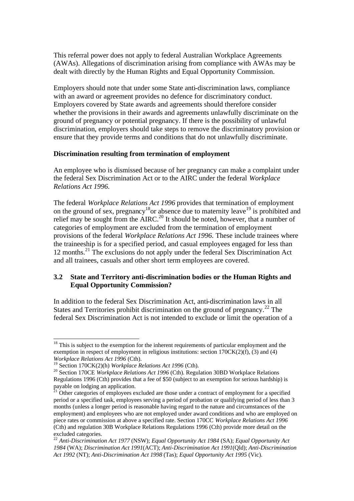This referral power does not apply to federal Australian Workplace Agreements (AWAs). Allegations of discrimination arising from compliance with AWAs may be dealt with directly by the Human Rights and Equal Opportunity Commission.

Employers should note that under some State anti-discrimination laws, compliance with an award or agreement provides no defence for discriminatory conduct. Employers covered by State awards and agreements should therefore consider whether the provisions in their awards and agreements unlawfully discriminate on the ground of pregnancy or potential pregnancy. If there is the possibility of unlawful discrimination, employers should take steps to remove the discriminatory provision or ensure that they provide terms and conditions that do not unlawfully discriminate.

#### **Discrimination resulting from termination of employment**

An employee who is dismissed because of her pregnancy can make a complaint under the federal Sex Discrimination Act or to the AIRC under the federal *Workplace Relations Act 1996*.

The federal *Workplace Relations Act 1996* provides that termination of employment on the ground of sex, pregnancy<sup>18</sup>or absence due to maternity leave<sup>19</sup> is prohibited and relief may be sought from the AIRC.<sup>20</sup> It should be noted, however, that a number of categories of employment are excluded from the termination of employment provisions of the federal *Workplace Relations Act 1996*. These include trainees where the traineeship is for a specified period, and casual employees engaged for less than  $12$  months.<sup>21</sup> The exclusions do not apply under the federal Sex Discrimination Act and all trainees, casuals and other short term employees are covered.

## **3.2 State and Territory anti-discrimination bodies or the Human Rights and Equal Opportunity Commission?**

In addition to the federal Sex Discrimination Act, anti-discrimination laws in all States and Territories prohibit discrimination on the ground of pregnancy.<sup>22</sup> The federal Sex Discrimination Act is not intended to exclude or limit the operation of a

 $\overline{a}$ 

<sup>&</sup>lt;sup>18</sup> This is subject to the exemption for the inherent requirements of particular employment and the exemption in respect of employment in religious institutions: section  $170CK(2)(f)$ , (3) and (4) *Workplace Relations Act 1996* (Cth).

<sup>19</sup> Section 170CK(2)(h) *Workplace Relations Act 1996* (Cth).

<sup>&</sup>lt;sup>20</sup> Section 170CE *Workplace Relations Act 1996* (Cth). Regulation 30BD Workplace Relations Regulations 1996 (Cth) provides that a fee of \$50 (subject to an exemption for serious hardship) is payable on lodging an application.

 $^{21}$  Other categories of employees excluded are those under a contract of employment for a specified period or a specified task, employees serving a period of probation or qualifying period of less than 3 months (unless a longer period is reasonable having regard to the nature and circumstances of the employment) and employees who are not employed under award conditions and who are employed on piece rates or commission at above a specified rate. Section 170CC *Workplace Relations Act 1996*  (Cth) and regulation 30B Workplace Relations Regulations 1996 (Cth) provide more detail on the excluded categories.

<sup>22</sup> *Anti-Discrimination Act 1977* (NSW); *Equal Opportunity Act 1984* (SA); *Equal Opportunity Act 1984* (WA); *Discrimination Act 1991*(ACT); *Anti-Discrimination Act 1991*(Qld); *Anti-Discrimination Act 1992* (NT); *Anti-Discrimination Act 1998* (Tas); *Equal Opportunity Act 1995* (Vic).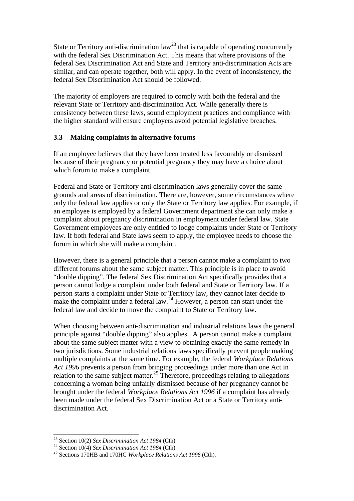State or Territory anti-discrimination  $law<sup>23</sup>$  that is capable of operating concurrently with the federal Sex Discrimination Act. This means that where provisions of the federal Sex Discrimination Act and State and Territory anti-discrimination Acts are similar, and can operate together, both will apply. In the event of inconsistency, the federal Sex Discrimination Act should be followed.

The majority of employers are required to comply with both the federal and the relevant State or Territory anti-discrimination Act. While generally there is consistency between these laws, sound employment practices and compliance with the higher standard will ensure employers avoid potential legislative breaches.

## **3.3 Making complaints in alternative forums**

If an employee believes that they have been treated less favourably or dismissed because of their pregnancy or potential pregnancy they may have a choice about which forum to make a complaint.

Federal and State or Territory anti-discrimination laws generally cover the same grounds and areas of discrimination. There are, however, some circumstances where only the federal law applies or only the State or Territory law applies. For example, if an employee is employed by a federal Government department she can only make a complaint about pregnancy discrimination in employment under federal law. State Government employees are only entitled to lodge complaints under State or Territory law. If both federal and State laws seem to apply, the employee needs to choose the forum in which she will make a complaint.

However, there is a general principle that a person cannot make a complaint to two different forums about the same subject matter. This principle is in place to avoid "double dipping". The federal Sex Discrimination Act specifically provides that a person cannot lodge a complaint under both federal and State or Territory law. If a person starts a complaint under State or Territory law, they cannot later decide to make the complaint under a federal law.<sup>24</sup> However, a person can start under the federal law and decide to move the complaint to State or Territory law.

When choosing between anti-discrimination and industrial relations laws the general principle against "double dipping" also applies. A person cannot make a complaint about the same subject matter with a view to obtaining exactly the same remedy in two jurisdictions. Some industrial relations laws specifically prevent people making multiple complaints at the same time. For example, the federal *Workplace Relations Act 1996* prevents a person from bringing proceedings under more than one Act in relation to the same subject matter.<sup>25</sup> Therefore, proceedings relating to allegations concerning a woman being unfairly dismissed because of her pregnancy cannot be brought under the federal *Workplace Relations Act 1996* if a complaint has already been made under the federal Sex Discrimination Act or a State or Territory antidiscrimination Act.

 $\overline{a}$ 

<sup>23</sup> Section 10(2) *Sex Discrimination Act 1984* (Cth).

<sup>24</sup> Section 10(4) *Sex Discrimination Act 1984* (Cth).

<sup>25</sup> Sections 170HB and 170HC *Workplace Relations Act 1996* (Cth).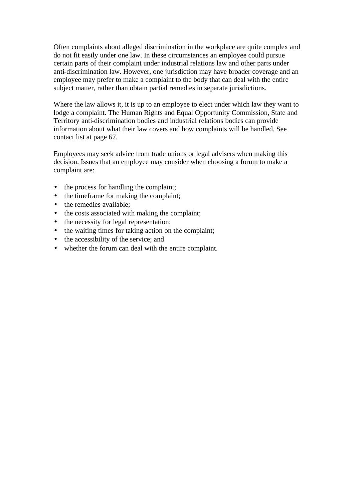Often complaints about alleged discrimination in the workplace are quite complex and do not fit easily under one law. In these circumstances an employee could pursue certain parts of their complaint under industrial relations law and other parts under anti-discrimination law. However, one jurisdiction may have broader coverage and an employee may prefer to make a complaint to the body that can deal with the entire subject matter, rather than obtain partial remedies in separate jurisdictions.

Where the law allows it, it is up to an employee to elect under which law they want to lodge a complaint. The Human Rights and Equal Opportunity Commission, State and Territory anti-discrimination bodies and industrial relations bodies can provide information about what their law covers and how complaints will be handled. See contact list at page 67.

Employees may seek advice from trade unions or legal advisers when making this decision. Issues that an employee may consider when choosing a forum to make a complaint are:

- the process for handling the complaint;
- the timeframe for making the complaint;
- the remedies available;
- the costs associated with making the complaint:
- the necessity for legal representation;
- the waiting times for taking action on the complaint;
- the accessibility of the service; and
- whether the forum can deal with the entire complaint.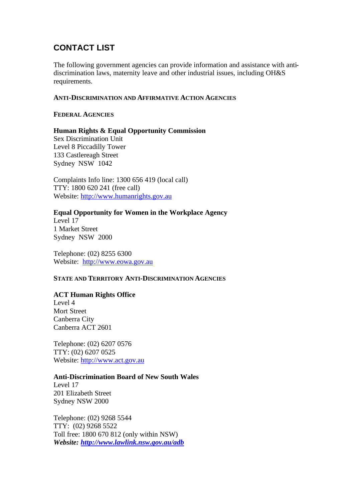# **CONTACT LIST**

The following government agencies can provide information and assistance with antidiscrimination laws, maternity leave and other industrial issues, including OH&S requirements.

### **ANTI-DISCRIMINATION AND AFFIRMATIVE ACTION AGENCIES**

## **FEDERAL AGENCIES**

## **Human Rights & Equal Opportunity Commission**

Sex Discrimination Unit Level 8 Piccadilly Tower 133 Castlereagh Street Sydney NSW 1042

Complaints Info line: 1300 656 419 (local call) TTY: 1800 620 241 (free call) Website: http://www.humanrights.gov.au

## **Equal Opportunity for Women in the Workplace Agency**

Level 17 1 Market Street Sydney NSW 2000

Telephone: (02) 8255 6300 Website: http://www.eowa.gov.au

## **STATE AND TERRITORY ANTI-DISCRIMINATION AGENCIES**

## **ACT Human Rights Office**

Level 4 Mort Street Canberra City Canberra ACT 2601

Telephone: (02) 6207 0576 TTY: (02) 6207 0525 Website: http://www.act.gov.au

## **Anti-Discrimination Board of New South Wales**

Level 17 201 Elizabeth Street Sydney NSW 2000

Telephone: (02) 9268 5544 TTY: (02) 9268 5522 Toll free: 1800 670 812 (only within NSW) *Website: http://www.lawlink.nsw.gov.au/adb*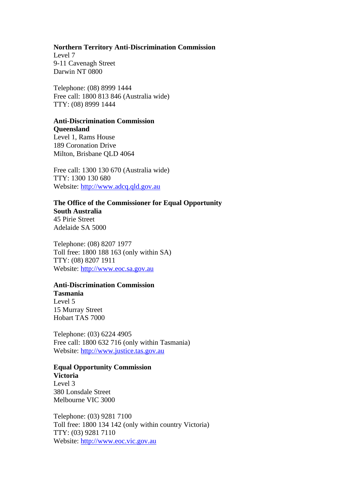## **Northern Territory Anti-Discrimination Commission**

Level 7 9-11 Cavenagh Street Darwin NT 0800

Telephone: (08) 8999 1444 Free call: 1800 813 846 (Australia wide) TTY: (08) 8999 1444

# **Anti-Discrimination Commission**

**Queensland** Level 1, Rams House 189 Coronation Drive Milton, Brisbane QLD 4064

Free call: 1300 130 670 (Australia wide) TTY: 1300 130 680 Website: http://www.adcq.qld.gov.au

**The Office of the Commissioner for Equal Opportunity South Australia** 45 Pirie Street Adelaide SA 5000

Telephone: (08) 8207 1977 Toll free: 1800 188 163 (only within SA) TTY: (08) 8207 1911 Website: http://www.eoc.sa.gov.au

# **Anti-Discrimination Commission**

**Tasmania** Level 5 15 Murray Street Hobart TAS 7000

Telephone: (03) 6224 4905 Free call: 1800 632 716 (only within Tasmania) Website: http://www.justice.tas.gov.au

# **Equal Opportunity Commission**

**Victoria** Level 3 380 Lonsdale Street Melbourne VIC 3000

Telephone: (03) 9281 7100 Toll free: 1800 134 142 (only within country Victoria) TTY: (03) 9281 7110 Website: http://www.eoc.vic.gov.au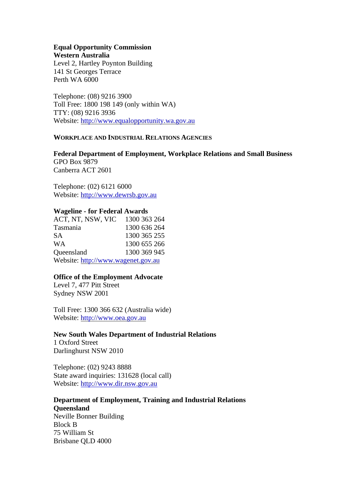#### **Equal Opportunity Commission Western Australia**

Level 2, Hartley Poynton Building 141 St Georges Terrace Perth WA 6000

Telephone: (08) 9216 3900 Toll Free: 1800 198 149 (only within WA) TTY: (08) 9216 3936 Website: http://www.equalopportunity.wa.gov.au

#### **WORKPLACE AND INDUSTRIAL RELATIONS AGENCIES**

**Federal Department of Employment, Workplace Relations and Small Business** GPO Box 9879 Canberra ACT 2601

Telephone: (02) 6121 6000 Website: http://www.dewrsb.gov.au

## **Wageline - for Federal Awards**

| ACT, NT, NSW, VIC                  | 1300 363 264 |
|------------------------------------|--------------|
| Tasmania                           | 1300 636 264 |
| SА                                 | 1300 365 255 |
| WA                                 | 1300 655 266 |
| Queensland                         | 1300 369 945 |
| Website: http://www.wagenet.gov.au |              |

## **Office of the Employment Advocate**

Level 7, 477 Pitt Street Sydney NSW 2001

Toll Free: 1300 366 632 (Australia wide) Website: http://www.oea.gov.au

**New South Wales Department of Industrial Relations** 1 Oxford Street Darlinghurst NSW 2010

Telephone: (02) 9243 8888 State award inquiries: 131628 (local call) Website: http://www.dir.nsw.gov.au

## **Department of Employment, Training and Industrial Relations**

**Queensland** Neville Bonner Building Block B 75 William St Brisbane QLD 4000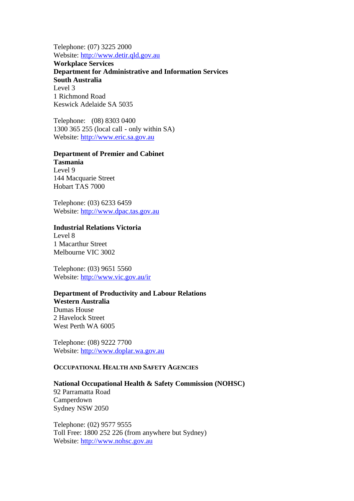Telephone: (07) 3225 2000 Website: http://www.detir.qld.gov.au

**Workplace Services Department for Administrative and Information Services South Australia** Level 3 1 Richmond Road Keswick Adelaide SA 5035

Telephone: (08) 8303 0400 1300 365 255 (local call - only within SA) Website: http://www.eric.sa.gov.au

#### **Department of Premier and Cabinet**

**Tasmania** Level 9 144 Macquarie Street Hobart TAS 7000

Telephone: (03) 6233 6459 Website: http://www.dpac.tas.gov.au

# **Industrial Relations Victoria**

Level 8 1 Macarthur Street Melbourne VIC 3002

Telephone: (03) 9651 5560 Website: http://www.vic.gov.au/ir

### **Department of Productivity and Labour Relations**

**Western Australia** Dumas House 2 Havelock Street West Perth WA 6005

Telephone: (08) 9222 7700 Website: http://www.doplar.wa.gov.au

# **OCCUPATIONAL HEALTH AND SAFETY AGENCIES**

#### **National Occupational Health & Safety Commission (NOHSC)**

92 Parramatta Road Camperdown Sydney NSW 2050

Telephone: (02) 9577 9555 Toll Free: 1800 252 226 (from anywhere but Sydney) Website: http://www.nohsc.gov.au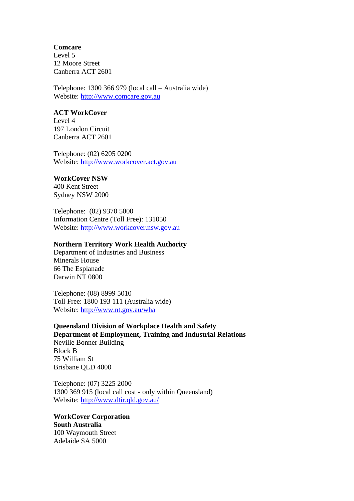#### **Comcare**

Level 5 12 Moore Street Canberra ACT 2601

Telephone: 1300 366 979 (local call – Australia wide) Website: http://www.comcare.gov.au

#### **ACT WorkCover**

Level 4 197 London Circuit Canberra ACT 2601

Telephone: (02) 6205 0200 Website: http://www.workcover.act.gov.au

#### **WorkCover NSW**

400 Kent Street Sydney NSW 2000

Telephone: (02) 9370 5000 Information Centre (Toll Free): 131050 Website: http://www.workcover.nsw.gov.au

## **Northern Territory Work Health Authority**

Department of Industries and Business Minerals House 66 The Esplanade Darwin NT 0800

Telephone: (08) 8999 5010 Toll Free: 1800 193 111 (Australia wide) Website: http://www.nt.gov.au/wha

## **Queensland Division of Workplace Health and Safety Department of Employment, Training and Industrial Relations**

Neville Bonner Building Block B 75 William St Brisbane QLD 4000

Telephone: (07) 3225 2000 1300 369 915 (local call cost - only within Queensland) Website: http://www.dtir.qld.gov.au/

**WorkCover Corporation South Australia** 100 Waymouth Street Adelaide SA 5000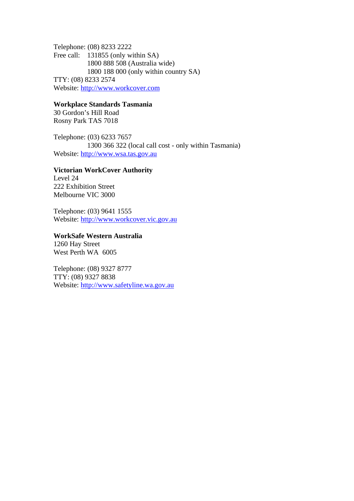Telephone: (08) 8233 2222 Free call: 131855 (only within SA) 1800 888 508 (Australia wide) 1800 188 000 (only within country SA) TTY: (08) 8233 2574 Website: http://www.workcover.com

**Workplace Standards Tasmania** 30 Gordon's Hill Road

Rosny Park TAS 7018

Telephone: (03) 6233 7657 1300 366 322 (local call cost - only within Tasmania) Website: http://www.wsa.tas.gov.au

### **Victorian WorkCover Authority**

Level 24 222 Exhibition Street Melbourne VIC 3000

Telephone: (03) 9641 1555 Website: http://www.workcover.vic.gov.au

**WorkSafe Western Australia** 1260 Hay Street West Perth WA 6005

Telephone: (08) 9327 8777 TTY: (08) 9327 8838

Website: http://www.safetyline.wa.gov.au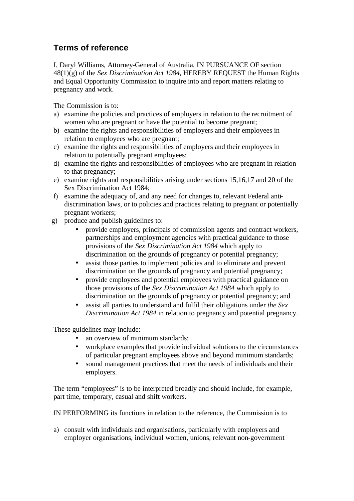# **Terms of reference**

I, Daryl Williams, Attorney-General of Australia, IN PURSUANCE OF section 48(1)(g) of the *Sex Discrimination Act 1984*, HEREBY REQUEST the Human Rights and Equal Opportunity Commission to inquire into and report matters relating to pregnancy and work.

The Commission is to:

- a) examine the policies and practices of employers in relation to the recruitment of women who are pregnant or have the potential to become pregnant;
- b) examine the rights and responsibilities of employers and their employees in relation to employees who are pregnant;
- c) examine the rights and responsibilities of employers and their employees in relation to potentially pregnant employees;
- d) examine the rights and responsibilities of employees who are pregnant in relation to that pregnancy;
- e) examine rights and responsibilities arising under sections 15,16,17 and 20 of the Sex Discrimination Act 1984;
- f) examine the adequacy of, and any need for changes to, relevant Federal antidiscrimination laws, or to policies and practices relating to pregnant or potentially pregnant workers;
- g) produce and publish guidelines to:
	- provide employers, principals of commission agents and contract workers, partnerships and employment agencies with practical guidance to those provisions of the *Sex Discrimination Act 1984* which apply to discrimination on the grounds of pregnancy or potential pregnancy;
	- assist those parties to implement policies and to eliminate and prevent discrimination on the grounds of pregnancy and potential pregnancy;
	- provide employees and potential employees with practical guidance on those provisions of the *Sex Discrimination Act 1984* which apply to discrimination on the grounds of pregnancy or potential pregnancy; and
	- assist all parties to understand and fulfil their obligations under *the Sex Discrimination Act 1984* in relation to pregnancy and potential pregnancy.

These guidelines may include:

- an overview of minimum standards;
- workplace examples that provide individual solutions to the circumstances of particular pregnant employees above and beyond minimum standards;
- sound management practices that meet the needs of individuals and their employers.

The term "employees" is to be interpreted broadly and should include, for example, part time, temporary, casual and shift workers.

IN PERFORMING its functions in relation to the reference, the Commission is to

a) consult with individuals and organisations, particularly with employers and employer organisations, individual women, unions, relevant non-government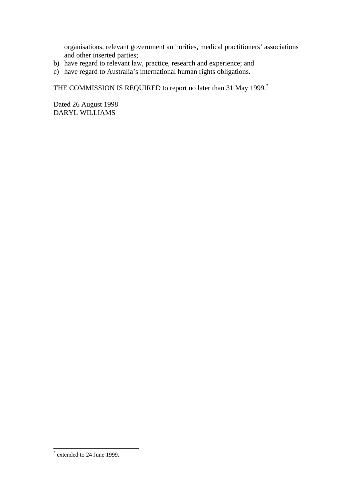organisations, relevant government authorities, medical practitioners' associations and other inserted parties;

- b) have regard to relevant law, practice, research and experience; and
- c) have regard to Australia's international human rights obligations.

THE COMMISSION IS REQUIRED to report no later than 31 May 1999.<sup>\*</sup>

Dated 26 August 1998 DARYL WILLIAMS

 \* extended to 24 June 1999.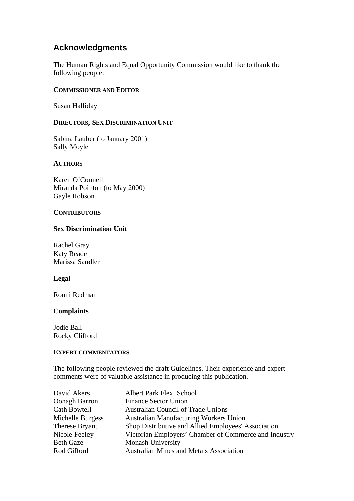# **Acknowledgments**

The Human Rights and Equal Opportunity Commission would like to thank the following people:

## **COMMISSIONER AND EDITOR**

Susan Halliday

## **DIRECTORS, SEX DISCRIMINATION UNIT**

Sabina Lauber (to January 2001) Sally Moyle

## **AUTHORS**

Karen O'Connell Miranda Pointon (to May 2000) Gayle Robson

## **CONTRIBUTORS**

## **Sex Discrimination Unit**

Rachel Gray Katy Reade Marissa Sandler

## **Legal**

Ronni Redman

# **Complaints**

Jodie Ball Rocky Clifford

## **EXPERT COMMENTATORS**

The following people reviewed the draft Guidelines. Their experience and expert comments were of valuable assistance in producing this publication.

| David Akers         | Albert Park Flexi School                              |
|---------------------|-------------------------------------------------------|
| Oonagh Barron       | <b>Finance Sector Union</b>                           |
| <b>Cath Bowtell</b> | <b>Australian Council of Trade Unions</b>             |
| Michelle Burgess    | <b>Australian Manufacturing Workers Union</b>         |
| Therese Bryant      | Shop Distributive and Allied Employees' Association   |
| Nicole Feeley       | Victorian Employers' Chamber of Commerce and Industry |
| <b>Beth Gaze</b>    | <b>Monash University</b>                              |
| Rod Gifford         | <b>Australian Mines and Metals Association</b>        |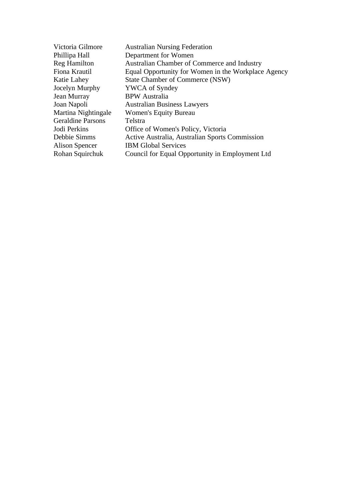| Victoria Gilmore         | <b>Australian Nursing Federation</b>                |
|--------------------------|-----------------------------------------------------|
| Phillipa Hall            | Department for Women                                |
| <b>Reg Hamilton</b>      | Australian Chamber of Commerce and Industry         |
| Fiona Krautil            | Equal Opportunity for Women in the Workplace Agency |
| Katie Lahey              | State Chamber of Commerce (NSW)                     |
| Jocelyn Murphy           | <b>YWCA</b> of Syndey                               |
| Jean Murray              | <b>BPW</b> Australia                                |
| Joan Napoli              | <b>Australian Business Lawyers</b>                  |
| Martina Nightingale      | Women's Equity Bureau                               |
| <b>Geraldine Parsons</b> | Telstra                                             |
| Jodi Perkins             | Office of Women's Policy, Victoria                  |
| Debbie Simms             | Active Australia, Australian Sports Commission      |
| Alison Spencer           | <b>IBM Global Services</b>                          |
| Rohan Squirchuk          | Council for Equal Opportunity in Employment Ltd     |
|                          |                                                     |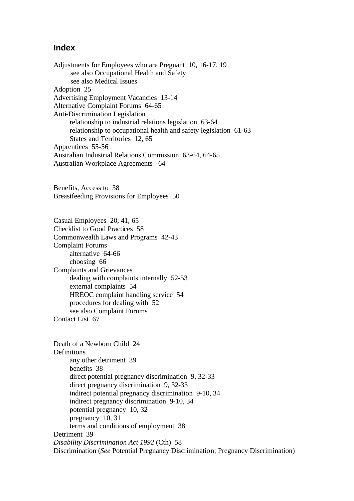# **Index**

Adjustments for Employees who are Pregnant 10, 16-17, 19 see also Occupational Health and Safety see also Medical Issues Adoption 25 Advertising Employment Vacancies 13-14 Alternative Complaint Forums 64-65 Anti-Discrimination Legislation relationship to industrial relations legislation 63-64 relationship to occupational health and safety legislation 61-63 States and Territories 12, 65 Apprentices 55-56 Australian Industrial Relations Commission 63-64, 64-65 Australian Workplace Agreements 64

Benefits, Access to 38 Breastfeeding Provisions for Employees 50

Casual Employees 20, 41, 65 Checklist to Good Practices 58 Commonwealth Laws and Programs 42-43 Complaint Forums alternative 64-66 choosing 66 Complaints and Grievances dealing with complaints internally 52-53 external complaints 54 HREOC complaint handling service 54 procedures for dealing with 52 see also Complaint Forums Contact List 67

Death of a Newborn Child 24 Definitions any other detriment 39 benefits 38 direct potential pregnancy discrimination 9, 32-33 direct pregnancy discrimination 9, 32-33 indirect potential pregnancy discrimination 9-10, 34 indirect pregnancy discrimination 9-10, 34 potential pregnancy 10, 32 pregnancy 10, 31 terms and conditions of employment 38 Detriment 39 *Disability Discrimination Act 1992* (Cth) 58 Discrimination (*See* Potential Pregnancy Discrimination; Pregnancy Discrimination)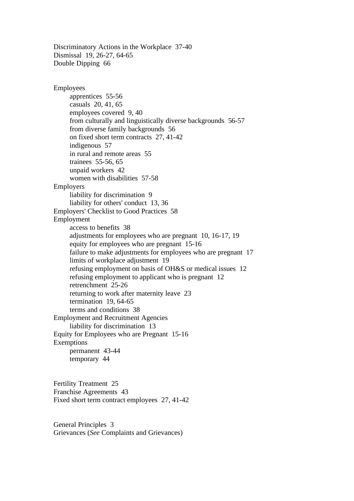Discriminatory Actions in the Workplace 37-40 Dismissal 19, 26-27, 64-65 Double Dipping 66

Employees apprentices 55-56 casuals 20, 41, 65 employees covered 9, 40 from culturally and linguistically diverse backgrounds 56-57 from diverse family backgrounds 56 on fixed short term contracts 27, 41-42 indigenous 57 in rural and remote areas 55 trainees 55-56, 65 unpaid workers 42 women with disabilities 57-58 Employers liability for discrimination 9 liability for others' conduct 13, 36 Employers' Checklist to Good Practices 58 Employment access to benefits 38 adjustments for employees who are pregnant 10, 16-17, 19 equity for employees who are pregnant 15-16 failure to make adjustments for employees who are pregnant 17 limits of workplace adjustment 19 refusing employment on basis of OH&S or medical issues 12 refusing employment to applicant who is pregnant 12 retrenchment 25-26 returning to work after maternity leave 23 termination 19, 64-65 terms and conditions 38 Employment and Recruitment Agencies liability for discrimination 13 Equity for Employees who are Pregnant 15-16 Exemptions permanent 43-44 temporary 44

Fertility Treatment 25 Franchise Agreements 43 Fixed short term contract employees 27, 41-42

General Principles 3 Grievances (*See* Complaints and Grievances)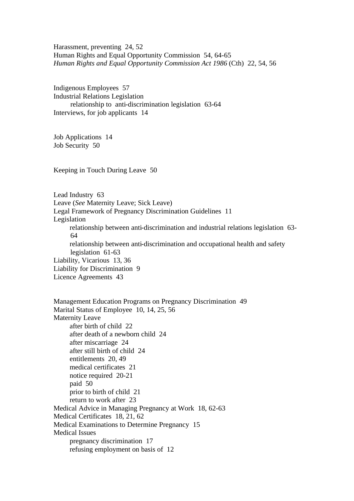Harassment, preventing 24, 52 Human Rights and Equal Opportunity Commission 54, 64-65 *Human Rights and Equal Opportunity Commission Act 1986* (Cth) 22, 54, 56

Indigenous Employees 57 Industrial Relations Legislation relationship to anti-discrimination legislation 63-64 Interviews, for job applicants 14

Job Applications 14 Job Security 50

Keeping in Touch During Leave 50

Lead Industry 63 Leave (*See* Maternity Leave; Sick Leave) Legal Framework of Pregnancy Discrimination Guidelines 11 Legislation relationship between anti-discrimination and industrial relations legislation 63- 64 relationship between anti-discrimination and occupational health and safety legislation 61-63 Liability, Vicarious 13, 36 Liability for Discrimination 9 Licence Agreements 43

Management Education Programs on Pregnancy Discrimination 49 Marital Status of Employee 10, 14, 25, 56 Maternity Leave after birth of child 22 after death of a newborn child 24 after miscarriage 24 after still birth of child 24 entitlements 20, 49 medical certificates 21 notice required 20-21 paid 50 prior to birth of child 21 return to work after 23 Medical Advice in Managing Pregnancy at Work 18, 62-63 Medical Certificates 18, 21, 62 Medical Examinations to Determine Pregnancy 15 Medical Issues pregnancy discrimination 17 refusing employment on basis of 12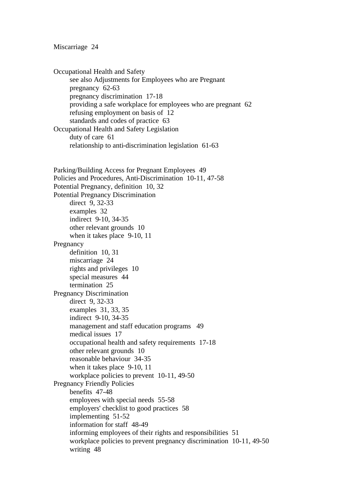#### Miscarriage 24

Occupational Health and Safety see also Adjustments for Employees who are Pregnant pregnancy 62-63 pregnancy discrimination 17-18 providing a safe workplace for employees who are pregnant 62 refusing employment on basis of 12 standards and codes of practice 63 Occupational Health and Safety Legislation duty of care 61 relationship to anti-discrimination legislation 61-63 Parking/Building Access for Pregnant Employees 49 Policies and Procedures, Anti-Discrimination 10-11, 47-58 Potential Pregnancy, definition 10, 32 Potential Pregnancy Discrimination direct 9, 32-33 examples 32 indirect 9-10, 34-35 other relevant grounds 10 when it takes place 9-10, 11 Pregnancy definition 10, 31 miscarriage 24 rights and privileges 10 special measures 44 termination 25 Pregnancy Discrimination direct 9, 32-33 examples 31, 33, 35 indirect 9-10, 34-35 management and staff education programs 49 medical issues 17 occupational health and safety requirements 17-18 other relevant grounds 10 reasonable behaviour 34-35 when it takes place 9-10, 11 workplace policies to prevent 10-11, 49-50 Pregnancy Friendly Policies benefits 47-48 employees with special needs 55-58 employers' checklist to good practices 58 implementing 51-52 information for staff 48-49 informing employees of their rights and responsibilities 51 workplace policies to prevent pregnancy discrimination 10-11, 49-50 writing 48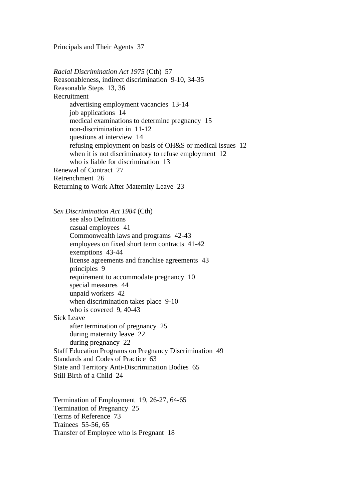Principals and Their Agents 37

*Racial Discrimination Act 1975* (Cth) 57 Reasonableness, indirect discrimination 9-10, 34-35 Reasonable Steps 13, 36 Recruitment advertising employment vacancies 13-14 job applications 14 medical examinations to determine pregnancy 15 non-discrimination in 11-12 questions at interview 14 refusing employment on basis of OH&S or medical issues 12 when it is not discriminatory to refuse employment 12 who is liable for discrimination 13 Renewal of Contract 27 Retrenchment 26 Returning to Work After Maternity Leave 23

*Sex Discrimination Act 1984* (Cth) see also Definitions casual employees 41 Commonwealth laws and programs 42-43 employees on fixed short term contracts 41-42 exemptions 43-44 license agreements and franchise agreements 43 principles 9 requirement to accommodate pregnancy 10 special measures 44 unpaid workers 42 when discrimination takes place 9-10 who is covered 9, 40-43 Sick Leave after termination of pregnancy 25 during maternity leave 22 during pregnancy 22 Staff Education Programs on Pregnancy Discrimination 49 Standards and Codes of Practice 63 State and Territory Anti-Discrimination Bodies 65 Still Birth of a Child 24

Termination of Employment 19, 26-27, 64-65 Termination of Pregnancy 25 Terms of Reference 73 Trainees 55-56, 65 Transfer of Employee who is Pregnant 18